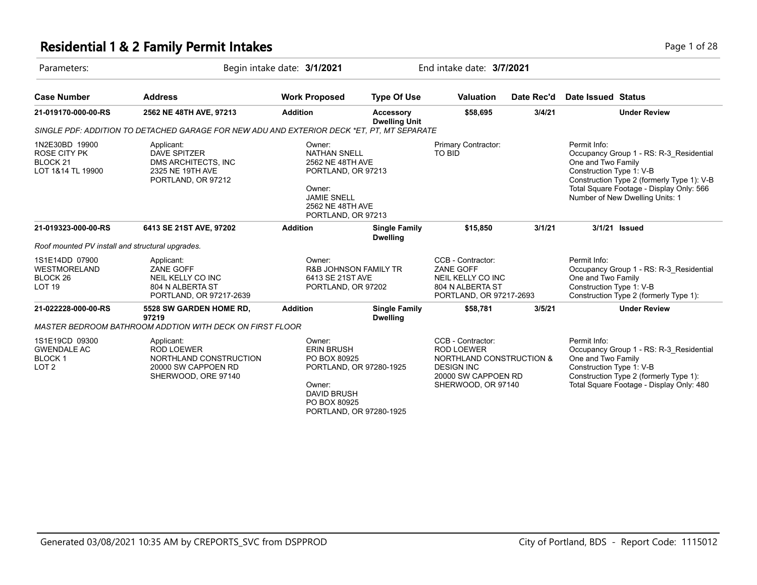#### **Residential 1 & 2 Family Permit Intakes Page 1 of 28** Page 1 of 28

| Parameters:                                                         |                                                                                                         | Begin intake date: 3/1/2021                                                                                                                       |                                          |                                                                                                                                      | End intake date: 3/7/2021 |                                                                |                                                                                                                                                                      |  |
|---------------------------------------------------------------------|---------------------------------------------------------------------------------------------------------|---------------------------------------------------------------------------------------------------------------------------------------------------|------------------------------------------|--------------------------------------------------------------------------------------------------------------------------------------|---------------------------|----------------------------------------------------------------|----------------------------------------------------------------------------------------------------------------------------------------------------------------------|--|
| <b>Case Number</b>                                                  | <b>Address</b>                                                                                          | <b>Work Proposed</b>                                                                                                                              | <b>Type Of Use</b>                       | Valuation                                                                                                                            | Date Rec'd                | Date Issued Status                                             |                                                                                                                                                                      |  |
| 21-019170-000-00-RS                                                 | 2562 NE 48TH AVE, 97213                                                                                 | <b>Addition</b>                                                                                                                                   | <b>Accessory</b><br><b>Dwelling Unit</b> | \$58,695                                                                                                                             | 3/4/21                    |                                                                | <b>Under Review</b>                                                                                                                                                  |  |
|                                                                     | SINGLE PDF: ADDITION TO DETACHED GARAGE FOR NEW ADU AND EXTERIOR DECK *ET. PT. MT SEPARATE              |                                                                                                                                                   |                                          |                                                                                                                                      |                           |                                                                |                                                                                                                                                                      |  |
| 1N2E30BD 19900<br>ROSE CITY PK<br>BLOCK 21<br>LOT 1&14 TL 19900     | Applicant:<br><b>DAVE SPITZER</b><br>DMS ARCHITECTS, INC<br>2325 NE 19TH AVE<br>PORTLAND, OR 97212      | Owner:<br><b>NATHAN SNELL</b><br>2562 NE 48TH AVE<br>PORTLAND, OR 97213<br>Owner:<br><b>JAMIE SNELL</b><br>2562 NE 48TH AVE<br>PORTLAND, OR 97213 |                                          | Primary Contractor:<br>TO BID                                                                                                        |                           | Permit Info:<br>One and Two Family<br>Construction Type 1: V-B | Occupancy Group 1 - RS: R-3 Residential<br>Construction Type 2 (formerly Type 1): V-B<br>Total Square Footage - Display Only: 566<br>Number of New Dwelling Units: 1 |  |
| 21-019323-000-00-RS                                                 | 6413 SE 21ST AVE, 97202                                                                                 | <b>Addition</b>                                                                                                                                   | <b>Single Family</b><br><b>Dwelling</b>  | \$15,850                                                                                                                             | 3/1/21                    |                                                                | 3/1/21 Issued                                                                                                                                                        |  |
| Roof mounted PV install and structural upgrades.                    |                                                                                                         |                                                                                                                                                   |                                          |                                                                                                                                      |                           |                                                                |                                                                                                                                                                      |  |
| 1S1E14DD 07900<br>WESTMORELAND<br>BLOCK 26<br><b>LOT 19</b>         | Applicant:<br>ZANE GOFF<br>NEIL KELLY CO INC<br>804 N ALBERTA ST<br>PORTLAND, OR 97217-2639             | Owner:<br><b>R&amp;B JOHNSON FAMILY TR</b><br>6413 SE 21ST AVE<br>PORTLAND, OR 97202                                                              |                                          | CCB - Contractor:<br><b>ZANE GOFF</b><br>NEIL KELLY CO INC<br>804 N ALBERTA ST<br>PORTLAND, OR 97217-2693                            |                           | Permit Info:<br>One and Two Family<br>Construction Type 1: V-B | Occupancy Group 1 - RS: R-3 Residential<br>Construction Type 2 (formerly Type 1):                                                                                    |  |
| 21-022228-000-00-RS                                                 | 5528 SW GARDEN HOME RD,<br>97219                                                                        | <b>Addition</b>                                                                                                                                   | <b>Single Family</b><br><b>Dwelling</b>  | \$58,781                                                                                                                             | 3/5/21                    |                                                                | <b>Under Review</b>                                                                                                                                                  |  |
|                                                                     | MASTER BEDROOM BATHROOM ADDTION WITH DECK ON FIRST FLOOR                                                |                                                                                                                                                   |                                          |                                                                                                                                      |                           |                                                                |                                                                                                                                                                      |  |
| 1S1E19CD 09300<br><b>GWENDALE AC</b><br>BLOCK 1<br>LOT <sub>2</sub> | Applicant:<br><b>ROD LOEWER</b><br>NORTHLAND CONSTRUCTION<br>20000 SW CAPPOEN RD<br>SHERWOOD, ORE 97140 | Owner:<br><b>ERIN BRUSH</b><br>PO BOX 80925<br>PORTLAND, OR 97280-1925<br>Owner:<br><b>DAVID BRUSH</b><br>PO BOX 80925<br>PORTLAND, OR 97280-1925 |                                          | CCB - Contractor:<br><b>ROD LOEWER</b><br>NORTHLAND CONSTRUCTION &<br><b>DESIGN INC</b><br>20000 SW CAPPOEN RD<br>SHERWOOD, OR 97140 |                           | Permit Info:<br>One and Two Family<br>Construction Type 1: V-B | Occupancy Group 1 - RS: R-3 Residential<br>Construction Type 2 (formerly Type 1):<br>Total Square Footage - Display Only: 480                                        |  |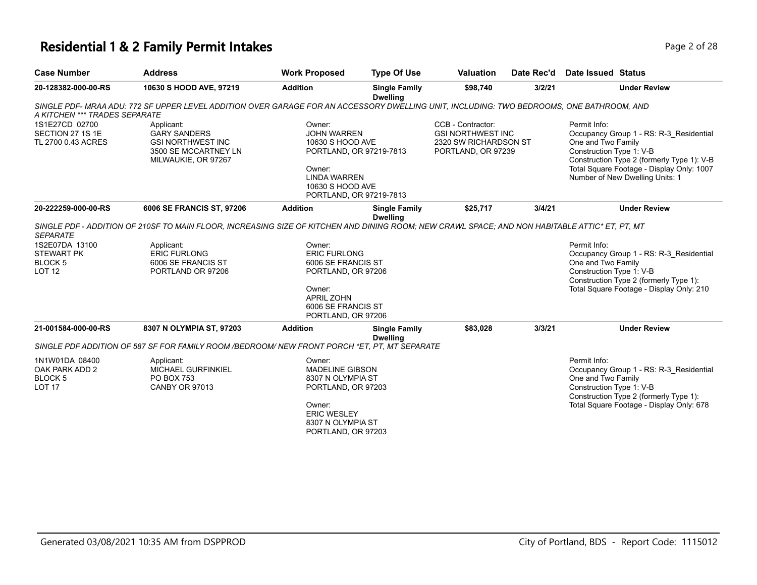# **Residential 1 & 2 Family Permit Intakes Page 1 0 AM** Page 2 of 28

| <b>Case Number</b>                                                         | <b>Address</b>                                                                                                                                 | <b>Work Proposed</b>                                                                                                                                        | <b>Type Of Use</b>                      | <b>Valuation</b>                                                                             | Date Rec'd | Date Issued Status                                             |                                                                                                                                                                       |
|----------------------------------------------------------------------------|------------------------------------------------------------------------------------------------------------------------------------------------|-------------------------------------------------------------------------------------------------------------------------------------------------------------|-----------------------------------------|----------------------------------------------------------------------------------------------|------------|----------------------------------------------------------------|-----------------------------------------------------------------------------------------------------------------------------------------------------------------------|
| 20-128382-000-00-RS                                                        | 10630 S HOOD AVE, 97219                                                                                                                        | <b>Addition</b>                                                                                                                                             | <b>Single Family</b><br><b>Dwelling</b> | \$98,740                                                                                     | 3/2/21     |                                                                | <b>Under Review</b>                                                                                                                                                   |
| A KITCHEN *** TRADES SEPARATE                                              | SINGLE PDF- MRAA ADU: 772 SF UPPER LEVEL ADDITION OVER GARAGE FOR AN ACCESSORY DWELLING UNIT, INCLUDING: TWO BEDROOMS, ONE BATHROOM, AND       |                                                                                                                                                             |                                         |                                                                                              |            |                                                                |                                                                                                                                                                       |
| 1S1E27CD 02700<br>SECTION 27 1S 1E<br>TL 2700 0.43 ACRES                   | Applicant:<br><b>GARY SANDERS</b><br><b>GSI NORTHWEST INC</b><br>3500 SE MCCARTNEY LN<br>MILWAUKIE, OR 97267                                   | Owner:<br><b>JOHN WARREN</b><br>10630 S HOOD AVE<br>PORTLAND, OR 97219-7813<br>Owner:<br><b>LINDA WARREN</b><br>10630 S HOOD AVE<br>PORTLAND, OR 97219-7813 |                                         | CCB - Contractor:<br><b>GSI NORTHWEST INC</b><br>2320 SW RICHARDSON ST<br>PORTLAND, OR 97239 |            | Permit Info:<br>One and Two Family<br>Construction Type 1: V-B | Occupancy Group 1 - RS: R-3 Residential<br>Construction Type 2 (formerly Type 1): V-B<br>Total Square Footage - Display Only: 1007<br>Number of New Dwelling Units: 1 |
| 20-222259-000-00-RS                                                        | 6006 SE FRANCIS ST, 97206                                                                                                                      | <b>Addition</b>                                                                                                                                             | <b>Single Family</b><br><b>Dwelling</b> | \$25,717                                                                                     | 3/4/21     |                                                                | <b>Under Review</b>                                                                                                                                                   |
| <b>SEPARATE</b>                                                            | SINGLE PDF - ADDITION OF 210SF TO MAIN FLOOR, INCREASING SIZE OF KITCHEN AND DINING ROOM; NEW CRAWL SPACE; AND NON HABITABLE ATTIC* ET, PT, MT |                                                                                                                                                             |                                         |                                                                                              |            |                                                                |                                                                                                                                                                       |
| 1S2E07DA 13100<br><b>STEWART PK</b><br>BLOCK <sub>5</sub><br><b>LOT 12</b> | Applicant:<br><b>ERIC FURLONG</b><br>6006 SE FRANCIS ST<br>PORTLAND OR 97206                                                                   | Owner:<br><b>ERIC FURLONG</b><br>6006 SE FRANCIS ST<br>PORTLAND, OR 97206<br>Owner:<br><b>APRIL ZOHN</b><br>6006 SE FRANCIS ST<br>PORTLAND, OR 97206        |                                         |                                                                                              |            | Permit Info:<br>One and Two Family<br>Construction Type 1: V-B | Occupancy Group 1 - RS: R-3 Residential<br>Construction Type 2 (formerly Type 1):<br>Total Square Footage - Display Only: 210                                         |
| 21-001584-000-00-RS                                                        | 8307 N OLYMPIA ST, 97203                                                                                                                       | <b>Addition</b>                                                                                                                                             | <b>Single Family</b><br><b>Dwelling</b> | \$83,028                                                                                     | 3/3/21     |                                                                | <b>Under Review</b>                                                                                                                                                   |
|                                                                            | SINGLE PDF ADDITION OF 587 SF FOR FAMILY ROOM /BEDROOM/ NEW FRONT PORCH *ET, PT, MT SEPARATE                                                   |                                                                                                                                                             |                                         |                                                                                              |            |                                                                |                                                                                                                                                                       |
| 1N1W01DA 08400<br>OAK PARK ADD 2<br>BLOCK <sub>5</sub><br><b>LOT 17</b>    | Applicant:<br><b>MICHAEL GURFINKIEL</b><br><b>PO BOX 753</b><br><b>CANBY OR 97013</b>                                                          | Owner:<br><b>MADELINE GIBSON</b><br>8307 N OLYMPIA ST<br>PORTLAND, OR 97203<br>Owner:<br><b>ERIC WESLEY</b><br>8307 N OLYMPIA ST<br>PORTLAND, OR 97203      |                                         |                                                                                              |            | Permit Info:<br>One and Two Family<br>Construction Type 1: V-B | Occupancy Group 1 - RS: R-3 Residential<br>Construction Type 2 (formerly Type 1):<br>Total Square Footage - Display Only: 678                                         |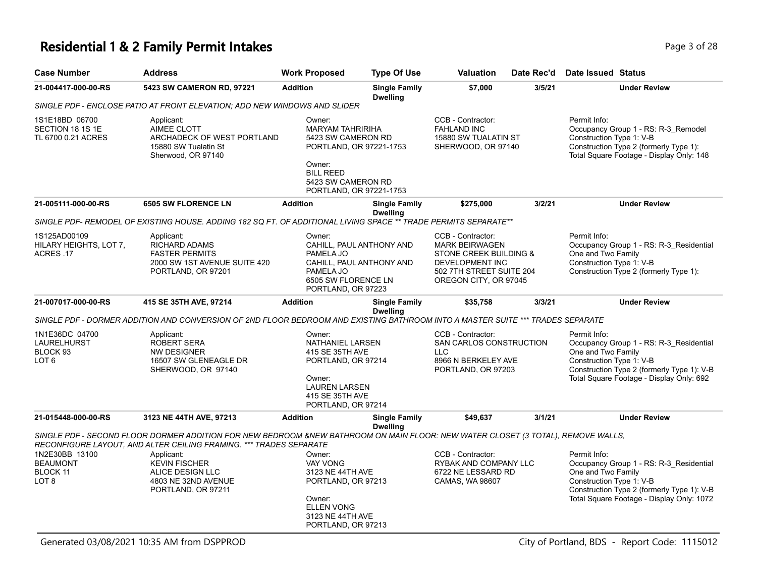#### **Residential 1 & 2 Family Permit Intakes Page 1 of 28** Page 3 of 28

| <b>Case Number</b>                                                | <b>Address</b>                                                                                                                                                                                                                                                                                                | <b>Work Proposed</b>                                                                                                                           | <b>Type Of Use</b>                                   | <b>Valuation</b>                                                                                                                             | Date Rec'd | Date Issued Status                                                                                                                                                                                   |
|-------------------------------------------------------------------|---------------------------------------------------------------------------------------------------------------------------------------------------------------------------------------------------------------------------------------------------------------------------------------------------------------|------------------------------------------------------------------------------------------------------------------------------------------------|------------------------------------------------------|----------------------------------------------------------------------------------------------------------------------------------------------|------------|------------------------------------------------------------------------------------------------------------------------------------------------------------------------------------------------------|
| 21-004417-000-00-RS                                               | 5423 SW CAMERON RD, 97221                                                                                                                                                                                                                                                                                     | <b>Addition</b>                                                                                                                                | <b>Single Family</b><br><b>Dwelling</b>              | \$7,000                                                                                                                                      | 3/5/21     | <b>Under Review</b>                                                                                                                                                                                  |
|                                                                   | SINGLE PDF - ENCLOSE PATIO AT FRONT ELEVATION: ADD NEW WINDOWS AND SLIDER                                                                                                                                                                                                                                     |                                                                                                                                                |                                                      |                                                                                                                                              |            |                                                                                                                                                                                                      |
| 1S1E18BD 06700<br>SECTION 18 1S 1E<br>TL 6700 0.21 ACRES          | Applicant:<br>AIMEE CLOTT<br>ARCHADECK OF WEST PORTLAND<br>15880 SW Tualatin St<br>Sherwood, OR 97140                                                                                                                                                                                                         | Owner:<br><b>MARYAM TAHRIRIHA</b><br>5423 SW CAMERON RD<br>Owner:<br><b>BILL REED</b><br>5423 SW CAMERON RD                                    | PORTLAND, OR 97221-1753<br>PORTLAND, OR 97221-1753   | CCB - Contractor:<br><b>FAHLAND INC</b><br>15880 SW TUALATIN ST<br>SHERWOOD, OR 97140                                                        |            | Permit Info:<br>Occupancy Group 1 - RS: R-3_Remodel<br>Construction Type 1: V-B<br>Construction Type 2 (formerly Type 1):<br>Total Square Footage - Display Only: 148                                |
| 21-005111-000-00-RS                                               | <b>6505 SW FLORENCE LN</b>                                                                                                                                                                                                                                                                                    | <b>Addition</b>                                                                                                                                | <b>Single Family</b><br><b>Dwelling</b>              | \$275,000                                                                                                                                    | 3/2/21     | <b>Under Review</b>                                                                                                                                                                                  |
|                                                                   | SINGLE PDF- REMODEL OF EXISTING HOUSE. ADDING 182 SQ FT. OF ADDITIONAL LIVING SPACE ** TRADE PERMITS SEPARATE**                                                                                                                                                                                               |                                                                                                                                                |                                                      |                                                                                                                                              |            |                                                                                                                                                                                                      |
| 1S125AD00109<br>HILARY HEIGHTS, LOT 7,<br>ACRES .17               | Applicant:<br>RICHARD ADAMS<br><b>FASTER PERMITS</b><br>2000 SW 1ST AVENUE SUITE 420<br>PORTLAND, OR 97201                                                                                                                                                                                                    | Owner:<br>PAMELA JO<br>PAMELA JO<br>6505 SW FLORENCE LN<br>PORTLAND, OR 97223                                                                  | CAHILL, PAUL ANTHONY AND<br>CAHILL, PAUL ANTHONY AND | CCB - Contractor:<br><b>MARK BEIRWAGEN</b><br>STONE CREEK BUILDING &<br>DEVELOPMENT INC<br>502 7TH STREET SUITE 204<br>OREGON CITY, OR 97045 |            | Permit Info:<br>Occupancy Group 1 - RS: R-3_Residential<br>One and Two Family<br>Construction Type 1: V-B<br>Construction Type 2 (formerly Type 1):                                                  |
| 21-007017-000-00-RS                                               | 415 SE 35TH AVE, 97214                                                                                                                                                                                                                                                                                        | <b>Addition</b>                                                                                                                                | <b>Single Family</b><br><b>Dwelling</b>              | \$35,758                                                                                                                                     | 3/3/21     | <b>Under Review</b>                                                                                                                                                                                  |
|                                                                   | SINGLE PDF - DORMER ADDITION AND CONVERSION OF 2ND FLOOR BEDROOM AND EXISTING BATHROOM INTO A MASTER SUITE *** TRADES SEPARATE                                                                                                                                                                                |                                                                                                                                                |                                                      |                                                                                                                                              |            |                                                                                                                                                                                                      |
| 1N1E36DC 04700<br>LAURELHURST<br>BLOCK 93<br>LOT <sub>6</sub>     | Applicant:<br>ROBERT SERA<br><b>NW DESIGNER</b><br>16507 SW GLENEAGLE DR<br>SHERWOOD, OR 97140                                                                                                                                                                                                                | Owner:<br>NATHANIEL LARSEN<br>415 SE 35TH AVE<br>PORTLAND, OR 97214<br>Owner:<br><b>LAUREN LARSEN</b><br>415 SE 35TH AVE<br>PORTLAND, OR 97214 |                                                      | CCB - Contractor:<br>SAN CARLOS CONSTRUCTION<br><b>LLC</b><br>8966 N BERKELEY AVE<br>PORTLAND, OR 97203                                      |            | Permit Info:<br>Occupancy Group 1 - RS: R-3 Residential<br>One and Two Family<br>Construction Type 1: V-B<br>Construction Type 2 (formerly Type 1): V-B<br>Total Square Footage - Display Only: 692  |
| 21-015448-000-00-RS                                               | 3123 NE 44TH AVE, 97213                                                                                                                                                                                                                                                                                       | <b>Addition</b>                                                                                                                                | <b>Single Family</b><br><b>Dwelling</b>              | \$49,637                                                                                                                                     | 3/1/21     | <b>Under Review</b>                                                                                                                                                                                  |
| 1N2E30BB 13100<br><b>BEAUMONT</b><br>BLOCK 11<br>LOT <sub>8</sub> | SINGLE PDF - SECOND FLOOR DORMER ADDITION FOR NEW BEDROOM &NEW BATHROOM ON MAIN FLOOR: NEW WATER CLOSET (3 TOTAL), REMOVE WALLS,<br>RECONFIGURE LAYOUT, AND ALTER CEILING FRAMING. *** TRADES SEPARATE<br>Applicant:<br><b>KEVIN FISCHER</b><br>ALICE DESIGN LLC<br>4803 NE 32ND AVENUE<br>PORTLAND, OR 97211 | Owner:<br><b>VAY VONG</b><br>3123 NE 44TH AVE<br>PORTLAND, OR 97213<br>Owner:<br><b>ELLEN VONG</b><br>3123 NE 44TH AVE<br>PORTLAND, OR 97213   |                                                      | CCB - Contractor:<br>RYBAK AND COMPANY LLC<br>6722 NE LESSARD RD<br>CAMAS, WA 98607                                                          |            | Permit Info:<br>Occupancy Group 1 - RS: R-3_Residential<br>One and Two Family<br>Construction Type 1: V-B<br>Construction Type 2 (formerly Type 1): V-B<br>Total Square Footage - Display Only: 1072 |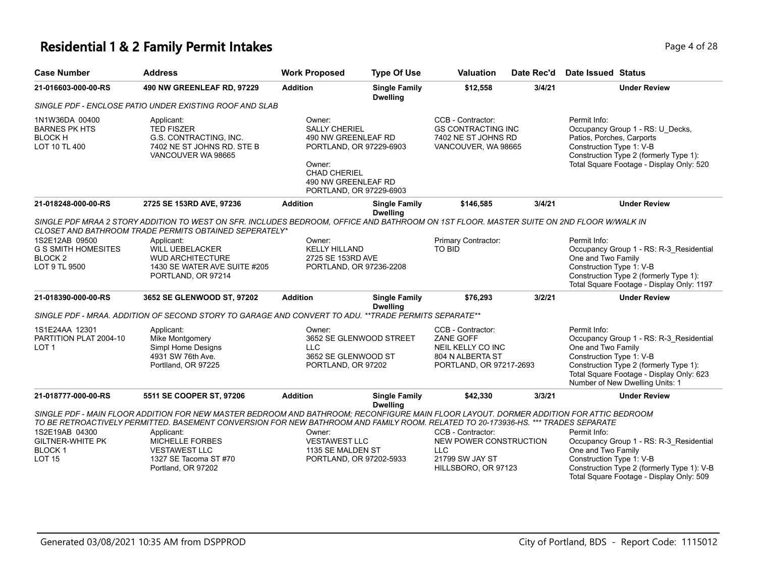# **Residential 1 & 2 Family Permit Intakes Page 4 of 28**

| <b>Case Number</b>                                                                  | <b>Address</b>                                                                                                                                                                                                                                                                                                             | <b>Work Proposed</b>                                                                                                                                                | <b>Type Of Use</b>                      | <b>Valuation</b>                                                                                          | Date Rec'd | Date Issued Status                                                                                                                                                                                                                 |
|-------------------------------------------------------------------------------------|----------------------------------------------------------------------------------------------------------------------------------------------------------------------------------------------------------------------------------------------------------------------------------------------------------------------------|---------------------------------------------------------------------------------------------------------------------------------------------------------------------|-----------------------------------------|-----------------------------------------------------------------------------------------------------------|------------|------------------------------------------------------------------------------------------------------------------------------------------------------------------------------------------------------------------------------------|
| 21-016603-000-00-RS                                                                 | 490 NW GREENLEAF RD, 97229                                                                                                                                                                                                                                                                                                 | <b>Addition</b>                                                                                                                                                     | <b>Single Family</b><br><b>Dwelling</b> | \$12,558                                                                                                  | 3/4/21     | <b>Under Review</b>                                                                                                                                                                                                                |
|                                                                                     | SINGLE PDF - ENCLOSE PATIO UNDER EXISTING ROOF AND SLAB                                                                                                                                                                                                                                                                    |                                                                                                                                                                     |                                         |                                                                                                           |            |                                                                                                                                                                                                                                    |
| 1N1W36DA 00400<br><b>BARNES PK HTS</b><br><b>BLOCK H</b><br>LOT 10 TL 400           | Applicant:<br><b>TED FISZER</b><br>G.S. CONTRACTING, INC.<br>7402 NE ST JOHNS RD. STE B<br>VANCOUVER WA 98665                                                                                                                                                                                                              | Owner:<br><b>SALLY CHERIEL</b><br>490 NW GREENLEAF RD<br>PORTLAND, OR 97229-6903<br>Owner:<br><b>CHAD CHERIEL</b><br>490 NW GREENLEAF RD<br>PORTLAND, OR 97229-6903 |                                         | CCB - Contractor:<br><b>GS CONTRACTING INC</b><br>7402 NE ST JOHNS RD<br>VANCOUVER, WA 98665              |            | Permit Info:<br>Occupancy Group 1 - RS: U Decks,<br>Patios, Porches, Carports<br>Construction Type 1: V-B<br>Construction Type 2 (formerly Type 1):<br>Total Square Footage - Display Only: 520                                    |
| 21-018248-000-00-RS                                                                 | 2725 SE 153RD AVE, 97236                                                                                                                                                                                                                                                                                                   | <b>Addition</b>                                                                                                                                                     | <b>Single Family</b>                    | \$146.585                                                                                                 | 3/4/21     | <b>Under Review</b>                                                                                                                                                                                                                |
| 1S2E12AB 09500<br><b>G S SMITH HOMESITES</b><br>BLOCK <sub>2</sub><br>LOT 9 TL 9500 | SINGLE PDF MRAA 2 STORY ADDITION TO WEST ON SFR. INCLUDES BEDROOM, OFFICE AND BATHROOM ON 1ST FLOOR. MASTER SUITE ON 2ND FLOOR WWALK IN<br>CLOSET AND BATHROOM TRADE PERMITS OBTAINED SEPERATELY*<br>Applicant:<br><b>WILL UEBELACKER</b><br><b>WUD ARCHITECTURE</b><br>1430 SE WATER AVE SUITE #205<br>PORTLAND, OR 97214 | Owner:<br><b>KELLY HILLAND</b><br>2725 SE 153RD AVE<br>PORTLAND, OR 97236-2208                                                                                      | <b>Dwelling</b>                         | Primary Contractor:<br><b>TO BID</b>                                                                      |            | Permit Info:<br>Occupancy Group 1 - RS: R-3_Residential<br>One and Two Family<br>Construction Type 1: V-B<br>Construction Type 2 (formerly Type 1):<br>Total Square Footage - Display Only: 1197                                   |
| 21-018390-000-00-RS                                                                 | 3652 SE GLENWOOD ST, 97202                                                                                                                                                                                                                                                                                                 | <b>Addition</b>                                                                                                                                                     | <b>Single Family</b>                    | \$76,293                                                                                                  | 3/2/21     | <b>Under Review</b>                                                                                                                                                                                                                |
|                                                                                     | SINGLE PDF - MRAA. ADDITION OF SECOND STORY TO GARAGE AND CONVERT TO ADU. **TRADE PERMITS SEPARATE**                                                                                                                                                                                                                       |                                                                                                                                                                     | <b>Dwelling</b>                         |                                                                                                           |            |                                                                                                                                                                                                                                    |
| 1S1E24AA 12301<br>PARTITION PLAT 2004-10<br>LOT <sub>1</sub>                        | Applicant:<br>Mike Montgomery<br>Simpl Home Designs<br>4931 SW 76th Ave.<br>Portlland, OR 97225                                                                                                                                                                                                                            | Owner:<br>3652 SE GLENWOOD STREET<br><b>LLC</b><br>3652 SE GLENWOOD ST<br>PORTLAND, OR 97202                                                                        |                                         | CCB - Contractor:<br><b>ZANE GOFF</b><br>NEIL KELLY CO INC<br>804 N ALBERTA ST<br>PORTLAND, OR 97217-2693 |            | Permit Info:<br>Occupancy Group 1 - RS: R-3_Residential<br>One and Two Family<br>Construction Type 1: V-B<br>Construction Type 2 (formerly Type 1):<br>Total Square Footage - Display Only: 623<br>Number of New Dwelling Units: 1 |
| 21-018777-000-00-RS                                                                 | 5511 SE COOPER ST, 97206                                                                                                                                                                                                                                                                                                   | <b>Addition</b>                                                                                                                                                     | <b>Single Family</b>                    | \$42,330                                                                                                  | 3/3/21     | <b>Under Review</b>                                                                                                                                                                                                                |
|                                                                                     | SINGLE PDF - MAIN FLOOR ADDITION FOR NEW MASTER BEDROOM AND BATHROOM; RECONFIGURE MAIN FLOOR LAYOUT. DORMER ADDITION FOR ATTIC BEDROOM<br>TO BE RETROACTIVELY PERMITTED. BASEMENT CONVERSION FOR NEW BATHROOM AND FAMILY ROOM. RELATED TO 20-173936-HS. *** TRADES SEPARATE                                                |                                                                                                                                                                     | <b>Dwelling</b>                         |                                                                                                           |            |                                                                                                                                                                                                                                    |
| 1S2E19AB 04300<br><b>GILTNER-WHITE PK</b><br><b>BLOCK1</b><br><b>LOT 15</b>         | Applicant:<br>MICHELLE FORBES<br><b>VESTAWEST LLC</b><br>1327 SE Tacoma ST #70<br>Portland, OR 97202                                                                                                                                                                                                                       | Owner:<br><b>VESTAWEST LLC</b><br>1135 SE MALDEN ST<br>PORTLAND, OR 97202-5933                                                                                      |                                         | CCB - Contractor:<br>NEW POWER CONSTRUCTION<br><b>LLC</b><br>21799 SW JAY ST<br>HILLSBORO, OR 97123       |            | Permit Info:<br>Occupancy Group 1 - RS: R-3_Residential<br>One and Two Family<br>Construction Type 1: V-B<br>Construction Type 2 (formerly Type 1): V-B<br>Total Square Footage - Display Only: 509                                |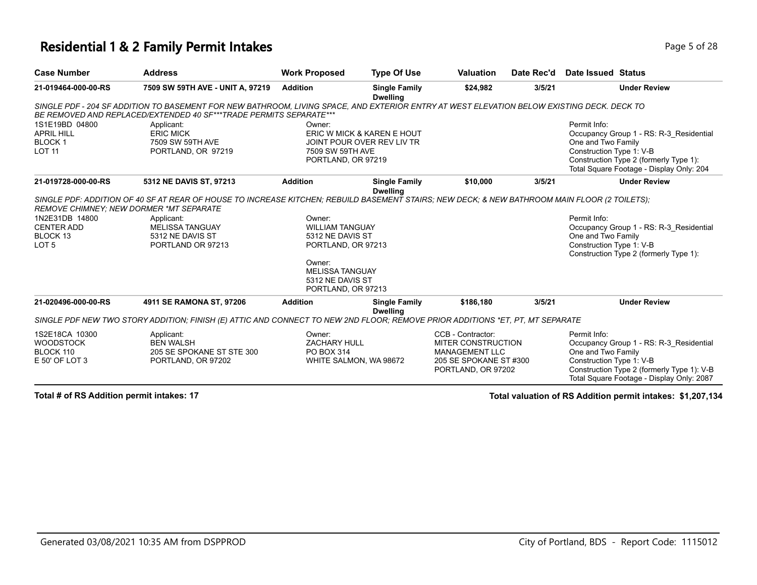#### **Residential 1 & 2 Family Permit Intakes Page 1 and 28 and 28 Page 1 and 28 Page 1 of 28**

| <b>Case Number</b>                                                  | <b>Address</b>                                                                                                                                                                                                   | <b>Work Proposed</b>                                                       | <b>Type Of Use</b>                                       | <b>Valuation</b>                                                                                                        | Date Rec'd | Date Issued Status                                                                                                                                                                                   |
|---------------------------------------------------------------------|------------------------------------------------------------------------------------------------------------------------------------------------------------------------------------------------------------------|----------------------------------------------------------------------------|----------------------------------------------------------|-------------------------------------------------------------------------------------------------------------------------|------------|------------------------------------------------------------------------------------------------------------------------------------------------------------------------------------------------------|
| 21-019464-000-00-RS                                                 | 7509 SW 59TH AVE - UNIT A, 97219                                                                                                                                                                                 | <b>Addition</b>                                                            | <b>Single Family</b><br><b>Dwelling</b>                  | \$24,982                                                                                                                | 3/5/21     | <b>Under Review</b>                                                                                                                                                                                  |
|                                                                     | SINGLE PDF - 204 SF ADDITION TO BASEMENT FOR NEW BATHROOM, LIVING SPACE, AND EXTERIOR ENTRY AT WEST ELEVATION BELOW EXISTING DECK. DECK TO<br>BE REMOVED AND REPLACED/EXTENDED 40 SF***TRADE PERMITS SEPARATE*** |                                                                            |                                                          |                                                                                                                         |            |                                                                                                                                                                                                      |
| 1S1E19BD 04800<br><b>APRIL HILL</b><br><b>BLOCK1</b>                | Applicant:<br><b>ERIC MICK</b><br>7509 SW 59TH AVE                                                                                                                                                               | Owner:                                                                     | ERIC W MICK & KAREN E HOUT<br>JOINT POUR OVER REV LIV TR |                                                                                                                         |            | Permit Info:<br>Occupancy Group 1 - RS: R-3 Residential<br>One and Two Family                                                                                                                        |
| <b>LOT 11</b>                                                       | PORTLAND, OR 97219                                                                                                                                                                                               | 7509 SW 59TH AVE<br>PORTLAND, OR 97219                                     |                                                          |                                                                                                                         |            | Construction Type 1: V-B<br>Construction Type 2 (formerly Type 1):<br>Total Square Footage - Display Only: 204                                                                                       |
| 21-019728-000-00-RS                                                 | 5312 NE DAVIS ST, 97213                                                                                                                                                                                          | <b>Addition</b>                                                            | <b>Single Family</b><br><b>Dwelling</b>                  | \$10,000                                                                                                                | 3/5/21     | <b>Under Review</b>                                                                                                                                                                                  |
|                                                                     | SINGLE PDF: ADDITION OF 40 SF AT REAR OF HOUSE TO INCREASE KITCHEN; REBUILD BASEMENT STAIRS; NEW DECK; & NEW BATHROOM MAIN FLOOR (2 TOILETS);<br><b>REMOVE CHIMNEY: NEW DORMER *MT SEPARATE</b>                  |                                                                            |                                                          |                                                                                                                         |            |                                                                                                                                                                                                      |
| 1N2E31DB 14800<br><b>CENTER ADD</b><br>BLOCK 13<br>LOT <sub>5</sub> | Applicant:<br><b>MELISSA TANGUAY</b><br>5312 NE DAVIS ST<br>PORTLAND OR 97213                                                                                                                                    | Owner:<br><b>WILLIAM TANGUAY</b><br>5312 NE DAVIS ST<br>PORTLAND, OR 97213 |                                                          |                                                                                                                         |            | Permit Info:<br>Occupancy Group 1 - RS: R-3_Residential<br>One and Two Family<br>Construction Type 1: V-B<br>Construction Type 2 (formerly Type 1):                                                  |
|                                                                     |                                                                                                                                                                                                                  | Owner:<br><b>MELISSA TANGUAY</b><br>5312 NE DAVIS ST<br>PORTLAND, OR 97213 |                                                          |                                                                                                                         |            |                                                                                                                                                                                                      |
| 21-020496-000-00-RS                                                 | 4911 SE RAMONA ST, 97206                                                                                                                                                                                         | <b>Addition</b>                                                            | <b>Single Family</b><br><b>Dwelling</b>                  | \$186,180                                                                                                               | 3/5/21     | <b>Under Review</b>                                                                                                                                                                                  |
|                                                                     | SINGLE PDF NEW TWO STORY ADDITION; FINISH (E) ATTIC AND CONNECT TO NEW 2ND FLOOR; REMOVE PRIOR ADDITIONS *ET, PT, MT SEPARATE                                                                                    |                                                                            |                                                          |                                                                                                                         |            |                                                                                                                                                                                                      |
| 1S2E18CA 10300<br><b>WOODSTOCK</b><br>BLOCK 110<br>E 50' OF LOT 3   | Applicant:<br><b>BEN WALSH</b><br>205 SE SPOKANE ST STE 300<br>PORTLAND, OR 97202                                                                                                                                | Owner:<br><b>ZACHARY HULL</b><br>PO BOX 314                                | WHITE SALMON, WA 98672                                   | CCB - Contractor:<br><b>MITER CONSTRUCTION</b><br><b>MANAGEMENT LLC</b><br>205 SE SPOKANE ST #300<br>PORTLAND, OR 97202 |            | Permit Info:<br>Occupancy Group 1 - RS: R-3 Residential<br>One and Two Family<br>Construction Type 1: V-B<br>Construction Type 2 (formerly Type 1): V-B<br>Total Square Footage - Display Only: 2087 |

**Total # of RS Addition permit intakes: 17 Total valuation of RS Addition permit intakes: \$1,207,134**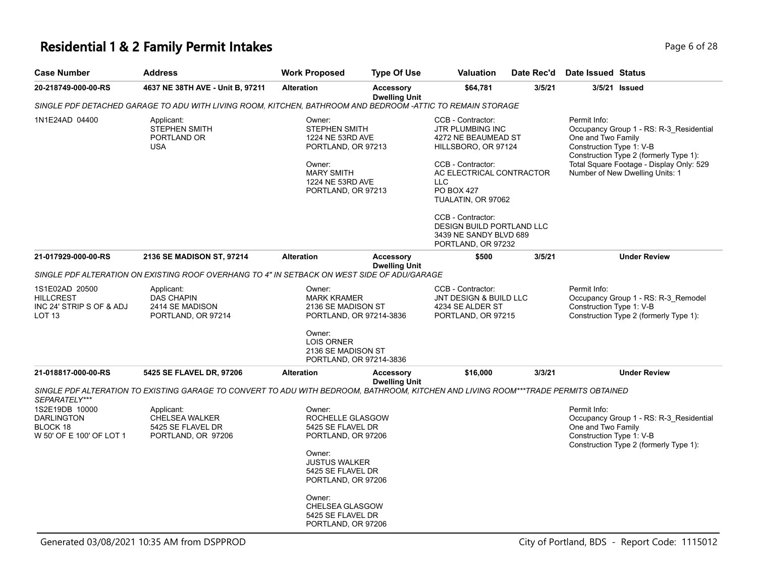# **Residential 1 & 2 Family Permit Intakes Page 6 of 28**

| Case Number                                                       | <b>Address</b>                                                                                                                      | <b>Work Proposed</b>                                                                                                                       | <b>Type Of Use</b>                       | <b>Valuation</b>                                                                                                                                                                                                                                                          | Date Rec'd | <b>Date Issued Status</b>                                                                                                                                                                                                          |  |
|-------------------------------------------------------------------|-------------------------------------------------------------------------------------------------------------------------------------|--------------------------------------------------------------------------------------------------------------------------------------------|------------------------------------------|---------------------------------------------------------------------------------------------------------------------------------------------------------------------------------------------------------------------------------------------------------------------------|------------|------------------------------------------------------------------------------------------------------------------------------------------------------------------------------------------------------------------------------------|--|
| 20-218749-000-00-RS                                               | 4637 NE 38TH AVE - Unit B, 97211                                                                                                    | <b>Alteration</b>                                                                                                                          | <b>Accessory</b><br><b>Dwelling Unit</b> | \$64,781                                                                                                                                                                                                                                                                  | 3/5/21     | 3/5/21 Issued                                                                                                                                                                                                                      |  |
|                                                                   | SINGLE PDF DETACHED GARAGE TO ADU WITH LIVING ROOM, KITCHEN, BATHROOM AND BEDROOM -ATTIC TO REMAIN STORAGE                          |                                                                                                                                            |                                          |                                                                                                                                                                                                                                                                           |            |                                                                                                                                                                                                                                    |  |
| 1N1E24AD 04400                                                    | Applicant:<br>STEPHEN SMITH<br>PORTLAND OR<br><b>USA</b>                                                                            | Owner:<br>STEPHEN SMITH<br>1224 NE 53RD AVE<br>PORTLAND, OR 97213<br>Owner:<br><b>MARY SMITH</b><br>1224 NE 53RD AVE<br>PORTLAND, OR 97213 |                                          | CCB - Contractor:<br>JTR PLUMBING INC<br>4272 NE BEAUMEAD ST<br>HILLSBORO, OR 97124<br>CCB - Contractor:<br>AC ELECTRICAL CONTRACTOR<br><b>LLC</b><br><b>PO BOX 427</b><br>TUALATIN, OR 97062<br>CCB - Contractor:<br>DESIGN BUILD PORTLAND LLC<br>3439 NE SANDY BLVD 689 |            | Permit Info:<br>Occupancy Group 1 - RS: R-3_Residential<br>One and Two Family<br>Construction Type 1: V-B<br>Construction Type 2 (formerly Type 1):<br>Total Square Footage - Display Only: 529<br>Number of New Dwelling Units: 1 |  |
| 21-017929-000-00-RS                                               | 2136 SE MADISON ST, 97214                                                                                                           | <b>Alteration</b>                                                                                                                          | <b>Accessory</b>                         | PORTLAND, OR 97232<br>\$500                                                                                                                                                                                                                                               | 3/5/21     | <b>Under Review</b>                                                                                                                                                                                                                |  |
|                                                                   | SINGLE PDF ALTERATION ON EXISTING ROOF OVERHANG TO 4" IN SETBACK ON WEST SIDE OF ADU/GARAGE                                         |                                                                                                                                            | <b>Dwelling Unit</b>                     |                                                                                                                                                                                                                                                                           |            |                                                                                                                                                                                                                                    |  |
|                                                                   |                                                                                                                                     |                                                                                                                                            |                                          |                                                                                                                                                                                                                                                                           |            |                                                                                                                                                                                                                                    |  |
| 1S1E02AD 20500<br>HILLCREST<br>INC 24' STRIP S OF & ADJ<br>LOT 13 | Applicant:<br><b>DAS CHAPIN</b><br>2414 SE MADISON<br>PORTLAND, OR 97214                                                            | Owner:<br><b>MARK KRAMER</b><br>2136 SE MADISON ST<br>PORTLAND, OR 97214-3836                                                              |                                          | CCB - Contractor:<br>JNT DESIGN & BUILD LLC<br>4234 SE ALDER ST<br>PORTLAND, OR 97215                                                                                                                                                                                     |            | Permit Info:<br>Occupancy Group 1 - RS: R-3_Remodel<br>Construction Type 1: V-B<br>Construction Type 2 (formerly Type 1):                                                                                                          |  |
|                                                                   |                                                                                                                                     | Owner:<br><b>LOIS ORNER</b><br>2136 SE MADISON ST<br>PORTLAND, OR 97214-3836                                                               |                                          |                                                                                                                                                                                                                                                                           |            |                                                                                                                                                                                                                                    |  |
| 21-018817-000-00-RS                                               | 5425 SE FLAVEL DR, 97206                                                                                                            | <b>Alteration</b>                                                                                                                          | <b>Accessory</b><br><b>Dwelling Unit</b> | \$16,000                                                                                                                                                                                                                                                                  | 3/3/21     | <b>Under Review</b>                                                                                                                                                                                                                |  |
| SEPARATELY***                                                     | SINGLE PDF ALTERATION TO EXISTING GARAGE TO CONVERT TO ADU WITH BEDROOM, BATHROOM, KITCHEN AND LIVING ROOM***TRADE PERMITS OBTAINED |                                                                                                                                            |                                          |                                                                                                                                                                                                                                                                           |            |                                                                                                                                                                                                                                    |  |
| 1S2E19DB 10000                                                    | Applicant:                                                                                                                          | Owner:                                                                                                                                     |                                          |                                                                                                                                                                                                                                                                           |            | Permit Info:                                                                                                                                                                                                                       |  |
| DARLINGTON                                                        | <b>CHELSEA WALKER</b>                                                                                                               | ROCHELLE GLASGOW                                                                                                                           |                                          |                                                                                                                                                                                                                                                                           |            | Occupancy Group 1 - RS: R-3 Residential                                                                                                                                                                                            |  |
| BLOCK 18                                                          | 5425 SE FLAVEL DR                                                                                                                   | 5425 SE FLAVEL DR                                                                                                                          |                                          |                                                                                                                                                                                                                                                                           |            | One and Two Family                                                                                                                                                                                                                 |  |
| W 50' OF E 100' OF LOT 1                                          | PORTLAND, OR 97206                                                                                                                  | PORTLAND, OR 97206                                                                                                                         |                                          |                                                                                                                                                                                                                                                                           |            | Construction Type 1: V-B<br>Construction Type 2 (formerly Type 1):                                                                                                                                                                 |  |
|                                                                   |                                                                                                                                     | Owner:<br><b>JUSTUS WALKER</b><br>5425 SE FLAVEL DR<br>PORTLAND, OR 97206                                                                  |                                          |                                                                                                                                                                                                                                                                           |            |                                                                                                                                                                                                                                    |  |
|                                                                   |                                                                                                                                     | Owner:<br>CHELSEA GLASGOW<br>5425 SE FLAVEL DR<br>PORTLAND, OR 97206                                                                       |                                          |                                                                                                                                                                                                                                                                           |            |                                                                                                                                                                                                                                    |  |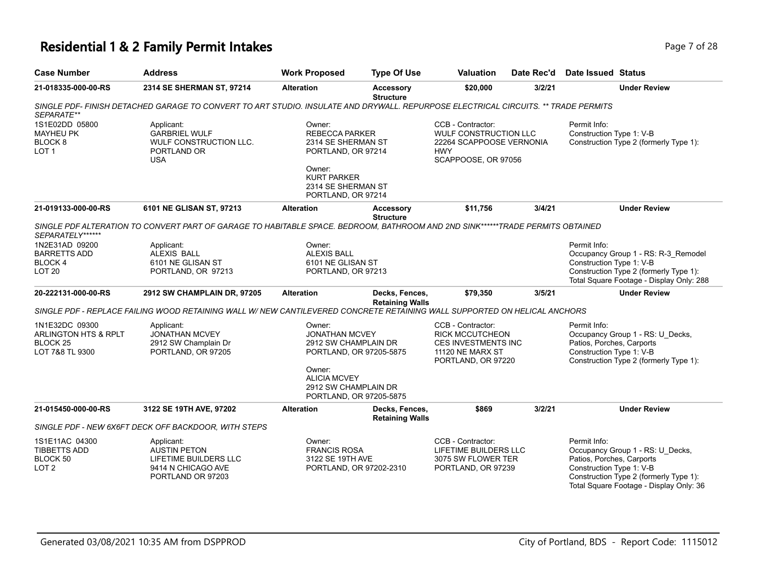# **Residential 1 & 2 Family Permit Intakes Page 7 of 28**

| <b>Case Number</b>                                                           | <b>Address</b>                                                                                                                                           | <b>Work Proposed</b>                                                                                                                                                   | <b>Type Of Use</b>                       | <b>Valuation</b>                                                                                                    | Date Rec'd | Date Issued Status                                                    |                                                                                                                           |
|------------------------------------------------------------------------------|----------------------------------------------------------------------------------------------------------------------------------------------------------|------------------------------------------------------------------------------------------------------------------------------------------------------------------------|------------------------------------------|---------------------------------------------------------------------------------------------------------------------|------------|-----------------------------------------------------------------------|---------------------------------------------------------------------------------------------------------------------------|
| 21-018335-000-00-RS                                                          | 2314 SE SHERMAN ST, 97214                                                                                                                                | <b>Alteration</b>                                                                                                                                                      | <b>Accessory</b><br><b>Structure</b>     | \$20,000                                                                                                            | 3/2/21     |                                                                       | <b>Under Review</b>                                                                                                       |
| SEPARATE**                                                                   | SINGLE PDF- FINISH DETACHED GARAGE TO CONVERT TO ART STUDIO. INSULATE AND DRYWALL. REPURPOSE ELECTRICAL CIRCUITS. ** TRADE PERMITS                       |                                                                                                                                                                        |                                          |                                                                                                                     |            |                                                                       |                                                                                                                           |
| 1S1E02DD 05800<br><b>MAYHEU PK</b><br>BLOCK <sub>8</sub><br>LOT <sub>1</sub> | Applicant:<br><b>GARBRIEL WULF</b><br>WULF CONSTRUCTION LLC.<br>PORTLAND OR<br><b>USA</b>                                                                | Owner:<br><b>REBECCA PARKER</b><br>2314 SE SHERMAN ST<br>PORTLAND, OR 97214<br>Owner:<br><b>KURT PARKER</b><br>2314 SE SHERMAN ST<br>PORTLAND, OR 97214                |                                          | CCB - Contractor:<br><b>WULF CONSTRUCTION LLC</b><br>22264 SCAPPOOSE VERNONIA<br><b>HWY</b><br>SCAPPOOSE, OR 97056  |            | Permit Info:<br>Construction Type 1: V-B                              | Construction Type 2 (formerly Type 1):                                                                                    |
| 21-019133-000-00-RS                                                          | 6101 NE GLISAN ST, 97213                                                                                                                                 | <b>Alteration</b>                                                                                                                                                      | <b>Accessory</b>                         | \$11,756                                                                                                            | 3/4/21     |                                                                       | <b>Under Review</b>                                                                                                       |
| SEPARATELY******                                                             | SINGLE PDF ALTERATION TO CONVERT PART OF GARAGE TO HABITABLE SPACE. BEDROOM, BATHROOM AND 2ND SINK******TRADE PERMITS OBTAINED                           |                                                                                                                                                                        | <b>Structure</b>                         |                                                                                                                     |            |                                                                       |                                                                                                                           |
| 1N2E31AD 09200<br><b>BARRETTS ADD</b><br><b>BLOCK4</b><br>LOT <sub>20</sub>  | Applicant:<br><b>ALEXIS BALL</b><br>6101 NE GLISAN ST<br>PORTLAND, OR 97213                                                                              | Owner:<br><b>ALEXIS BALL</b><br>6101 NE GLISAN ST<br>PORTLAND, OR 97213                                                                                                |                                          |                                                                                                                     |            | Permit Info:<br>Construction Type 1: V-B                              | Occupancy Group 1 - RS: R-3_Remodel<br>Construction Type 2 (formerly Type 1):<br>Total Square Footage - Display Only: 288 |
| 20-222131-000-00-RS                                                          | 2912 SW CHAMPLAIN DR, 97205<br>SINGLE PDF - REPLACE FAILING WOOD RETAINING WALL W/ NEW CANTILEVERED CONCRETE RETAINING WALL SUPPORTED ON HELICAL ANCHORS | <b>Alteration</b>                                                                                                                                                      | Decks, Fences,<br><b>Retaining Walls</b> | \$79,350                                                                                                            | 3/5/21     |                                                                       | <b>Under Review</b>                                                                                                       |
| 1N1E32DC 09300<br>ARLINGTON HTS & RPLT<br><b>BLOCK 25</b><br>LOT 7&8 TL 9300 | Applicant:<br><b>JONATHAN MCVEY</b><br>2912 SW Champlain Dr<br>PORTLAND, OR 97205                                                                        | Owner:<br><b>JONATHAN MCVEY</b><br>2912 SW CHAMPLAIN DR<br>PORTLAND, OR 97205-5875<br>Owner:<br><b>ALICIA MCVEY</b><br>2912 SW CHAMPLAIN DR<br>PORTLAND, OR 97205-5875 |                                          | CCB - Contractor:<br><b>RICK MCCUTCHEON</b><br><b>CES INVESTMENTS INC</b><br>11120 NE MARX ST<br>PORTLAND, OR 97220 |            | Permit Info:<br>Patios, Porches, Carports<br>Construction Type 1: V-B | Occupancy Group 1 - RS: U_Decks,<br>Construction Type 2 (formerly Type 1):                                                |
| 21-015450-000-00-RS                                                          | 3122 SE 19TH AVE, 97202                                                                                                                                  | <b>Alteration</b>                                                                                                                                                      | Decks, Fences,<br><b>Retaining Walls</b> | \$869                                                                                                               | 3/2/21     |                                                                       | <b>Under Review</b>                                                                                                       |
|                                                                              | SINGLE PDF - NEW 6X6FT DECK OFF BACKDOOR, WITH STEPS                                                                                                     |                                                                                                                                                                        |                                          |                                                                                                                     |            |                                                                       |                                                                                                                           |
| 1S1E11AC 04300<br><b>TIBBETTS ADD</b><br>BLOCK 50<br>LOT <sub>2</sub>        | Applicant:<br><b>AUSTIN PETON</b><br>LIFETIME BUILDERS LLC<br>9414 N CHICAGO AVE<br>PORTLAND OR 97203                                                    | Owner:<br><b>FRANCIS ROSA</b><br>3122 SE 19TH AVE<br>PORTLAND, OR 97202-2310                                                                                           |                                          | CCB - Contractor:<br>LIFETIME BUILDERS LLC<br>3075 SW FLOWER TER<br>PORTLAND, OR 97239                              |            | Permit Info:<br>Patios, Porches, Carports<br>Construction Type 1: V-B | Occupancy Group 1 - RS: U_Decks,<br>Construction Type 2 (formerly Type 1):<br>Total Square Footage - Display Only: 36     |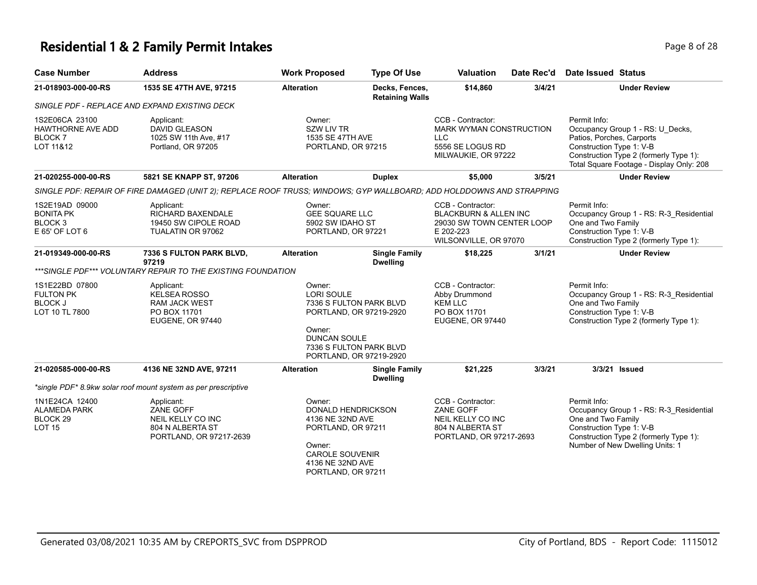#### **Residential 1 & 2 Family Permit Intakes Page 1 and 28 and 28 and 28 and 28 and 28 and 28 and 28 and 28 and 28 and 28 and 28 and 28 and 28 and 28 and 28 and 28 and 28 and 28 and 28 and 28 and 28 and 28 and 28 and 28 and**

| <b>Case Number</b>                                                            | <b>Address</b>                                                                                                       | <b>Work Proposed</b>                                                                                                           | <b>Type Of Use</b>                                                                                       | <b>Valuation</b>                                                                                                         | Date Rec'd | Date Issued Status                                                                                                                                                                              |
|-------------------------------------------------------------------------------|----------------------------------------------------------------------------------------------------------------------|--------------------------------------------------------------------------------------------------------------------------------|----------------------------------------------------------------------------------------------------------|--------------------------------------------------------------------------------------------------------------------------|------------|-------------------------------------------------------------------------------------------------------------------------------------------------------------------------------------------------|
| 21-018903-000-00-RS                                                           | 1535 SE 47TH AVE, 97215                                                                                              | <b>Alteration</b>                                                                                                              | Decks, Fences,<br><b>Retaining Walls</b>                                                                 | \$14,860                                                                                                                 | 3/4/21     | <b>Under Review</b>                                                                                                                                                                             |
|                                                                               | SINGLE PDF - REPLACE AND EXPAND EXISTING DECK                                                                        |                                                                                                                                |                                                                                                          |                                                                                                                          |            |                                                                                                                                                                                                 |
| 1S2E06CA 23100<br>HAWTHORNE AVE ADD<br><b>BLOCK7</b><br>LOT 11&12             | Applicant:<br><b>DAVID GLEASON</b><br>1025 SW 11th Ave, #17<br>Portland, OR 97205                                    | Owner:<br><b>SZW LIV TR</b><br>1535 SE 47TH AVE<br>PORTLAND, OR 97215                                                          |                                                                                                          | CCB - Contractor:<br>MARK WYMAN CONSTRUCTION<br><b>LLC</b><br>5556 SE LOGUS RD<br>MILWAUKIE, OR 97222                    |            | Permit Info:<br>Occupancy Group 1 - RS: U_Decks,<br>Patios, Porches, Carports<br>Construction Type 1: V-B<br>Construction Type 2 (formerly Type 1):<br>Total Square Footage - Display Only: 208 |
| 21-020255-000-00-RS                                                           | 5821 SE KNAPP ST, 97206                                                                                              | <b>Alteration</b>                                                                                                              | <b>Duplex</b>                                                                                            | \$5,000                                                                                                                  | 3/5/21     | <b>Under Review</b>                                                                                                                                                                             |
|                                                                               | SINGLE PDF: REPAIR OF FIRE DAMAGED (UNIT 2); REPLACE ROOF TRUSS; WINDOWS; GYP WALLBOARD; ADD HOLDDOWNS AND STRAPPING |                                                                                                                                |                                                                                                          |                                                                                                                          |            |                                                                                                                                                                                                 |
| 1S2E19AD 09000<br><b>BONITA PK</b><br>BLOCK <sub>3</sub><br>E 65' OF LOT 6    | Applicant:<br><b>RICHARD BAXENDALE</b><br>19450 SW CIPOLE ROAD<br>TUALATIN OR 97062                                  | Owner:<br><b>GEE SQUARE LLC</b><br>5902 SW IDAHO ST<br>PORTLAND, OR 97221                                                      |                                                                                                          | CCB - Contractor:<br><b>BLACKBURN &amp; ALLEN INC</b><br>29030 SW TOWN CENTER LOOP<br>E 202-223<br>WILSONVILLE, OR 97070 |            | Permit Info:<br>Occupancy Group 1 - RS: R-3_Residential<br>One and Two Family<br>Construction Type 1: V-B<br>Construction Type 2 (formerly Type 1):                                             |
| 21-019349-000-00-RS                                                           | <b>7336 S FULTON PARK BLVD,</b><br>97219                                                                             | <b>Alteration</b>                                                                                                              | <b>Single Family</b><br><b>Dwelling</b>                                                                  | \$18,225                                                                                                                 | 3/1/21     | <b>Under Review</b>                                                                                                                                                                             |
|                                                                               | ***SINGLE PDF*** VOLUNTARY REPAIR TO THE EXISTING FOUNDATION                                                         |                                                                                                                                |                                                                                                          |                                                                                                                          |            |                                                                                                                                                                                                 |
| 1S1E22BD 07800<br><b>FULTON PK</b><br><b>BLOCK J</b><br>LOT 10 TL 7800        | Applicant:<br><b>KELSEA ROSSO</b><br><b>RAM JACK WEST</b><br>PO BOX 11701<br><b>EUGENE, OR 97440</b>                 | Owner:<br>LORI SOULE<br>Owner:<br><b>DUNCAN SOULE</b>                                                                          | 7336 S FULTON PARK BLVD<br>PORTLAND, OR 97219-2920<br>7336 S FULTON PARK BLVD<br>PORTLAND, OR 97219-2920 | CCB - Contractor:<br>Abby Drummond<br><b>KEM LLC</b><br>PO BOX 11701<br>EUGENE, OR 97440                                 |            | Permit Info:<br>Occupancy Group 1 - RS: R-3 Residential<br>One and Two Family<br>Construction Type 1: V-B<br>Construction Type 2 (formerly Type 1):                                             |
| 21-020585-000-00-RS                                                           | 4136 NE 32ND AVE, 97211                                                                                              | <b>Alteration</b>                                                                                                              | <b>Single Family</b><br><b>Dwelling</b>                                                                  | \$21,225                                                                                                                 | 3/3/21     | 3/3/21 Issued                                                                                                                                                                                   |
|                                                                               | *single PDF* 8.9kw solar roof mount system as per prescriptive                                                       |                                                                                                                                |                                                                                                          |                                                                                                                          |            |                                                                                                                                                                                                 |
| 1N1E24CA 12400<br><b>ALAMEDA PARK</b><br>BLOCK <sub>29</sub><br><b>LOT 15</b> | Applicant:<br>ZANE GOFF<br>NEIL KELLY CO INC<br>804 N ALBERTA ST<br>PORTLAND, OR 97217-2639                          | Owner:<br>DONALD HENDRICKSON<br>4136 NE 32ND AVE<br>PORTLAND, OR 97211<br>Owner:<br><b>CAROLE SOUVENIR</b><br>4136 NE 32ND AVE |                                                                                                          | CCB - Contractor:<br><b>ZANE GOFF</b><br>NEIL KELLY CO INC<br>804 N ALBERTA ST<br>PORTLAND, OR 97217-2693                |            | Permit Info:<br>Occupancy Group 1 - RS: R-3_Residential<br>One and Two Family<br>Construction Type 1: V-B<br>Construction Type 2 (formerly Type 1):<br>Number of New Dwelling Units: 1          |

PORTLAND, OR 97211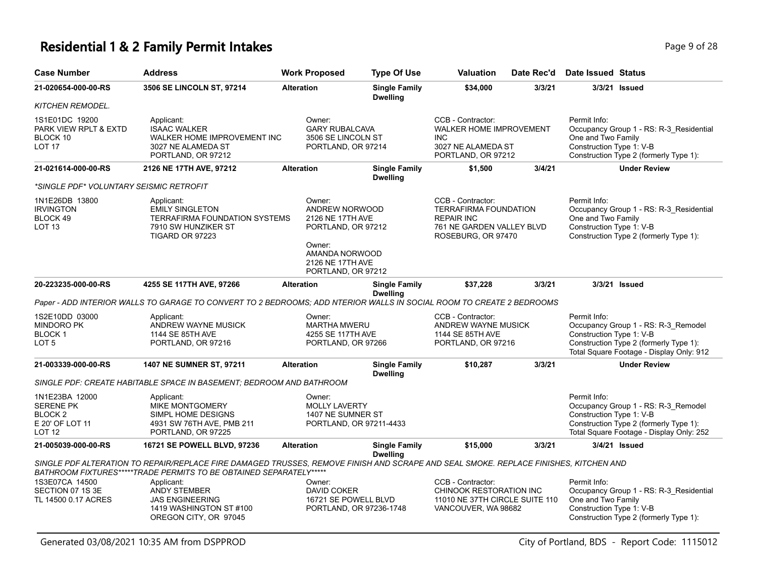# **Residential 1 & 2 Family Permit Intakes Page 1 and Security Page 9 of 28**

| <b>Case Number</b>                                                                           | <b>Address</b>                                                                                                                                                                                              | <b>Work Proposed</b>                                                                                                                     | <b>Type Of Use</b>                      | <b>Valuation</b>                                                                                                          | Date Rec'd | Date Issued Status                                                                                                                                                    |
|----------------------------------------------------------------------------------------------|-------------------------------------------------------------------------------------------------------------------------------------------------------------------------------------------------------------|------------------------------------------------------------------------------------------------------------------------------------------|-----------------------------------------|---------------------------------------------------------------------------------------------------------------------------|------------|-----------------------------------------------------------------------------------------------------------------------------------------------------------------------|
| 21-020654-000-00-RS                                                                          | 3506 SE LINCOLN ST, 97214                                                                                                                                                                                   | <b>Alteration</b>                                                                                                                        | <b>Single Family</b><br><b>Dwelling</b> | \$34,000                                                                                                                  | 3/3/21     | 3/3/21 Issued                                                                                                                                                         |
| <b>KITCHEN REMODEL.</b>                                                                      |                                                                                                                                                                                                             |                                                                                                                                          |                                         |                                                                                                                           |            |                                                                                                                                                                       |
| 1S1E01DC 19200<br>PARK VIEW RPLT & EXTD<br>BLOCK 10<br><b>LOT 17</b>                         | Applicant:<br><b>ISAAC WALKER</b><br>WALKER HOME IMPROVEMENT INC<br>3027 NE ALAMEDA ST<br>PORTLAND, OR 97212                                                                                                | Owner:<br><b>GARY RUBALCAVA</b><br>3506 SE LINCOLN ST<br>PORTLAND, OR 97214                                                              |                                         | CCB - Contractor:<br><b>WALKER HOME IMPROVEMENT</b><br><b>INC</b><br>3027 NE ALAMEDA ST<br>PORTLAND, OR 97212             |            | Permit Info:<br>Occupancy Group 1 - RS: R-3_Residential<br>One and Two Family<br>Construction Type 1: V-B<br>Construction Type 2 (formerly Type 1):                   |
| 21-021614-000-00-RS                                                                          | 2126 NE 17TH AVE, 97212                                                                                                                                                                                     | <b>Alteration</b>                                                                                                                        | <b>Single Family</b><br><b>Dwelling</b> | \$1,500                                                                                                                   | 3/4/21     | <b>Under Review</b>                                                                                                                                                   |
| *SINGLE PDF* VOLUNTARY SEISMIC RETROFIT                                                      |                                                                                                                                                                                                             |                                                                                                                                          |                                         |                                                                                                                           |            |                                                                                                                                                                       |
| 1N1E26DB 13800<br><b>IRVINGTON</b><br>BLOCK 49<br>LOT <sub>13</sub>                          | Applicant:<br><b>EMILY SINGLETON</b><br><b>TERRAFIRMA FOUNDATION SYSTEMS</b><br>7910 SW HUNZIKER ST<br>TIGARD OR 97223                                                                                      | Owner:<br>ANDREW NORWOOD<br>2126 NE 17TH AVE<br>PORTLAND, OR 97212<br>Owner:<br>AMANDA NORWOOD<br>2126 NE 17TH AVE<br>PORTLAND, OR 97212 |                                         | CCB - Contractor:<br><b>TERRAFIRMA FOUNDATION</b><br><b>REPAIR INC</b><br>761 NE GARDEN VALLEY BLVD<br>ROSEBURG, OR 97470 |            | Permit Info:<br>Occupancy Group 1 - RS: R-3_Residential<br>One and Two Family<br>Construction Type 1: V-B<br>Construction Type 2 (formerly Type 1):                   |
| 20-223235-000-00-RS                                                                          | 4255 SE 117TH AVE, 97266                                                                                                                                                                                    | <b>Alteration</b>                                                                                                                        | <b>Single Family</b><br><b>Dwelling</b> | \$37,228                                                                                                                  | 3/3/21     | 3/3/21 Issued                                                                                                                                                         |
|                                                                                              | Paper - ADD INTERIOR WALLS TO GARAGE TO CONVERT TO 2 BEDROOMS; ADD NTERIOR WALLS IN SOCIAL ROOM TO CREATE 2 BEDROOMS                                                                                        |                                                                                                                                          |                                         |                                                                                                                           |            |                                                                                                                                                                       |
| 1S2E10DD 03000<br>MINDORO PK<br><b>BLOCK1</b><br>LOT 5                                       | Applicant:<br>ANDREW WAYNE MUSICK<br>1144 SE 85TH AVE<br>PORTLAND, OR 97216                                                                                                                                 | Owner:<br><b>MARTHA MWERU</b><br>4255 SE 117TH AVE<br>PORTLAND, OR 97266                                                                 |                                         | CCB - Contractor:<br>ANDREW WAYNE MUSICK<br>1144 SE 85TH AVE<br>PORTLAND, OR 97216                                        |            | Permit Info:<br>Occupancy Group 1 - RS: R-3_Remodel<br>Construction Type 1: V-B<br>Construction Type 2 (formerly Type 1):<br>Total Square Footage - Display Only: 912 |
| 21-003339-000-00-RS                                                                          | 1407 NE SUMNER ST, 97211                                                                                                                                                                                    | <b>Alteration</b>                                                                                                                        | <b>Single Family</b><br><b>Dwelling</b> | \$10,287                                                                                                                  | 3/3/21     | <b>Under Review</b>                                                                                                                                                   |
|                                                                                              | SINGLE PDF: CREATE HABITABLE SPACE IN BASEMENT: BEDROOM AND BATHROOM                                                                                                                                        |                                                                                                                                          |                                         |                                                                                                                           |            |                                                                                                                                                                       |
| 1N1E23BA 12000<br><b>SERENE PK</b><br>BLOCK <sub>2</sub><br>E 20' OF LOT 11<br><b>LOT 12</b> | Applicant:<br><b>MIKE MONTGOMERY</b><br>SIMPL HOME DESIGNS<br>4931 SW 76TH AVE, PMB 211<br>PORTLAND, OR 97225                                                                                               | Owner:<br><b>MOLLY LAVERTY</b><br>1407 NE SUMNER ST<br>PORTLAND, OR 97211-4433                                                           |                                         |                                                                                                                           |            | Permit Info:<br>Occupancy Group 1 - RS: R-3_Remodel<br>Construction Type 1: V-B<br>Construction Type 2 (formerly Type 1):<br>Total Square Footage - Display Only: 252 |
| 21-005039-000-00-RS                                                                          | 16721 SE POWELL BLVD, 97236                                                                                                                                                                                 | <b>Alteration</b>                                                                                                                        | <b>Single Family</b>                    | \$15,000                                                                                                                  | 3/3/21     | 3/4/21 Issued                                                                                                                                                         |
|                                                                                              | SINGLE PDF ALTERATION TO REPAIR/REPLACE FIRE DAMAGED TRUSSES, REMOVE FINISH AND SCRAPE AND SEAL SMOKE. REPLACE FINISHES, KITCHEN AND<br>BATHROOM FIXTURES******TRADE PERMITS TO BE OBTAINED SEPARATELY***** |                                                                                                                                          | <b>Dwelling</b>                         |                                                                                                                           |            |                                                                                                                                                                       |
| 1S3E07CA 14500                                                                               | Applicant:                                                                                                                                                                                                  | Owner:                                                                                                                                   |                                         | CCB - Contractor:                                                                                                         |            | Permit Info:                                                                                                                                                          |
| SECTION 07 1S 3E<br>TL 14500 0.17 ACRES                                                      | <b>ANDY STEMBER</b><br><b>JAS ENGINEERING</b><br>1419 WASHINGTON ST#100<br>OREGON CITY, OR 97045                                                                                                            | <b>DAVID COKER</b><br>16721 SE POWELL BLVD<br>PORTLAND, OR 97236-1748                                                                    |                                         | CHINOOK RESTORATION INC<br>11010 NE 37TH CIRCLE SUITE 110<br>VANCOUVER, WA 98682                                          |            | Occupancy Group 1 - RS: R-3_Residential<br>One and Two Family<br>Construction Type 1: V-B<br>Construction Type 2 (formerly Type 1):                                   |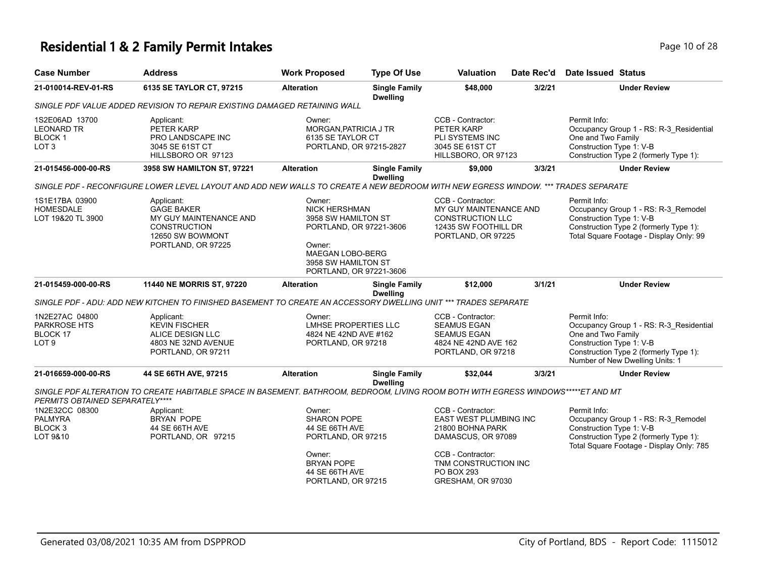# **Residential 1 & 2 Family Permit Intakes Page 10 of 28** Page 10 of 28

| <b>Case Number</b>                                                 | <b>Address</b>                                                                                                                     | <b>Work Proposed</b>                                                                                                                                             | <b>Type Of Use</b>                      | <b>Valuation</b>                                                                                                                                                      | Date Rec'd | <b>Date Issued Status</b>                                                                                                                                                              |
|--------------------------------------------------------------------|------------------------------------------------------------------------------------------------------------------------------------|------------------------------------------------------------------------------------------------------------------------------------------------------------------|-----------------------------------------|-----------------------------------------------------------------------------------------------------------------------------------------------------------------------|------------|----------------------------------------------------------------------------------------------------------------------------------------------------------------------------------------|
| 21-010014-REV-01-RS                                                | 6135 SE TAYLOR CT, 97215                                                                                                           | <b>Alteration</b>                                                                                                                                                | <b>Single Family</b><br><b>Dwelling</b> | \$48,000                                                                                                                                                              | 3/2/21     | <b>Under Review</b>                                                                                                                                                                    |
|                                                                    | SINGLE PDF VALUE ADDED REVISION TO REPAIR EXISTING DAMAGED RETAINING WALL                                                          |                                                                                                                                                                  |                                         |                                                                                                                                                                       |            |                                                                                                                                                                                        |
| 1S2E06AD 13700<br>LEONARD TR<br><b>BLOCK1</b><br>LOT <sub>3</sub>  | Applicant:<br>PETER KARP<br>PRO LANDSCAPE INC<br>3045 SE 61ST CT<br>HILLSBORO OR 97123                                             | Owner:<br>MORGAN, PATRICIA J TR<br>6135 SE TAYLOR CT<br>PORTLAND, OR 97215-2827                                                                                  |                                         | CCB - Contractor:<br>PETER KARP<br><b>PLI SYSTEMS INC</b><br>3045 SE 61ST CT<br>HILLSBORO, OR 97123                                                                   |            | Permit Info:<br>Occupancy Group 1 - RS: R-3 Residential<br>One and Two Family<br>Construction Type 1: V-B<br>Construction Type 2 (formerly Type 1):                                    |
| 21-015456-000-00-RS                                                | 3958 SW HAMILTON ST, 97221                                                                                                         | <b>Alteration</b>                                                                                                                                                | <b>Single Family</b><br><b>Dwelling</b> | \$9,000                                                                                                                                                               | 3/3/21     | <b>Under Review</b>                                                                                                                                                                    |
|                                                                    | SINGLE PDF - RECONFIGURE LOWER LEVEL LAYOUT AND ADD NEW WALLS TO CREATE A NEW BEDROOM WITH NEW EGRESS WINDOW. *** TRADES SEPARATE  |                                                                                                                                                                  |                                         |                                                                                                                                                                       |            |                                                                                                                                                                                        |
| 1S1E17BA 03900<br><b>HOMESDALE</b><br>LOT 19&20 TL 3900            | Applicant:<br><b>GAGE BAKER</b><br>MY GUY MAINTENANCE AND<br><b>CONSTRUCTION</b><br>12650 SW BOWMONT<br>PORTLAND, OR 97225         | Owner:<br><b>NICK HERSHMAN</b><br>3958 SW HAMILTON ST<br>PORTLAND, OR 97221-3606<br>Owner:<br>MAEGAN LOBO-BERG<br>3958 SW HAMILTON ST<br>PORTLAND, OR 97221-3606 |                                         | CCB - Contractor:<br>MY GUY MAINTENANCE AND<br>CONSTRUCTION LLC<br>12435 SW FOOTHILL DR<br>PORTLAND, OR 97225                                                         |            | Permit Info:<br>Occupancy Group 1 - RS: R-3_Remodel<br>Construction Type 1: V-B<br>Construction Type 2 (formerly Type 1):<br>Total Square Footage - Display Only: 99                   |
| 21-015459-000-00-RS                                                | 11440 NE MORRIS ST, 97220                                                                                                          | <b>Alteration</b>                                                                                                                                                | <b>Single Family</b><br><b>Dwelling</b> | \$12,000                                                                                                                                                              | 3/1/21     | <b>Under Review</b>                                                                                                                                                                    |
|                                                                    | SINGLE PDF - ADU: ADD NEW KITCHEN TO FINISHED BASEMENT TO CREATE AN ACCESSORY DWELLING UNIT *** TRADES SEPARATE                    |                                                                                                                                                                  |                                         |                                                                                                                                                                       |            |                                                                                                                                                                                        |
| 1N2E27AC 04800<br><b>PARKROSE HTS</b><br>BLOCK 17<br>LOT 9         | Applicant:<br><b>KEVIN FISCHER</b><br>ALICE DESIGN LLC<br>4803 NE 32ND AVENUE<br>PORTLAND, OR 97211                                | Owner:<br><b>LMHSE PROPERTIES LLC</b><br>4824 NE 42ND AVE #162<br>PORTLAND, OR 97218                                                                             |                                         | CCB - Contractor:<br><b>SEAMUS EGAN</b><br><b>SEAMUS EGAN</b><br>4824 NE 42ND AVE 162<br>PORTLAND, OR 97218                                                           |            | Permit Info:<br>Occupancy Group 1 - RS: R-3_Residential<br>One and Two Family<br>Construction Type 1: V-B<br>Construction Type 2 (formerly Type 1):<br>Number of New Dwelling Units: 1 |
| 21-016659-000-00-RS                                                | 44 SE 66TH AVE, 97215                                                                                                              | <b>Alteration</b>                                                                                                                                                | <b>Single Family</b>                    | \$32,044                                                                                                                                                              | 3/3/21     | <b>Under Review</b>                                                                                                                                                                    |
| PERMITS OBTAINED SEPARATELY****                                    | SINGLE PDF ALTERATION TO CREATE HABITABLE SPACE IN BASEMENT. BATHROOM, BEDROOM, LIVING ROOM BOTH WITH EGRESS WINDOWS*****ET AND MT |                                                                                                                                                                  | <b>Dwelling</b>                         |                                                                                                                                                                       |            |                                                                                                                                                                                        |
| 1N2E32CC 08300<br><b>PALMYRA</b><br>BLOCK <sub>3</sub><br>LOT 9&10 | Applicant:<br><b>BRYAN POPE</b><br>44 SE 66TH AVE<br>PORTLAND, OR 97215                                                            | Owner:<br><b>SHARON POPE</b><br>44 SE 66TH AVE<br>PORTLAND, OR 97215<br>Owner:<br><b>BRYAN POPE</b><br>44 SE 66TH AVE<br>PORTLAND, OR 97215                      |                                         | CCB - Contractor:<br>EAST WEST PLUMBING INC<br>21800 BOHNA PARK<br>DAMASCUS, OR 97089<br>CCB - Contractor:<br>TNM CONSTRUCTION INC<br>PO BOX 293<br>GRESHAM, OR 97030 |            | Permit Info:<br>Occupancy Group 1 - RS: R-3_Remodel<br>Construction Type 1: V-B<br>Construction Type 2 (formerly Type 1):<br>Total Square Footage - Display Only: 785                  |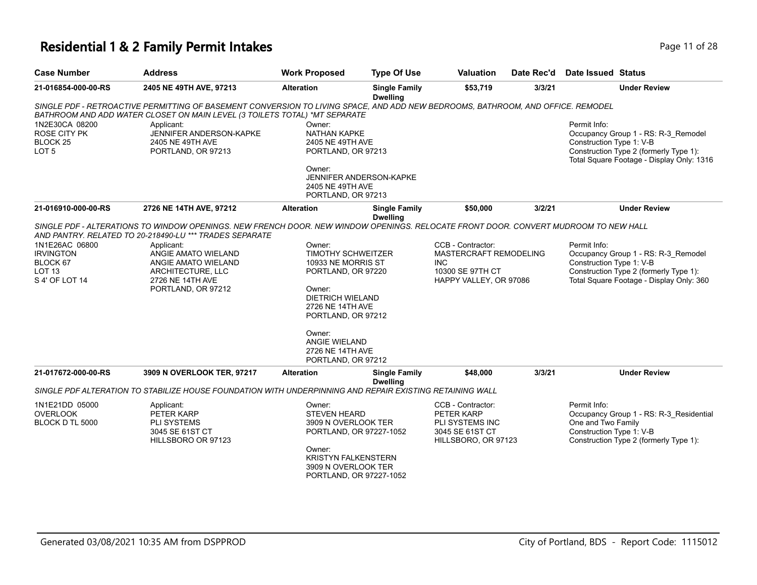# **Residential 1 & 2 Family Permit Intakes Page 11 of 28**

| <b>Case Number</b>                                                                | <b>Address</b>                                                                                                                                                                                                                                                                                                            | <b>Work Proposed</b>                                                                                                                                                      | <b>Type Of Use</b>                      | <b>Valuation</b>                                                                                        | Date Rec'd | Date Issued Status                                                                                                                                                     |
|-----------------------------------------------------------------------------------|---------------------------------------------------------------------------------------------------------------------------------------------------------------------------------------------------------------------------------------------------------------------------------------------------------------------------|---------------------------------------------------------------------------------------------------------------------------------------------------------------------------|-----------------------------------------|---------------------------------------------------------------------------------------------------------|------------|------------------------------------------------------------------------------------------------------------------------------------------------------------------------|
| 21-016854-000-00-RS                                                               | 2405 NE 49TH AVE, 97213                                                                                                                                                                                                                                                                                                   | <b>Alteration</b>                                                                                                                                                         | <b>Single Family</b><br><b>Dwelling</b> | \$53,719                                                                                                | 3/3/21     | <b>Under Review</b>                                                                                                                                                    |
|                                                                                   | SINGLE PDF - RETROACTIVE PERMITTING OF BASEMENT CONVERSION TO LIVING SPACE, AND ADD NEW BEDROOMS, BATHROOM, AND OFFICE. REMODEL<br>BATHROOM AND ADD WATER CLOSET ON MAIN LEVEL (3 TOILETS TOTAL) *MT SEPARATE                                                                                                             |                                                                                                                                                                           |                                         |                                                                                                         |            |                                                                                                                                                                        |
| 1N2E30CA 08200<br><b>ROSE CITY PK</b><br>BLOCK <sub>25</sub><br>LOT <sub>5</sub>  | Applicant:<br>JENNIFER ANDERSON-KAPKE<br>2405 NE 49TH AVE<br>PORTLAND, OR 97213                                                                                                                                                                                                                                           | Owner:<br>NATHAN KAPKE<br>2405 NE 49TH AVE<br>PORTLAND, OR 97213                                                                                                          |                                         |                                                                                                         |            | Permit Info:<br>Occupancy Group 1 - RS: R-3_Remodel<br>Construction Type 1: V-B<br>Construction Type 2 (formerly Type 1):<br>Total Square Footage - Display Only: 1316 |
|                                                                                   |                                                                                                                                                                                                                                                                                                                           | Owner:<br>JENNIFER ANDERSON-KAPKE<br>2405 NE 49TH AVE<br>PORTLAND, OR 97213                                                                                               |                                         |                                                                                                         |            |                                                                                                                                                                        |
| 21-016910-000-00-RS                                                               | 2726 NE 14TH AVE, 97212                                                                                                                                                                                                                                                                                                   | <b>Alteration</b>                                                                                                                                                         | <b>Single Family</b>                    | \$50,000                                                                                                | 3/2/21     | <b>Under Review</b>                                                                                                                                                    |
| 1N1E26AC 06800<br><b>IRVINGTON</b><br>BLOCK 67<br><b>LOT 13</b><br>S 4' OF LOT 14 | SINGLE PDF - ALTERATIONS TO WINDOW OPENINGS. NEW FRENCH DOOR. NEW WINDOW OPENINGS. RELOCATE FRONT DOOR. CONVERT MUDROOM TO NEW HALL<br>AND PANTRY. RELATED TO 20-218490-LU *** TRADES SEPARATE<br>Applicant:<br>ANGIE AMATO WIELAND<br>ANGIE AMATO WIELAND<br>ARCHITECTURE, LLC<br>2726 NE 14TH AVE<br>PORTLAND, OR 97212 | Owner:<br><b>TIMOTHY SCHWEITZER</b><br>10933 NE MORRIS ST<br>PORTLAND, OR 97220<br>Owner:<br><b>DIETRICH WIELAND</b>                                                      | <b>Dwelling</b>                         | CCB - Contractor:<br>MASTERCRAFT REMODELING<br><b>INC</b><br>10300 SE 97TH CT<br>HAPPY VALLEY, OR 97086 |            | Permit Info:<br>Occupancy Group 1 - RS: R-3_Remodel<br>Construction Type 1: V-B<br>Construction Type 2 (formerly Type 1):<br>Total Square Footage - Display Only: 360  |
|                                                                                   |                                                                                                                                                                                                                                                                                                                           | 2726 NE 14TH AVE<br>PORTLAND, OR 97212<br>Owner:<br>ANGIE WIELAND<br>2726 NE 14TH AVE<br>PORTLAND, OR 97212                                                               |                                         |                                                                                                         |            |                                                                                                                                                                        |
| 21-017672-000-00-RS                                                               | 3909 N OVERLOOK TER, 97217                                                                                                                                                                                                                                                                                                | <b>Alteration</b>                                                                                                                                                         | <b>Single Family</b><br><b>Dwelling</b> | \$48,000                                                                                                | 3/3/21     | <b>Under Review</b>                                                                                                                                                    |
|                                                                                   | SINGLE PDF ALTERATION TO STABILIZE HOUSE FOUNDATION WITH UNDERPINNING AND REPAIR EXISTING RETAINING WALL                                                                                                                                                                                                                  |                                                                                                                                                                           |                                         |                                                                                                         |            |                                                                                                                                                                        |
| 1N1E21DD 05000<br><b>OVERLOOK</b><br>BLOCK D TL 5000                              | Applicant:<br>PETER KARP<br>PLI SYSTEMS<br>3045 SE 61ST CT<br>HILLSBORO OR 97123                                                                                                                                                                                                                                          | Owner:<br><b>STEVEN HEARD</b><br>3909 N OVERLOOK TER<br>PORTLAND, OR 97227-1052<br>Owner:<br><b>KRISTYN FALKENSTERN</b><br>3909 N OVERLOOK TER<br>PORTLAND, OR 97227-1052 |                                         | CCB - Contractor:<br>PETER KARP<br>PLI SYSTEMS INC<br>3045 SE 61ST CT<br>HILLSBORO, OR 97123            |            | Permit Info:<br>Occupancy Group 1 - RS: R-3_Residential<br>One and Two Family<br>Construction Type 1: V-B<br>Construction Type 2 (formerly Type 1):                    |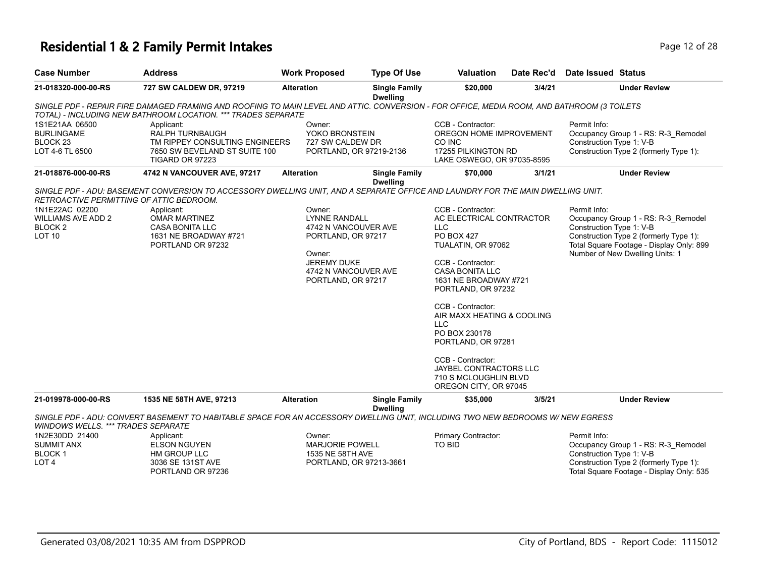# **Residential 1 & 2 Family Permit Intakes Page 12 of 28** Page 12 of 28

| <b>Case Number</b>                                                                                                         | <b>Address</b>                                                                                                                                                                                                                                | <b>Work Proposed</b>                                                                                                                                       | <b>Type Of Use</b>                      | <b>Valuation</b>                                                                                                                                                                                                                                                                                                                                                                                       | Date Rec'd | Date Issued Status                                                                                                                                                                                       |
|----------------------------------------------------------------------------------------------------------------------------|-----------------------------------------------------------------------------------------------------------------------------------------------------------------------------------------------------------------------------------------------|------------------------------------------------------------------------------------------------------------------------------------------------------------|-----------------------------------------|--------------------------------------------------------------------------------------------------------------------------------------------------------------------------------------------------------------------------------------------------------------------------------------------------------------------------------------------------------------------------------------------------------|------------|----------------------------------------------------------------------------------------------------------------------------------------------------------------------------------------------------------|
| 21-018320-000-00-RS                                                                                                        | 727 SW CALDEW DR, 97219                                                                                                                                                                                                                       | <b>Alteration</b>                                                                                                                                          | <b>Single Family</b><br><b>Dwelling</b> | \$20,000                                                                                                                                                                                                                                                                                                                                                                                               | 3/4/21     | <b>Under Review</b>                                                                                                                                                                                      |
|                                                                                                                            | SINGLE PDF - REPAIR FIRE DAMAGED FRAMING AND ROOFING TO MAIN LEVEL AND ATTIC. CONVERSION - FOR OFFICE, MEDIA ROOM, AND BATHROOM (3 TOILETS<br>TOTAL) - INCLUDING NEW BATHROOM LOCATION. *** TRADES SEPARATE                                   |                                                                                                                                                            |                                         |                                                                                                                                                                                                                                                                                                                                                                                                        |            |                                                                                                                                                                                                          |
| 1S1E21AA 06500<br><b>BURLINGAME</b><br>BLOCK 23<br>LOT 4-6 TL 6500                                                         | Applicant:<br><b>RALPH TURNBAUGH</b><br>TM RIPPEY CONSULTING ENGINEERS<br>7650 SW BEVELAND ST SUITE 100<br><b>TIGARD OR 97223</b>                                                                                                             | Owner:<br>YOKO BRONSTEIN<br>727 SW CALDEW DR<br>PORTLAND, OR 97219-2136                                                                                    |                                         | CCB - Contractor:<br>OREGON HOME IMPROVEMENT<br>CO INC<br>17255 PILKINGTON RD<br>LAKE OSWEGO, OR 97035-8595                                                                                                                                                                                                                                                                                            |            | Permit Info:<br>Occupancy Group 1 - RS: R-3 Remodel<br>Construction Type 1: V-B<br>Construction Type 2 (formerly Type 1):                                                                                |
| 21-018876-000-00-RS                                                                                                        | 4742 N VANCOUVER AVE, 97217                                                                                                                                                                                                                   | <b>Alteration</b>                                                                                                                                          | <b>Single Family</b><br><b>Dwelling</b> | \$70,000                                                                                                                                                                                                                                                                                                                                                                                               | 3/1/21     | <b>Under Review</b>                                                                                                                                                                                      |
| RETROACTIVE PERMITTING OF ATTIC BEDROOM.<br>1N1E22AC 02200<br><b>WILLIAMS AVE ADD 2</b><br><b>BLOCK 2</b><br><b>LOT 10</b> | SINGLE PDF - ADU: BASEMENT CONVERSION TO ACCESSORY DWELLING UNIT, AND A SEPARATE OFFICE AND LAUNDRY FOR THE MAIN DWELLING UNIT.<br>Applicant:<br><b>OMAR MARTINEZ</b><br><b>CASA BONITA LLC</b><br>1631 NE BROADWAY #721<br>PORTLAND OR 97232 | Owner:<br><b>LYNNE RANDALL</b><br>4742 N VANCOUVER AVE<br>PORTLAND, OR 97217<br>Owner:<br><b>JEREMY DUKE</b><br>4742 N VANCOUVER AVE<br>PORTLAND, OR 97217 |                                         | CCB - Contractor:<br>AC ELECTRICAL CONTRACTOR<br>LLC<br><b>PO BOX 427</b><br>TUALATIN, OR 97062<br>CCB - Contractor:<br><b>CASA BONITA LLC</b><br>1631 NE BROADWAY #721<br>PORTLAND, OR 97232<br>CCB - Contractor:<br>AIR MAXX HEATING & COOLING<br><b>LLC</b><br>PO BOX 230178<br>PORTLAND, OR 97281<br>CCB - Contractor:<br>JAYBEL CONTRACTORS LLC<br>710 S MCLOUGHLIN BLVD<br>OREGON CITY, OR 97045 |            | Permit Info:<br>Occupancy Group 1 - RS: R-3 Remodel<br>Construction Type 1: V-B<br>Construction Type 2 (formerly Type 1):<br>Total Square Footage - Display Only: 899<br>Number of New Dwelling Units: 1 |
| 21-019978-000-00-RS                                                                                                        | 1535 NE 58TH AVE, 97213                                                                                                                                                                                                                       | <b>Alteration</b>                                                                                                                                          | <b>Single Family</b>                    | \$35,000                                                                                                                                                                                                                                                                                                                                                                                               | 3/5/21     | <b>Under Review</b>                                                                                                                                                                                      |
| <i>WINDOWS WELLS. *** TRADES SEPARATE</i>                                                                                  | SINGLE PDF - ADU: CONVERT BASEMENT TO HABITABLE SPACE FOR AN ACCESSORY DWELLING UNIT, INCLUDING TWO NEW BEDROOMS W/ NEW EGRESS                                                                                                                |                                                                                                                                                            | <b>Dwelling</b>                         |                                                                                                                                                                                                                                                                                                                                                                                                        |            |                                                                                                                                                                                                          |
| 1N2E30DD 21400<br><b>SUMMIT ANX</b><br><b>BLOCK1</b><br>LOT <sub>4</sub>                                                   | Applicant:<br><b>ELSON NGUYEN</b><br>HM GROUP LLC<br>3036 SE 131ST AVE<br>PORTLAND OR 97236                                                                                                                                                   | Owner:<br><b>MARJORIE POWELL</b><br>1535 NE 58TH AVE<br>PORTLAND, OR 97213-3661                                                                            |                                         | Primary Contractor:<br>TO BID                                                                                                                                                                                                                                                                                                                                                                          |            | Permit Info:<br>Occupancy Group 1 - RS: R-3 Remodel<br>Construction Type 1: V-B<br>Construction Type 2 (formerly Type 1):<br>Total Square Footage - Display Only: 535                                    |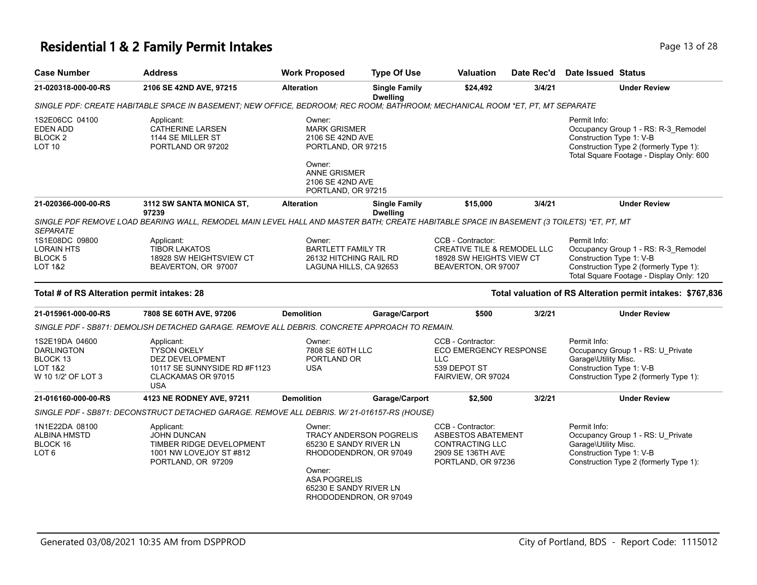# **Residential 1 & 2 Family Permit Intakes Page 13 of 28** Page 13 of 28

| <b>Case Number</b>                                                                          | <b>Address</b>                                                                                                                           | <b>Work Proposed</b>                                                                        | <b>Type Of Use</b>                                                          | <b>Valuation</b>                                                                                                    | Date Rec'd | <b>Date Issued Status</b>                                                                                                                                             |
|---------------------------------------------------------------------------------------------|------------------------------------------------------------------------------------------------------------------------------------------|---------------------------------------------------------------------------------------------|-----------------------------------------------------------------------------|---------------------------------------------------------------------------------------------------------------------|------------|-----------------------------------------------------------------------------------------------------------------------------------------------------------------------|
| 21-020318-000-00-RS                                                                         | 2106 SE 42ND AVE, 97215                                                                                                                  | <b>Alteration</b>                                                                           | <b>Single Family</b><br><b>Dwelling</b>                                     | \$24,492                                                                                                            | 3/4/21     | <b>Under Review</b>                                                                                                                                                   |
|                                                                                             | SINGLE PDF: CREATE HABITABLE SPACE IN BASEMENT; NEW OFFICE, BEDROOM; REC ROOM; BATHROOM; MECHANICAL ROOM *ET, PT, MT SEPARATE            |                                                                                             |                                                                             |                                                                                                                     |            |                                                                                                                                                                       |
| 1S2E06CC 04100<br><b>EDEN ADD</b><br>BLOCK <sub>2</sub><br>LOT <sub>10</sub>                | Applicant:<br><b>CATHERINE LARSEN</b><br>1144 SE MILLER ST<br>PORTLAND OR 97202                                                          | Owner:<br><b>MARK GRISMER</b><br>2106 SE 42ND AVE<br>PORTLAND, OR 97215<br>Owner:           |                                                                             |                                                                                                                     |            | Permit Info:<br>Occupancy Group 1 - RS: R-3_Remodel<br>Construction Type 1: V-B<br>Construction Type 2 (formerly Type 1):<br>Total Square Footage - Display Only: 600 |
|                                                                                             |                                                                                                                                          | <b>ANNE GRISMER</b><br>2106 SE 42ND AVE<br>PORTLAND, OR 97215                               |                                                                             |                                                                                                                     |            |                                                                                                                                                                       |
| 21-020366-000-00-RS                                                                         | 3112 SW SANTA MONICA ST,<br>97239                                                                                                        | <b>Alteration</b>                                                                           | <b>Single Family</b><br><b>Dwelling</b>                                     | \$15,000                                                                                                            | 3/4/21     | <b>Under Review</b>                                                                                                                                                   |
| <b>SEPARATE</b>                                                                             | SINGLE PDF REMOVE LOAD BEARING WALL, REMODEL MAIN LEVEL HALL AND MASTER BATH; CREATE HABITABLE SPACE IN BASEMENT (3 TOILETS) *ET, PT, MT |                                                                                             |                                                                             |                                                                                                                     |            |                                                                                                                                                                       |
| 1S1E08DC 09800<br><b>LORAIN HTS</b><br><b>BLOCK 5</b><br>LOT 1&2                            | Applicant:<br><b>TIBOR LAKATOS</b><br>18928 SW HEIGHTSVIEW CT<br>BEAVERTON, OR 97007                                                     | Owner:<br><b>BARTLETT FAMILY TR</b><br>26132 HITCHING RAIL RD<br>LAGUNA HILLS, CA 92653     |                                                                             | CCB - Contractor:<br><b>CREATIVE TILE &amp; REMODEL LLC</b><br>18928 SW HEIGHTS VIEW CT<br>BEAVERTON, OR 97007      |            | Permit Info:<br>Occupancy Group 1 - RS: R-3_Remodel<br>Construction Type 1: V-B<br>Construction Type 2 (formerly Type 1):<br>Total Square Footage - Display Only: 120 |
| Total # of RS Alteration permit intakes: 28                                                 |                                                                                                                                          |                                                                                             |                                                                             |                                                                                                                     |            | Total valuation of RS Alteration permit intakes: \$767,836                                                                                                            |
| 21-015961-000-00-RS                                                                         | 7808 SE 60TH AVE, 97206                                                                                                                  | <b>Demolition</b>                                                                           | Garage/Carport                                                              | \$500                                                                                                               | 3/2/21     | <b>Under Review</b>                                                                                                                                                   |
|                                                                                             | SINGLE PDF - SB871: DEMOLISH DETACHED GARAGE. REMOVE ALL DEBRIS. CONCRETE APPROACH TO REMAIN.                                            |                                                                                             |                                                                             |                                                                                                                     |            |                                                                                                                                                                       |
| 1S2E19DA 04600<br><b>DARLINGTON</b><br>BLOCK 13<br><b>LOT 1&amp;2</b><br>W 10 1/2' OF LOT 3 | Applicant:<br><b>TYSON OKELY</b><br>DEZ DEVELOPMENT<br>10117 SE SUNNYSIDE RD #F1123<br>CLACKAMAS OR 97015<br><b>USA</b>                  | Owner:<br>7808 SE 60TH LLC<br>PORTLAND OR<br><b>USA</b>                                     |                                                                             | CCB - Contractor:<br><b>ECO EMERGENCY RESPONSE</b><br><b>LLC</b><br>539 DEPOT ST<br>FAIRVIEW, OR 97024              |            | Permit Info:<br>Occupancy Group 1 - RS: U_Private<br>Garage\Utility Misc.<br>Construction Type 1: V-B<br>Construction Type 2 (formerly Type 1):                       |
| 21-016160-000-00-RS                                                                         | 4123 NE RODNEY AVE, 97211                                                                                                                | <b>Demolition</b>                                                                           | Garage/Carport                                                              | \$2,500                                                                                                             | 3/2/21     | <b>Under Review</b>                                                                                                                                                   |
|                                                                                             | SINGLE PDF - SB871: DECONSTRUCT DETACHED GARAGE. REMOVE ALL DEBRIS. W/ 21-016157-RS (HOUSE)                                              |                                                                                             |                                                                             |                                                                                                                     |            |                                                                                                                                                                       |
| 1N1E22DA 08100<br>ALBINA HMSTD<br>BLOCK 16<br>LOT <sub>6</sub>                              | Applicant:<br>JOHN DUNCAN<br>TIMBER RIDGE DEVELOPMENT<br>1001 NW LOVEJOY ST #812<br>PORTLAND, OR 97209                                   | Owner:<br>65230 E SANDY RIVER LN<br>Owner:<br><b>ASA POGRELIS</b><br>65230 E SANDY RIVER LN | TRACY ANDERSON POGRELIS<br>RHODODENDRON, OR 97049<br>RHODODENDRON, OR 97049 | CCB - Contractor:<br><b>ASBESTOS ABATEMENT</b><br><b>CONTRACTING LLC</b><br>2909 SE 136TH AVE<br>PORTLAND, OR 97236 |            | Permit Info:<br>Occupancy Group 1 - RS: U_Private<br>Garage\Utility Misc.<br>Construction Type 1: V-B<br>Construction Type 2 (formerly Type 1):                       |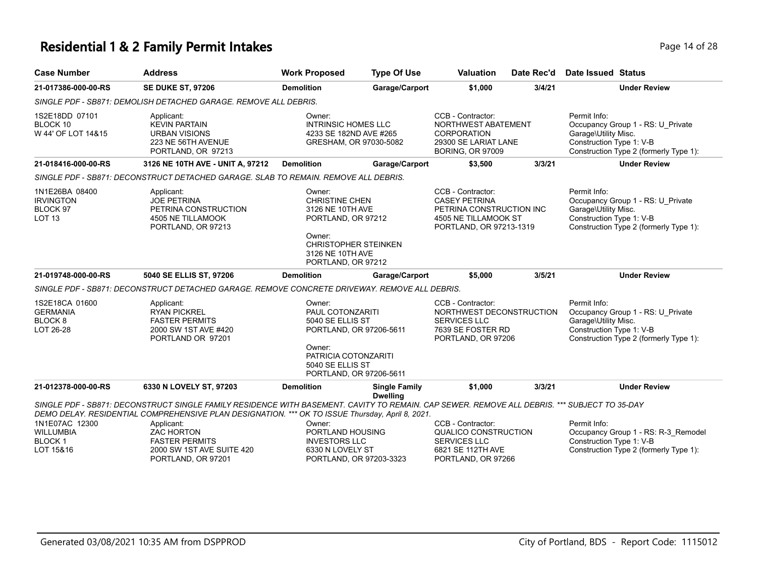#### **Residential 1 & 2 Family Permit Intakes Page 14 of 28** Page 14 of 28

**21-017386-000-00-RS SE DUKE ST, 97206 Demolition Garage/Carport \$1,000 3/4/21 Under Review** *SINGLE PDF - SB871: DEMOLISH DETACHED GARAGE. REMOVE ALL DEBRIS.* Permit Info: Occupancy Group 1 - RS: U\_Private Garage\Utility Misc. Construction Type 1: V-B Construction Type 2 (formerly Type 1): CCB - Contractor: NORTHWEST ABATEMENT CORPORATION 29300 SE LARIAT LANE BORING, OR 97009 Owner: INTRINSIC HOMES LLC 4233 SE 182ND AVE #265 GRESHAM, OR 97030-5082 Applicant: KEVIN PARTAIN URBAN VISIONS 223 NE 56TH AVENUE PORTLAND, OR 97213 1S2E18DD 07101 BLOCK 10 W 44' OF LOT 14&15 **21-018416-000-00-RS 3126 NE 10TH AVE - UNIT A, 97212 Demolition Garage/Carport \$3,500 3/3/21 Under Review** *SINGLE PDF - SB871: DECONSTRUCT DETACHED GARAGE. SLAB TO REMAIN. REMOVE ALL DEBRIS.* Permit Info: Occupancy Group 1 - RS: U\_Private Garage\Utility Misc. Construction Type 1: V-B Construction Type 2 (formerly Type 1): CCB - Contractor: CASEY PETRINA PETRINA CONSTRUCTION INC 4505 NE TILLAMOOK ST PORTLAND, OR 97213-1319 Owner: CHRISTINE CHEN 3126 NE 10TH AVE PORTLAND, OR 97212 Owner: CHRISTOPHER STEINKEN 3126 NE 10TH AVE PORTLAND, OR 97212 Applicant: JOE PETRINA PETRINA CONSTRUCTION 4505 NE TILLAMOOK PORTLAND, OR 97213 1N1E26BA 08400 **IRVINGTON** BLOCK 97 LOT 13 **21-019748-000-00-RS 5040 SE ELLIS ST, 97206 Demolition Garage/Carport \$5,000 3/5/21 Under Review** *SINGLE PDF - SB871: DECONSTRUCT DETACHED GARAGE. REMOVE CONCRETE DRIVEWAY. REMOVE ALL DEBRIS.* Permit Info: CCB - Contractor: Owner: Applicant: 1S2E18CA 01600

| <b>GERMANIA</b><br>BLOCK 8<br>LOT 26-28 | <b>RYAN PICKREL</b><br>PAUL COTONZARITI<br>5040 SE ELLIS ST<br><b>FASTER PERMITS</b><br>2000 SW 1ST AVE #420<br>PORTLAND, OR 97206-5611<br>PORTLAND OR 97201 |                                |                                         | NORTHWEST DECONSTRUCTION<br><b>SERVICES LLC</b><br>7639 SE FOSTER RD<br>PORTLAND, OR 97206 |        | Occupancy Group 1 - RS: U Private<br>Garage\Utility Misc.<br>Construction Type 1: V-B<br>Construction Type 2 (formerly Type 1): |  |
|-----------------------------------------|--------------------------------------------------------------------------------------------------------------------------------------------------------------|--------------------------------|-----------------------------------------|--------------------------------------------------------------------------------------------|--------|---------------------------------------------------------------------------------------------------------------------------------|--|
|                                         |                                                                                                                                                              | Owner:<br>PATRICIA COTONZARITI |                                         |                                                                                            |        |                                                                                                                                 |  |
|                                         |                                                                                                                                                              | 5040 SE ELLIS ST               |                                         |                                                                                            |        |                                                                                                                                 |  |
|                                         |                                                                                                                                                              | PORTLAND, OR 97206-5611        |                                         |                                                                                            |        |                                                                                                                                 |  |
| 21-012378-000-00-RS                     | 6330 N LOVELY ST. 97203                                                                                                                                      | <b>Demolition</b>              | <b>Single Family</b><br><b>Dwelling</b> | \$1.000                                                                                    | 3/3/21 | <b>Under Review</b>                                                                                                             |  |
|                                         | SINGLE PDF - SB871: DECONSTRUCT SINGLE FAMILY RESIDENCE WITH BASEMENT. CAVITY TO REMAIN. CAP SEWER. REMOVE ALL DEBRIS. *** SUBJECT TO 35-DAY                 |                                |                                         |                                                                                            |        |                                                                                                                                 |  |
|                                         | DEMO DELAY. RESIDENTIAL COMPREHENSIVE PLAN DESIGNATION. *** OK TO ISSUE Thursday, April 8, 2021.                                                             |                                |                                         |                                                                                            |        |                                                                                                                                 |  |
| 1N1E07AC 12300                          | Applicant:                                                                                                                                                   | Owner:                         |                                         | CCB - Contractor:                                                                          |        | Permit Info:                                                                                                                    |  |
| <b>WILLUMBIA</b>                        | <b>ZAC HORTON</b>                                                                                                                                            | PORTLAND HOUSING               |                                         | QUALICO CONSTRUCTION                                                                       |        | Occupancy Group 1 - RS: R-3 Remodel                                                                                             |  |
| BLOCK 1                                 | <b>FASTER PERMITS</b>                                                                                                                                        | <b>INVESTORS LLC</b>           |                                         | <b>SERVICES LLC</b>                                                                        |        | Construction Type 1: V-B                                                                                                        |  |
| LOT 15&16                               |                                                                                                                                                              |                                |                                         |                                                                                            |        |                                                                                                                                 |  |

PORTLAND, OR 97203-3323

PORTLAND, OR 97266

PORTLAND, OR 97201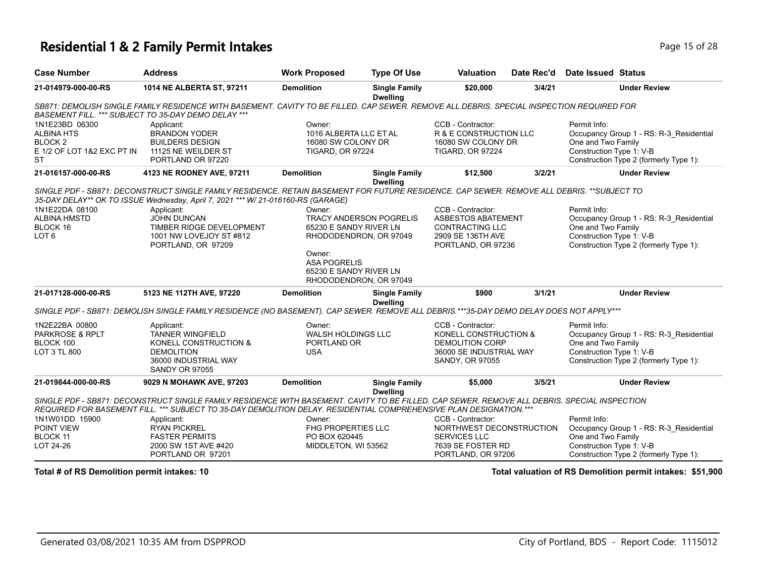#### **Residential 1 & 2 Family Permit Intakes Page 15 of 28 Page 15 of 28**

| <b>Case Number</b>                                                                                   | <b>Address</b>                                                                                                                                                                                                                                                     | <b>Work Proposed</b>                                                                         | <b>Type Of Use</b>                      | <b>Valuation</b>                                                                                                    | Date Rec'd | Date Issued Status                                                                                                                                  |  |  |  |
|------------------------------------------------------------------------------------------------------|--------------------------------------------------------------------------------------------------------------------------------------------------------------------------------------------------------------------------------------------------------------------|----------------------------------------------------------------------------------------------|-----------------------------------------|---------------------------------------------------------------------------------------------------------------------|------------|-----------------------------------------------------------------------------------------------------------------------------------------------------|--|--|--|
| 21-014979-000-00-RS                                                                                  | 1014 NE ALBERTA ST, 97211                                                                                                                                                                                                                                          | <b>Demolition</b>                                                                            | <b>Single Family</b><br><b>Dwelling</b> | \$20,000                                                                                                            | 3/4/21     | <b>Under Review</b>                                                                                                                                 |  |  |  |
|                                                                                                      | SB871: DEMOLISH SINGLE FAMILY RESIDENCE WITH BASEMENT. CAVITY TO BE FILLED. CAP SEWER. REMOVE ALL DEBRIS. SPECIAL INSPECTION REQUIRED FOR<br>BASEMENT FILL. *** SUBJECT TO 35-DAY DEMO DELAY ***                                                                   |                                                                                              |                                         |                                                                                                                     |            |                                                                                                                                                     |  |  |  |
| 1N1E23BD 06300<br><b>ALBINA HTS</b><br>BLOCK <sub>2</sub><br>E 1/2 OF LOT 1&2 EXC PT IN<br><b>ST</b> | Applicant:<br><b>BRANDON YODER</b><br><b>BUILDERS DESIGN</b><br>11125 NE WEILDER ST<br>PORTLAND OR 97220                                                                                                                                                           | Owner:<br>1016 ALBERTA LLC ET AL<br>16080 SW COLONY DR<br><b>TIGARD, OR 97224</b>            |                                         | CCB - Contractor:<br>R & E CONSTRUCTION LLC<br>16080 SW COLONY DR<br><b>TIGARD, OR 97224</b>                        |            | Permit Info:<br>Occupancy Group 1 - RS: R-3_Residential<br>One and Two Family<br>Construction Type 1: V-B<br>Construction Type 2 (formerly Type 1): |  |  |  |
| 21-016157-000-00-RS                                                                                  | 4123 NE RODNEY AVE, 97211                                                                                                                                                                                                                                          | <b>Demolition</b>                                                                            | <b>Single Family</b><br><b>Dwelling</b> | \$12,500                                                                                                            | 3/2/21     | <b>Under Review</b>                                                                                                                                 |  |  |  |
|                                                                                                      | SINGLE PDF - SB871: DECONSTRUCT SINGLE FAMILY RESIDENCE. RETAIN BASEMENT FOR FUTURE RESIDENCE. CAP SEWER. REMOVE ALL DEBRIS. **SUBJECT TO<br>35-DAY DELAY** OK TO ISSUE Wednesday, April 7, 2021 *** W/ 21-016160-RS (GARAGE)                                      |                                                                                              |                                         |                                                                                                                     |            |                                                                                                                                                     |  |  |  |
| 1N1E22DA 08100<br><b>ALBINA HMSTD</b><br>BLOCK 16<br>LOT <sub>6</sub>                                | Applicant:<br><b>JOHN DUNCAN</b><br>TIMBER RIDGE DEVELOPMENT<br>1001 NW LOVEJOY ST #812<br>PORTLAND, OR 97209                                                                                                                                                      | Owner:<br><b>TRACY ANDERSON POGRELIS</b><br>65230 E SANDY RIVER LN<br>RHODODENDRON, OR 97049 |                                         | CCB - Contractor:<br><b>ASBESTOS ABATEMENT</b><br><b>CONTRACTING LLC</b><br>2909 SE 136TH AVE<br>PORTLAND, OR 97236 |            | Permit Info:<br>Occupancy Group 1 - RS: R-3 Residential<br>One and Two Family<br>Construction Type 1: V-B<br>Construction Type 2 (formerly Type 1): |  |  |  |
|                                                                                                      |                                                                                                                                                                                                                                                                    | Owner:<br><b>ASA POGRELIS</b><br>65230 E SANDY RIVER LN<br>RHODODENDRON, OR 97049            |                                         |                                                                                                                     |            |                                                                                                                                                     |  |  |  |
| 21-017128-000-00-RS                                                                                  | 5123 NE 112TH AVE, 97220                                                                                                                                                                                                                                           | <b>Demolition</b>                                                                            | <b>Single Family</b><br><b>Dwelling</b> | \$900                                                                                                               | 3/1/21     | <b>Under Review</b>                                                                                                                                 |  |  |  |
|                                                                                                      | SINGLE PDF - SB871: DEMOLISH SINGLE FAMILY RESIDENCE (NO BASEMENT). CAP SEWER. REMOVE ALL DEBRIS.***35-DAY DEMO DELAY DOES NOT APPLY***                                                                                                                            |                                                                                              |                                         |                                                                                                                     |            |                                                                                                                                                     |  |  |  |
| 1N2E22BA 00800<br><b>PARKROSE &amp; RPLT</b><br>BLOCK 100<br>LOT 3 TL 800                            | Applicant:<br><b>TANNER WINGFIELD</b><br>KONELL CONSTRUCTION &<br><b>DEMOLITION</b><br>36000 INDUSTRIAL WAY<br><b>SANDY OR 97055</b>                                                                                                                               | Owner:<br><b>WALSH HOLDINGS LLC</b><br>PORTLAND OR<br><b>USA</b>                             |                                         | CCB - Contractor:<br>KONELL CONSTRUCTION &<br><b>DEMOLITION CORP</b><br>36000 SE INDUSTRIAL WAY<br>SANDY, OR 97055  |            | Permit Info:<br>Occupancy Group 1 - RS: R-3 Residential<br>One and Two Family<br>Construction Type 1: V-B<br>Construction Type 2 (formerly Type 1): |  |  |  |
| 21-019844-000-00-RS                                                                                  | 9029 N MOHAWK AVE, 97203                                                                                                                                                                                                                                           | <b>Demolition</b>                                                                            | <b>Single Family</b><br><b>Dwelling</b> | \$5,000                                                                                                             | 3/5/21     | <b>Under Review</b>                                                                                                                                 |  |  |  |
|                                                                                                      | SINGLE PDF - SB871: DECONSTRUCT SINGLE FAMILY RESIDENCE WITH BASEMENT. CAVITY TO BE FILLED. CAP SEWER. REMOVE ALL DEBRIS. SPECIAL INSPECTION<br>REQUIRED FOR BASEMENT FILL. *** SUBJECT TO 35-DAY DEMOLITION DELAY. RESIDENTIAL COMPREHENSIVE PLAN DESIGNATION.*** |                                                                                              |                                         |                                                                                                                     |            |                                                                                                                                                     |  |  |  |
| 1N1W01DD 15900<br>POINT VIEW<br><b>BLOCK 11</b><br>LOT 24-26                                         | Applicant:<br><b>RYAN PICKREL</b><br><b>FASTER PERMITS</b><br>2000 SW 1ST AVE #420<br>PORTLAND OR 97201                                                                                                                                                            | Owner:<br><b>FHG PROPERTIES LLC</b><br>PO BOX 620445<br>MIDDLETON, WI 53562                  |                                         | CCB - Contractor:<br>NORTHWEST DECONSTRUCTION<br><b>SERVICES LLC</b><br>7639 SE FOSTER RD<br>PORTLAND, OR 97206     |            | Permit Info:<br>Occupancy Group 1 - RS: R-3 Residential<br>One and Two Family<br>Construction Type 1: V-B<br>Construction Type 2 (formerly Type 1): |  |  |  |

**Total # of RS Demolition permit intakes: 10 Total valuation of RS Demolition permit intakes: \$51,900**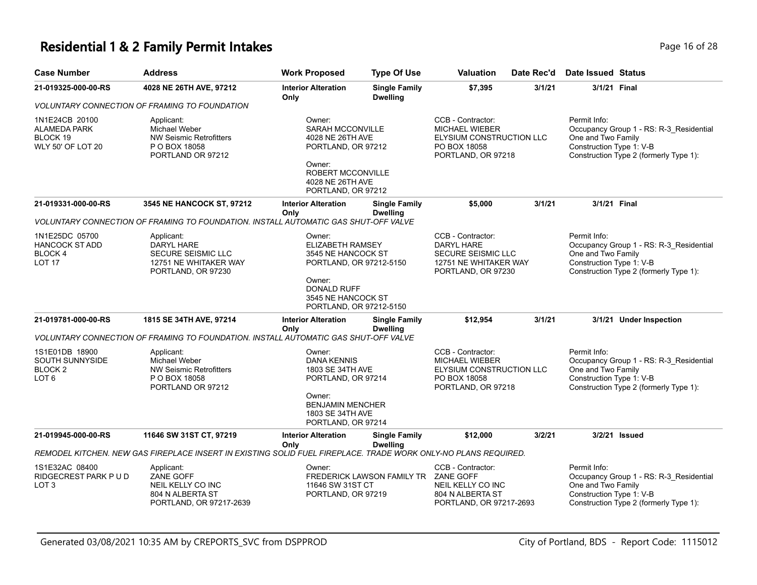## **Residential 1 & 2 Family Permit Intakes Page 16 of 28 Page 16 of 28**

| <b>Case Number</b>                                                     | <b>Address</b>                                                                                                 | <b>Work Proposed</b>                                                                                                                                  | <b>Type Of Use</b>                      | <b>Valuation</b>                                                                                             | Date Rec'd | <b>Date Issued Status</b>                                                                                                                           |  |
|------------------------------------------------------------------------|----------------------------------------------------------------------------------------------------------------|-------------------------------------------------------------------------------------------------------------------------------------------------------|-----------------------------------------|--------------------------------------------------------------------------------------------------------------|------------|-----------------------------------------------------------------------------------------------------------------------------------------------------|--|
| 21-019325-000-00-RS                                                    | 4028 NE 26TH AVE, 97212                                                                                        | <b>Interior Alteration</b><br>Only                                                                                                                    | <b>Single Family</b><br><b>Dwelling</b> | \$7,395                                                                                                      | 3/1/21     | 3/1/21 Final                                                                                                                                        |  |
|                                                                        | <b>VOLUNTARY CONNECTION OF FRAMING TO FOUNDATION</b>                                                           |                                                                                                                                                       |                                         |                                                                                                              |            |                                                                                                                                                     |  |
| 1N1E24CB 20100<br><b>ALAMEDA PARK</b><br>BLOCK 19<br>WLY 50' OF LOT 20 | Applicant:<br>Michael Weber<br><b>NW Seismic Retrofitters</b><br>P O BOX 18058<br>PORTLAND OR 97212            | Owner:<br><b>SARAH MCCONVILLE</b><br>4028 NE 26TH AVE<br>PORTLAND, OR 97212<br>Owner:<br>ROBERT MCCONVILLE<br>4028 NE 26TH AVE                        |                                         | CCB - Contractor:<br><b>MICHAEL WIEBER</b><br>ELYSIUM CONSTRUCTION LLC<br>PO BOX 18058<br>PORTLAND, OR 97218 |            | Permit Info:<br>Occupancy Group 1 - RS: R-3 Residential<br>One and Two Family<br>Construction Type 1: V-B<br>Construction Type 2 (formerly Type 1): |  |
|                                                                        |                                                                                                                | PORTLAND, OR 97212                                                                                                                                    |                                         |                                                                                                              |            |                                                                                                                                                     |  |
| 21-019331-000-00-RS                                                    | 3545 NE HANCOCK ST, 97212                                                                                      | <b>Interior Alteration</b><br>Only                                                                                                                    | <b>Single Family</b><br><b>Dwelling</b> | \$5,000                                                                                                      | 3/1/21     | 3/1/21 Final                                                                                                                                        |  |
|                                                                        | VOLUNTARY CONNECTION OF FRAMING TO FOUNDATION. INSTALL AUTOMATIC GAS SHUT-OFF VALVE                            |                                                                                                                                                       |                                         |                                                                                                              |            |                                                                                                                                                     |  |
| 1N1E25DC 05700<br><b>HANCOCK ST ADD</b><br>BLOCK 4<br><b>LOT 17</b>    | Applicant:<br>DARYL HARE<br><b>SECURE SEISMIC LLC</b><br>12751 NE WHITAKER WAY<br>PORTLAND, OR 97230           | Owner:<br><b>ELIZABETH RAMSEY</b><br>3545 NE HANCOCK ST<br>PORTLAND, OR 97212-5150<br>Owner:<br>DONALD RUFF<br>3545 NE HANCOCK ST                     |                                         | CCB - Contractor:<br><b>DARYL HARE</b><br>SECURE SEISMIC LLC<br>12751 NE WHITAKER WAY<br>PORTLAND, OR 97230  |            | Permit Info:<br>Occupancy Group 1 - RS: R-3_Residential<br>One and Two Family<br>Construction Type 1: V-B<br>Construction Type 2 (formerly Type 1): |  |
|                                                                        |                                                                                                                | PORTLAND, OR 97212-5150                                                                                                                               |                                         |                                                                                                              |            |                                                                                                                                                     |  |
| 21-019781-000-00-RS                                                    | 1815 SE 34TH AVE, 97214                                                                                        | <b>Interior Alteration</b><br>Only                                                                                                                    | <b>Single Family</b><br><b>Dwelling</b> | \$12,954                                                                                                     | 3/1/21     | 3/1/21 Under Inspection                                                                                                                             |  |
|                                                                        | VOLUNTARY CONNECTION OF FRAMING TO FOUNDATION. INSTALL AUTOMATIC GAS SHUT-OFF VALVE                            |                                                                                                                                                       |                                         |                                                                                                              |            |                                                                                                                                                     |  |
| 1S1E01DB 18900<br>SOUTH SUNNYSIDE<br>BLOCK <sub>2</sub><br>LOT 6       | Applicant:<br>Michael Weber<br><b>NW Seismic Retrofitters</b><br>P O BOX 18058<br>PORTLAND OR 97212            | Owner:<br><b>DANA KENNIS</b><br>1803 SE 34TH AVE<br>PORTLAND, OR 97214<br>Owner:<br><b>BENJAMIN MENCHER</b><br>1803 SE 34TH AVE<br>PORTLAND, OR 97214 |                                         | CCB - Contractor:<br><b>MICHAEL WIEBER</b><br>ELYSIUM CONSTRUCTION LLC<br>PO BOX 18058<br>PORTLAND, OR 97218 |            | Permit Info:<br>Occupancy Group 1 - RS: R-3_Residential<br>One and Two Family<br>Construction Type 1: V-B<br>Construction Type 2 (formerly Type 1): |  |
| 21-019945-000-00-RS                                                    | 11646 SW 31ST CT, 97219                                                                                        | <b>Interior Alteration</b>                                                                                                                            | <b>Single Family</b>                    | \$12,000                                                                                                     | 3/2/21     | 3/2/21 Issued                                                                                                                                       |  |
|                                                                        | REMODEL KITCHEN. NEW GAS FIREPLACE INSERT IN EXISTING SOLID FUEL FIREPLACE. TRADE WORK ONLY-NO PLANS REQUIRED. | Only                                                                                                                                                  | <b>Dwelling</b>                         |                                                                                                              |            |                                                                                                                                                     |  |
| 1S1E32AC 08400<br>RIDGECREST PARK PUD<br>LOT 3                         | Applicant:<br>ZANE GOFF<br>NEIL KELLY CO INC<br>804 N ALBERTA ST<br>PORTLAND, OR 97217-2639                    | Owner:<br>11646 SW 31ST CT<br>PORTLAND, OR 97219                                                                                                      | FREDERICK LAWSON FAMILY TR              | CCB - Contractor:<br>ZANE GOFF<br>NEIL KELLY CO INC<br>804 N ALBERTA ST<br>PORTLAND, OR 97217-2693           |            | Permit Info:<br>Occupancy Group 1 - RS: R-3_Residential<br>One and Two Family<br>Construction Type 1: V-B<br>Construction Type 2 (formerly Type 1): |  |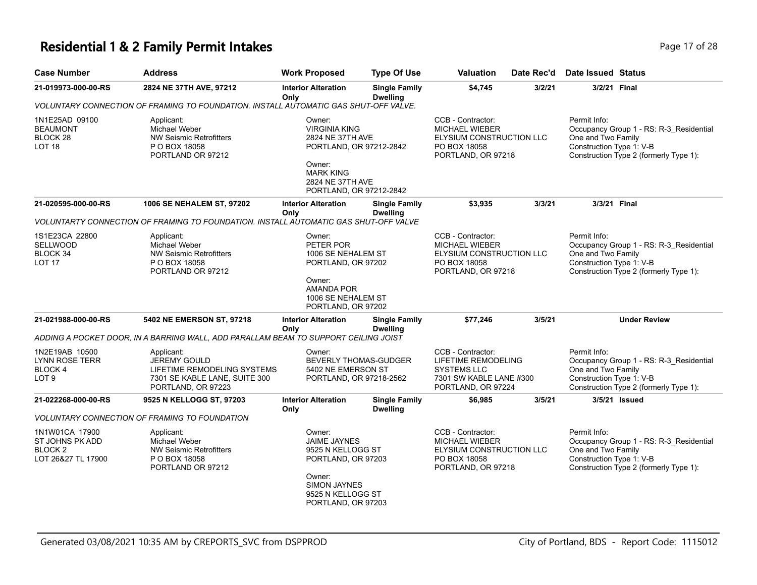#### **Residential 1 & 2 Family Permit Intakes Page 17 of 28 Page 17 of 28**

| <b>Case Number</b>                                                 | <b>Address</b>                                                                                                          | <b>Work Proposed</b>                                                                                                                                 | <b>Type Of Use</b>                      | <b>Valuation</b>                                                                                                | Date Rec'd | Date Issued Status                                             |                                                                                   |
|--------------------------------------------------------------------|-------------------------------------------------------------------------------------------------------------------------|------------------------------------------------------------------------------------------------------------------------------------------------------|-----------------------------------------|-----------------------------------------------------------------------------------------------------------------|------------|----------------------------------------------------------------|-----------------------------------------------------------------------------------|
| 21-019973-000-00-RS                                                | 2824 NE 37TH AVE, 97212                                                                                                 | <b>Interior Alteration</b><br>Only                                                                                                                   | <b>Single Family</b><br><b>Dwelling</b> | \$4,745                                                                                                         | 3/2/21     | 3/2/21 Final                                                   |                                                                                   |
|                                                                    | VOLUNTARY CONNECTION OF FRAMING TO FOUNDATION. INSTALL AUTOMATIC GAS SHUT-OFF VALVE.                                    |                                                                                                                                                      |                                         |                                                                                                                 |            |                                                                |                                                                                   |
| 1N1E25AD 09100<br><b>BEAUMONT</b><br>BLOCK 28<br>LOT 18            | Applicant:<br>Michael Weber<br><b>NW Seismic Retrofitters</b><br>P O BOX 18058<br>PORTLAND OR 97212                     | Owner:<br><b>VIRGINIA KING</b><br>2824 NE 37TH AVE<br>PORTLAND, OR 97212-2842<br>Owner:<br><b>MARK KING</b><br>2824 NE 37TH AVE                      |                                         | CCB - Contractor:<br><b>MICHAEL WIEBER</b><br>ELYSIUM CONSTRUCTION LLC<br>PO BOX 18058<br>PORTLAND, OR 97218    |            | Permit Info:<br>One and Two Family<br>Construction Type 1: V-B | Occupancy Group 1 - RS: R-3_Residential<br>Construction Type 2 (formerly Type 1): |
|                                                                    |                                                                                                                         | PORTLAND, OR 97212-2842                                                                                                                              |                                         |                                                                                                                 |            |                                                                |                                                                                   |
| 21-020595-000-00-RS                                                | 1006 SE NEHALEM ST, 97202                                                                                               | <b>Interior Alteration</b><br>Only                                                                                                                   | <b>Single Family</b><br><b>Dwelling</b> | \$3,935                                                                                                         | 3/3/21     | 3/3/21 Final                                                   |                                                                                   |
|                                                                    | VOLUNTARTY CONNECTION OF FRAMING TO FOUNDATION. INSTALL AUTOMATIC GAS SHUT-OFF VALVE                                    |                                                                                                                                                      |                                         |                                                                                                                 |            |                                                                |                                                                                   |
| 1S1E23CA 22800<br>SELLWOOD<br>BLOCK 34<br><b>LOT 17</b>            | Applicant:<br>Michael Weber<br><b>NW Seismic Retrofitters</b><br>P O BOX 18058<br>PORTLAND OR 97212                     | Owner:<br>PETER POR<br>1006 SE NEHALEM ST<br>PORTLAND, OR 97202<br>Owner:<br><b>AMANDA POR</b><br>1006 SE NEHALEM ST<br>PORTLAND, OR 97202           |                                         | CCB - Contractor:<br><b>MICHAEL WIEBER</b><br>ELYSIUM CONSTRUCTION LLC<br>PO BOX 18058<br>PORTLAND, OR 97218    |            | Permit Info:<br>One and Two Family<br>Construction Type 1: V-B | Occupancy Group 1 - RS: R-3_Residential<br>Construction Type 2 (formerly Type 1): |
| 21-021988-000-00-RS                                                | 5402 NE EMERSON ST, 97218                                                                                               | <b>Interior Alteration</b><br>Only                                                                                                                   | <b>Single Family</b><br><b>Dwelling</b> | \$77,246                                                                                                        | 3/5/21     |                                                                | <b>Under Review</b>                                                               |
|                                                                    | ADDING A POCKET DOOR. IN A BARRING WALL, ADD PARALLAM BEAM TO SUPPORT CEILING JOIST                                     |                                                                                                                                                      |                                         |                                                                                                                 |            |                                                                |                                                                                   |
| 1N2E19AB 10500<br>LYNN ROSE TERR<br><b>BLOCK4</b><br>LOT 9         | Applicant:<br><b>JEREMY GOULD</b><br>LIFETIME REMODELING SYSTEMS<br>7301 SE KABLE LANE, SUITE 300<br>PORTLAND, OR 97223 | Owner:<br>BEVERLY THOMAS-GUDGER<br>5402 NE EMERSON ST<br>PORTLAND, OR 97218-2562                                                                     |                                         | CCB - Contractor:<br>LIFETIME REMODELING<br><b>SYSTEMS LLC</b><br>7301 SW KABLE LANE #300<br>PORTLAND, OR 97224 |            | Permit Info:<br>One and Two Family<br>Construction Type 1: V-B | Occupancy Group 1 - RS: R-3_Residential<br>Construction Type 2 (formerly Type 1): |
| 21-022268-000-00-RS                                                | 9525 N KELLOGG ST, 97203                                                                                                | <b>Interior Alteration</b>                                                                                                                           | <b>Single Family</b>                    | \$6,985                                                                                                         | 3/5/21     |                                                                | 3/5/21 Issued                                                                     |
|                                                                    | <b>VOLUNTARY CONNECTION OF FRAMING TO FOUNDATION</b>                                                                    | Only                                                                                                                                                 | <b>Dwelling</b>                         |                                                                                                                 |            |                                                                |                                                                                   |
| 1N1W01CA 17900<br>ST JOHNS PK ADD<br>BLOCK 2<br>LOT 26&27 TL 17900 | Applicant:<br>Michael Weber<br><b>NW Seismic Retrofitters</b><br>P O BOX 18058<br>PORTLAND OR 97212                     | Owner:<br><b>JAIME JAYNES</b><br>9525 N KELLOGG ST<br>PORTLAND, OR 97203<br>Owner:<br><b>SIMON JAYNES</b><br>9525 N KELLOGG ST<br>PORTLAND, OR 97203 |                                         | CCB - Contractor:<br><b>MICHAEL WIEBER</b><br>ELYSIUM CONSTRUCTION LLC<br>PO BOX 18058<br>PORTLAND, OR 97218    |            | Permit Info:<br>One and Two Family<br>Construction Type 1: V-B | Occupancy Group 1 - RS: R-3_Residential<br>Construction Type 2 (formerly Type 1): |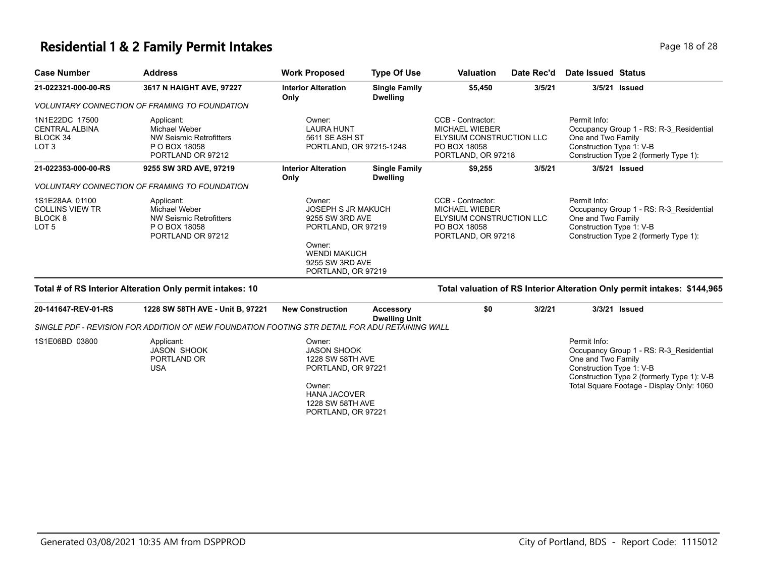#### **Residential 1 & 2 Family Permit Intakes Page 18 of 28 Page 18 of 28**

| <b>Case Number</b>                                                      | <b>Address</b>                                                                               | <b>Work Proposed</b>                                                                                          | <b>Type Of Use</b>                      | <b>Valuation</b>                                                                                             | Date Rec'd | Date Issued Status                                                                                                                                  |  |
|-------------------------------------------------------------------------|----------------------------------------------------------------------------------------------|---------------------------------------------------------------------------------------------------------------|-----------------------------------------|--------------------------------------------------------------------------------------------------------------|------------|-----------------------------------------------------------------------------------------------------------------------------------------------------|--|
| 21-022321-000-00-RS                                                     | 3617 N HAIGHT AVE, 97227                                                                     | <b>Interior Alteration</b><br>Only                                                                            | <b>Single Family</b><br><b>Dwelling</b> | \$5,450                                                                                                      | 3/5/21     | 3/5/21<br>Issued                                                                                                                                    |  |
|                                                                         | <i>VOLUNTARY CONNECTION OF FRAMING TO FOUNDATION</i>                                         |                                                                                                               |                                         |                                                                                                              |            |                                                                                                                                                     |  |
| 1N1E22DC 17500<br><b>CENTRAL ALBINA</b><br>BLOCK 34<br>LOT <sub>3</sub> | Applicant:<br>Michael Weber<br>NW Seismic Retrofitters<br>P O BOX 18058<br>PORTLAND OR 97212 | Owner:<br><b>LAURA HUNT</b><br>5611 SE ASH ST<br>PORTLAND, OR 97215-1248                                      |                                         | CCB - Contractor:<br><b>MICHAEL WIEBER</b><br>ELYSIUM CONSTRUCTION LLC<br>PO BOX 18058<br>PORTLAND, OR 97218 |            | Permit Info:<br>Occupancy Group 1 - RS: R-3_Residential<br>One and Two Family<br>Construction Type 1: V-B<br>Construction Type 2 (formerly Type 1): |  |
| 21-022353-000-00-RS                                                     | 9255 SW 3RD AVE, 97219                                                                       | <b>Interior Alteration</b><br>Only                                                                            | <b>Single Family</b><br><b>Dwelling</b> | \$9,255                                                                                                      | 3/5/21     | 3/5/21 Issued                                                                                                                                       |  |
|                                                                         | <b>VOLUNTARY CONNECTION OF FRAMING TO FOUNDATION</b>                                         |                                                                                                               |                                         |                                                                                                              |            |                                                                                                                                                     |  |
| 1S1E28AA 01100<br><b>COLLINS VIEW TR</b><br>BLOCK 8<br>LOT <sub>5</sub> | Applicant:<br>Michael Weber<br>NW Seismic Retrofitters<br>P O BOX 18058<br>PORTLAND OR 97212 | Owner:<br><b>JOSEPH S JR MAKUCH</b><br>9255 SW 3RD AVE<br>PORTLAND, OR 97219<br>Owner:<br><b>WENDI MAKUCH</b> |                                         | CCB - Contractor:<br><b>MICHAEL WIEBER</b><br>ELYSIUM CONSTRUCTION LLC<br>PO BOX 18058<br>PORTLAND, OR 97218 |            | Permit Info:<br>Occupancy Group 1 - RS: R-3 Residential<br>One and Two Family<br>Construction Type 1: V-B<br>Construction Type 2 (formerly Type 1): |  |
|                                                                         |                                                                                              | 9255 SW 3RD AVE<br>PORTLAND, OR 97219                                                                         |                                         |                                                                                                              |            |                                                                                                                                                     |  |

#### **Total # of RS Interior Alteration Only permit intakes: 10 Total valuation of RS Interior Alteration Only permit intakes: \$144,965**

| 20-141647-REV-01-RS | 1228 SW 58TH AVE - Unit B, 97221                                                               | <b>New Construction</b>                                                 | Accessory<br><b>Dwelling Unit</b> | \$0 | 3/2/21 | 3/3/21 <b>Issued</b>                                                                                                                                    |
|---------------------|------------------------------------------------------------------------------------------------|-------------------------------------------------------------------------|-----------------------------------|-----|--------|---------------------------------------------------------------------------------------------------------------------------------------------------------|
|                     | SINGLE PDF - REVISION FOR ADDITION OF NEW FOUNDATION FOOTING STR DETAIL FOR ADU RETAINING WALL |                                                                         |                                   |     |        |                                                                                                                                                         |
| 1S1E06BD 03800      | Applicant:<br>JASON SHOOK<br>PORTLAND OR<br>USA                                                | Owner:<br><b>JASON SHOOK</b><br>1228 SW 58TH AVE<br>PORTLAND, OR 97221  |                                   |     |        | Permit Info:<br>Occupancy Group 1 - RS: R-3 Residential<br>One and Two Family<br>Construction Type 1: V-B<br>Construction Type 2 (formerly Type 1): V-B |
|                     |                                                                                                | Owner:<br><b>HANA JACOVER</b><br>1228 SW 58TH AVE<br>PORTLAND, OR 97221 |                                   |     |        | Total Square Footage - Display Only: 1060                                                                                                               |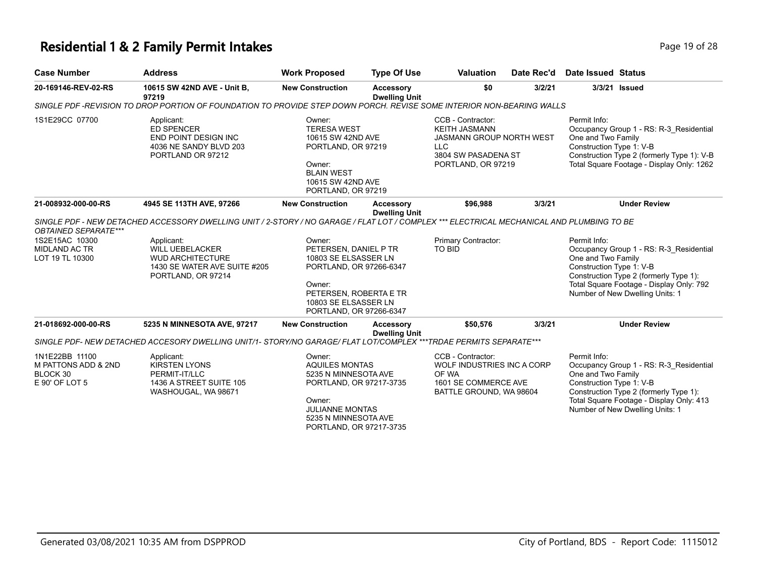# **Residential 1 & 2 Family Permit Intakes Page 19 of 28**

| <b>Case Number</b>                                                                       | <b>Address</b>                                                                                                                                                                                                                                                     | <b>Work Proposed</b>                                                                                                                                                      | <b>Type Of Use</b>                       | Valuation                                                                                                                               | Date Rec'd | <b>Date Issued Status</b>                                                                                                                                                                                                          |
|------------------------------------------------------------------------------------------|--------------------------------------------------------------------------------------------------------------------------------------------------------------------------------------------------------------------------------------------------------------------|---------------------------------------------------------------------------------------------------------------------------------------------------------------------------|------------------------------------------|-----------------------------------------------------------------------------------------------------------------------------------------|------------|------------------------------------------------------------------------------------------------------------------------------------------------------------------------------------------------------------------------------------|
| 20-169146-REV-02-RS                                                                      | 10615 SW 42ND AVE - Unit B,<br>97219                                                                                                                                                                                                                               | <b>New Construction</b>                                                                                                                                                   | Accessory<br><b>Dwelling Unit</b>        | \$0                                                                                                                                     | 3/2/21     | 3/3/21 Issued                                                                                                                                                                                                                      |
|                                                                                          | SINGLE PDF -REVISION TO DROP PORTION OF FOUNDATION TO PROVIDE STEP DOWN PORCH. REVISE SOME INTERIOR NON-BEARING WALLS                                                                                                                                              |                                                                                                                                                                           |                                          |                                                                                                                                         |            |                                                                                                                                                                                                                                    |
| 1S1E29CC 07700                                                                           | Applicant:<br>ED SPENCER<br><b>END POINT DESIGN INC</b><br>4036 NE SANDY BLVD 203<br>PORTLAND OR 97212                                                                                                                                                             | Owner:<br><b>TERESA WEST</b><br>10615 SW 42ND AVE<br>PORTLAND, OR 97219<br>Owner:<br><b>BLAIN WEST</b><br>10615 SW 42ND AVE<br>PORTLAND, OR 97219                         |                                          | CCB - Contractor:<br><b>KEITH JASMANN</b><br><b>JASMANN GROUP NORTH WEST</b><br><b>LLC</b><br>3804 SW PASADENA ST<br>PORTLAND, OR 97219 |            | Permit Info:<br>Occupancy Group 1 - RS: R-3_Residential<br>One and Two Family<br>Construction Type 1: V-B<br>Construction Type 2 (formerly Type 1): V-B<br>Total Square Footage - Display Only: 1262                               |
| 21-008932-000-00-RS                                                                      | 4945 SE 113TH AVE, 97266                                                                                                                                                                                                                                           | <b>New Construction</b>                                                                                                                                                   | Accessory                                | \$96,988                                                                                                                                | 3/3/21     | <b>Under Review</b>                                                                                                                                                                                                                |
| <b>OBTAINED SEPARATE***</b><br>1S2E15AC 10300<br><b>MIDLAND AC TR</b><br>LOT 19 TL 10300 | SINGLE PDF - NEW DETACHED ACCESSORY DWELLING UNIT / 2-STORY / NO GARAGE / FLAT LOT / COMPLEX *** ELECTRICAL MECHANICAL AND PLUMBING TO BE<br>Applicant:<br><b>WILL UEBELACKER</b><br><b>WUD ARCHITECTURE</b><br>1430 SE WATER AVE SUITE #205<br>PORTLAND, OR 97214 | Owner:<br>PETERSEN, DANIEL P TR<br>10803 SE ELSASSER LN<br>PORTLAND, OR 97266-6347<br>Owner:<br>PETERSEN, ROBERTA E TR<br>10803 SE ELSASSER LN<br>PORTLAND, OR 97266-6347 | <b>Dwelling Unit</b>                     | Primary Contractor:<br><b>TO BID</b>                                                                                                    |            | Permit Info:<br>Occupancy Group 1 - RS: R-3 Residential<br>One and Two Family<br>Construction Type 1: V-B<br>Construction Type 2 (formerly Type 1):<br>Total Square Footage - Display Only: 792<br>Number of New Dwelling Units: 1 |
| 21-018692-000-00-RS                                                                      | 5235 N MINNESOTA AVE, 97217                                                                                                                                                                                                                                        | <b>New Construction</b>                                                                                                                                                   | <b>Accessory</b><br><b>Dwelling Unit</b> | \$50,576                                                                                                                                | 3/3/21     | <b>Under Review</b>                                                                                                                                                                                                                |
|                                                                                          | SINGLE PDF- NEW DETACHED ACCESORY DWELLING UNIT/1- STORY/NO GARAGE/ FLAT LOT/COMPLEX ***TRDAE PERMITS SEPARATE***                                                                                                                                                  |                                                                                                                                                                           |                                          |                                                                                                                                         |            |                                                                                                                                                                                                                                    |
| 1N1E22BB 11100<br>M PATTONS ADD & 2ND<br>BLOCK 30<br>E 90' OF LOT 5                      | Applicant:<br><b>KIRSTEN LYONS</b><br>PERMIT-IT/LLC<br>1436 A STREET SUITE 105<br>WASHOUGAL, WA 98671                                                                                                                                                              | Owner:<br><b>AQUILES MONTAS</b><br>5235 N MINNESOTA AVE<br>PORTLAND, OR 97217-3735<br>Owner:<br><b>JULIANNE MONTAS</b><br>5235 N MINNESOTA AVE<br>PORTLAND, OR 97217-3735 |                                          | CCB - Contractor:<br>WOLF INDUSTRIES INC A CORP<br>OF WA<br>1601 SE COMMERCE AVE<br>BATTLE GROUND, WA 98604                             |            | Permit Info:<br>Occupancy Group 1 - RS: R-3 Residential<br>One and Two Family<br>Construction Type 1: V-B<br>Construction Type 2 (formerly Type 1):<br>Total Square Footage - Display Only: 413<br>Number of New Dwelling Units: 1 |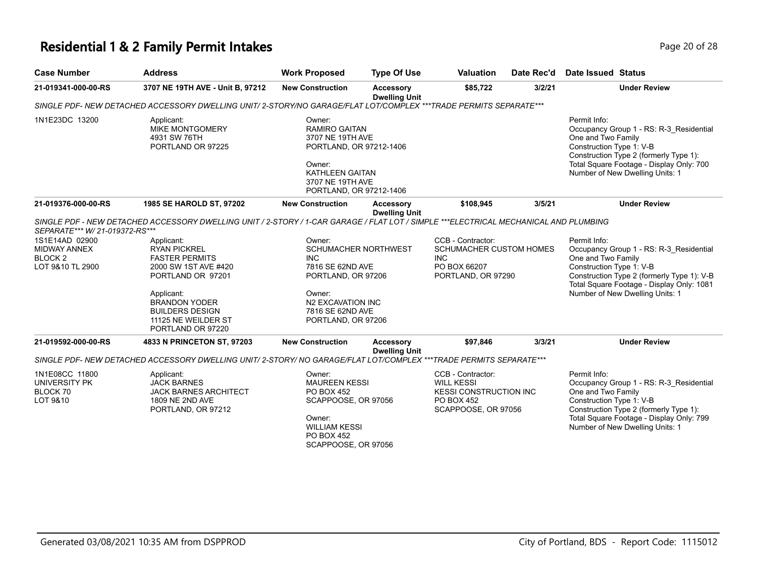## **Residential 1 & 2 Family Permit Intakes Page 10 of 28** Page 20 of 28

| <b>Case Number</b>             | <b>Address</b>                                                                                                                       | <b>Work Proposed</b>                                                                                                                                             | <b>Type Of Use</b>                       | <b>Valuation</b>                      | Date Rec'd | Date Issued Status                                                                                                                                                                                                                 |
|--------------------------------|--------------------------------------------------------------------------------------------------------------------------------------|------------------------------------------------------------------------------------------------------------------------------------------------------------------|------------------------------------------|---------------------------------------|------------|------------------------------------------------------------------------------------------------------------------------------------------------------------------------------------------------------------------------------------|
| 21-019341-000-00-RS            | 3707 NE 19TH AVE - Unit B, 97212                                                                                                     | <b>New Construction</b>                                                                                                                                          | <b>Accessory</b><br><b>Dwelling Unit</b> | \$85,722                              | 3/2/21     | <b>Under Review</b>                                                                                                                                                                                                                |
|                                | SINGLE PDF- NEW DETACHED ACCESSORY DWELLING UNIT/2-STORY/NO GARAGE/FLAT LOT/COMPLEX ***TRADE PERMITS SEPARATE***                     |                                                                                                                                                                  |                                          |                                       |            |                                                                                                                                                                                                                                    |
| 1N1E23DC 13200                 | Applicant:<br><b>MIKE MONTGOMERY</b><br>4931 SW 76TH<br>PORTLAND OR 97225                                                            | Owner:<br><b>RAMIRO GAITAN</b><br>3707 NE 19TH AVE<br>PORTLAND, OR 97212-1406<br>Owner:<br><b>KATHLEEN GAITAN</b><br>3707 NE 19TH AVE<br>PORTLAND, OR 97212-1406 |                                          |                                       |            | Permit Info:<br>Occupancy Group 1 - RS: R-3 Residential<br>One and Two Family<br>Construction Type 1: V-B<br>Construction Type 2 (formerly Type 1):<br>Total Square Footage - Display Only: 700<br>Number of New Dwelling Units: 1 |
| 21-019376-000-00-RS            | 1985 SE HAROLD ST, 97202                                                                                                             | <b>New Construction</b>                                                                                                                                          | <b>Accessory</b><br><b>Dwelling Unit</b> | \$108,945                             | 3/5/21     | <b>Under Review</b>                                                                                                                                                                                                                |
|                                | SINGLE PDF - NEW DETACHED ACCESSORY DWELLING UNIT / 2-STORY / 1-CAR GARAGE / FLAT LOT / SIMPLE ***ELECTRICAL MECHANICAL AND PLUMBING |                                                                                                                                                                  |                                          |                                       |            |                                                                                                                                                                                                                                    |
| SEPARATE*** W/ 21-019372-RS*** |                                                                                                                                      |                                                                                                                                                                  |                                          |                                       |            |                                                                                                                                                                                                                                    |
| 1S1E14AD 02900                 | Applicant:                                                                                                                           | Owner:                                                                                                                                                           |                                          | CCB - Contractor:                     |            | Permit Info:                                                                                                                                                                                                                       |
| MIDWAY ANNEX                   | <b>RYAN PICKREL</b>                                                                                                                  | SCHUMACHER NORTHWEST                                                                                                                                             |                                          | SCHUMACHER CUSTOM HOMES<br><b>INC</b> |            | Occupancy Group 1 - RS: R-3_Residential                                                                                                                                                                                            |
| BLOCK <sub>2</sub>             | <b>FASTER PERMITS</b>                                                                                                                | <b>INC</b>                                                                                                                                                       |                                          |                                       |            | One and Two Family                                                                                                                                                                                                                 |
| LOT 9&10 TL 2900               | 2000 SW 1ST AVE #420                                                                                                                 | 7816 SE 62ND AVE                                                                                                                                                 |                                          | PO BOX 66207                          |            | Construction Type 1: V-B                                                                                                                                                                                                           |
|                                | PORTLAND OR 97201                                                                                                                    | PORTLAND, OR 97206                                                                                                                                               |                                          | PORTLAND, OR 97290                    |            | Construction Type 2 (formerly Type 1): V-B                                                                                                                                                                                         |
|                                |                                                                                                                                      |                                                                                                                                                                  |                                          |                                       |            | Total Square Footage - Display Only: 1081                                                                                                                                                                                          |
|                                | Applicant:<br><b>BRANDON YODER</b>                                                                                                   | Owner:<br>N2 EXCAVATION INC                                                                                                                                      |                                          |                                       |            | Number of New Dwelling Units: 1                                                                                                                                                                                                    |
|                                | <b>BUILDERS DESIGN</b>                                                                                                               | 7816 SE 62ND AVE                                                                                                                                                 |                                          |                                       |            |                                                                                                                                                                                                                                    |
|                                | 11125 NE WEILDER ST                                                                                                                  | PORTLAND, OR 97206                                                                                                                                               |                                          |                                       |            |                                                                                                                                                                                                                                    |
|                                | PORTLAND OR 97220                                                                                                                    |                                                                                                                                                                  |                                          |                                       |            |                                                                                                                                                                                                                                    |
| 21-019592-000-00-RS            | 4833 N PRINCETON ST, 97203                                                                                                           | <b>New Construction</b>                                                                                                                                          | <b>Accessory</b><br><b>Dwelling Unit</b> | \$97,846                              | 3/3/21     | <b>Under Review</b>                                                                                                                                                                                                                |
|                                | SINGLE PDF- NEW DETACHED ACCESSORY DWELLING UNIT/2-STORY/ NO GARAGE/FLAT LOT/COMPLEX ***TRADE PERMITS SEPARATE***                    |                                                                                                                                                                  |                                          |                                       |            |                                                                                                                                                                                                                                    |
| 1N1E08CC 11800                 |                                                                                                                                      | Owner:                                                                                                                                                           |                                          | CCB - Contractor:                     |            | Permit Info:                                                                                                                                                                                                                       |
| UNIVERSITY PK                  | Applicant:<br><b>JACK BARNES</b>                                                                                                     | <b>MAUREEN KESSI</b>                                                                                                                                             |                                          | <b>WILL KESSI</b>                     |            | Occupancy Group 1 - RS: R-3_Residential                                                                                                                                                                                            |
| BLOCK 70                       | <b>JACK BARNES ARCHITECT</b>                                                                                                         | PO BOX 452                                                                                                                                                       |                                          | <b>KESSI CONSTRUCTION INC</b>         |            | One and Two Family                                                                                                                                                                                                                 |
| LOT 9&10                       | 1809 NE 2ND AVE                                                                                                                      | SCAPPOOSE, OR 97056                                                                                                                                              |                                          | <b>PO BOX 452</b>                     |            | Construction Type 1: V-B                                                                                                                                                                                                           |
|                                | PORTLAND, OR 97212                                                                                                                   |                                                                                                                                                                  |                                          | SCAPPOOSE, OR 97056                   |            | Construction Type 2 (formerly Type 1):                                                                                                                                                                                             |
|                                |                                                                                                                                      | Owner:                                                                                                                                                           |                                          |                                       |            | Total Square Footage - Display Only: 799                                                                                                                                                                                           |
|                                |                                                                                                                                      | <b>WILLIAM KESSI</b>                                                                                                                                             |                                          |                                       |            | Number of New Dwelling Units: 1                                                                                                                                                                                                    |
|                                |                                                                                                                                      | <b>PO BOX 452</b>                                                                                                                                                |                                          |                                       |            |                                                                                                                                                                                                                                    |
|                                |                                                                                                                                      | SCAPPOOSE, OR 97056                                                                                                                                              |                                          |                                       |            |                                                                                                                                                                                                                                    |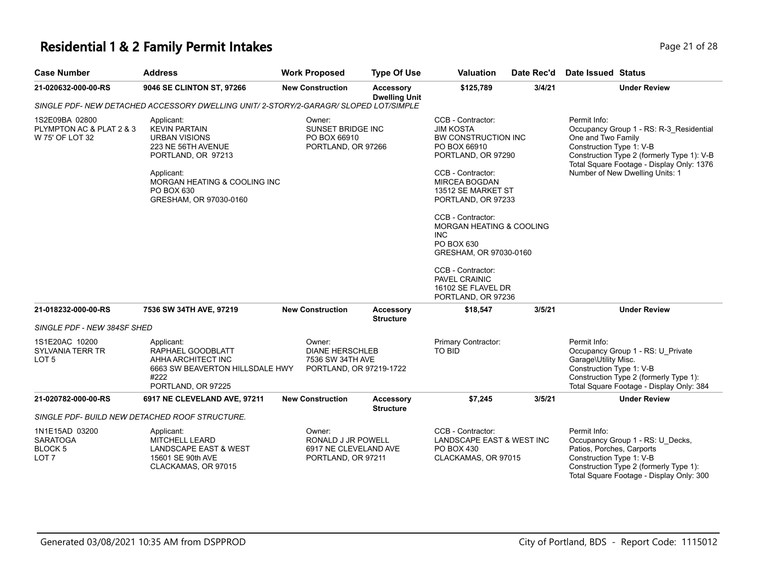#### **Residential 1 & 2 Family Permit Intakes Page 21 of 28 Page 21 of 28**

| <b>Case Number</b>                                                      | <b>Address</b>                                                                                                                                                                               | <b>Work Proposed</b>                                                            | <b>Type Of Use</b>                   | <b>Valuation</b>                                                                                                                                                                                                                                                                                                                                                                            | Date Rec'd | Date Issued Status                                                                                                                                                                                                                      |
|-------------------------------------------------------------------------|----------------------------------------------------------------------------------------------------------------------------------------------------------------------------------------------|---------------------------------------------------------------------------------|--------------------------------------|---------------------------------------------------------------------------------------------------------------------------------------------------------------------------------------------------------------------------------------------------------------------------------------------------------------------------------------------------------------------------------------------|------------|-----------------------------------------------------------------------------------------------------------------------------------------------------------------------------------------------------------------------------------------|
| 21-020632-000-00-RS                                                     | 9046 SE CLINTON ST, 97266                                                                                                                                                                    | <b>New Construction</b>                                                         | Accessory<br><b>Dwelling Unit</b>    | \$125,789                                                                                                                                                                                                                                                                                                                                                                                   | 3/4/21     | <b>Under Review</b>                                                                                                                                                                                                                     |
|                                                                         | SINGLE PDF- NEW DETACHED ACCESSORY DWELLING UNIT/ 2-STORY/2-GARAGR/ SLOPED LOT/SIMPLE                                                                                                        |                                                                                 |                                      |                                                                                                                                                                                                                                                                                                                                                                                             |            |                                                                                                                                                                                                                                         |
| 1S2E09BA 02800<br>PLYMPTON AC & PLAT 2 & 3<br>W 75' OF LOT 32           | Applicant:<br><b>KEVIN PARTAIN</b><br><b>URBAN VISIONS</b><br>223 NE 56TH AVENUE<br>PORTLAND, OR 97213<br>Applicant:<br>MORGAN HEATING & COOLING INC<br>PO BOX 630<br>GRESHAM, OR 97030-0160 | Owner:<br>SUNSET BRIDGE INC<br>PO BOX 66910<br>PORTLAND, OR 97266               |                                      | CCB - Contractor:<br><b>JIM KOSTA</b><br><b>BW CONSTRUCTION INC</b><br>PO BOX 66910<br>PORTLAND, OR 97290<br>CCB - Contractor:<br><b>MIRCEA BOGDAN</b><br>13512 SE MARKET ST<br>PORTLAND, OR 97233<br>CCB - Contractor:<br>MORGAN HEATING & COOLING<br><b>INC</b><br>PO BOX 630<br>GRESHAM, OR 97030-0160<br>CCB - Contractor:<br>PAVEL CRAINIC<br>16102 SE FLAVEL DR<br>PORTLAND, OR 97236 |            | Permit Info:<br>Occupancy Group 1 - RS: R-3 Residential<br>One and Two Family<br>Construction Type 1: V-B<br>Construction Type 2 (formerly Type 1): V-B<br>Total Square Footage - Display Only: 1376<br>Number of New Dwelling Units: 1 |
| 21-018232-000-00-RS                                                     | 7536 SW 34TH AVE, 97219                                                                                                                                                                      | <b>New Construction</b>                                                         | <b>Accessory</b><br><b>Structure</b> | \$18,547                                                                                                                                                                                                                                                                                                                                                                                    | 3/5/21     | <b>Under Review</b>                                                                                                                                                                                                                     |
| SINGLE PDF - NEW 384SF SHED                                             |                                                                                                                                                                                              |                                                                                 |                                      |                                                                                                                                                                                                                                                                                                                                                                                             |            |                                                                                                                                                                                                                                         |
| 1S1E20AC 10200<br>SYLVANIA TERR TR<br>LOT 5                             | Applicant:<br>RAPHAEL GOODBLATT<br>AHHA ARCHITECT INC<br>6663 SW BEAVERTON HILLSDALE HWY<br>#222<br>PORTLAND, OR 97225                                                                       | Owner:<br><b>DIANE HERSCHLEB</b><br>7536 SW 34TH AVE<br>PORTLAND, OR 97219-1722 |                                      | Primary Contractor:<br>TO BID                                                                                                                                                                                                                                                                                                                                                               |            | Permit Info:<br>Occupancy Group 1 - RS: U_Private<br>Garage\Utility Misc.<br>Construction Type 1: V-B<br>Construction Type 2 (formerly Type 1):<br>Total Square Footage - Display Only: 384                                             |
| 21-020782-000-00-RS                                                     | 6917 NE CLEVELAND AVE, 97211                                                                                                                                                                 | <b>New Construction</b>                                                         | Accessory<br><b>Structure</b>        | \$7,245                                                                                                                                                                                                                                                                                                                                                                                     | 3/5/21     | <b>Under Review</b>                                                                                                                                                                                                                     |
|                                                                         | SINGLE PDF- BUILD NEW DETACHED ROOF STRUCTURE.                                                                                                                                               |                                                                                 |                                      |                                                                                                                                                                                                                                                                                                                                                                                             |            |                                                                                                                                                                                                                                         |
| 1N1E15AD 03200<br><b>SARATOGA</b><br><b>BLOCK 5</b><br>LOT <sub>7</sub> | Applicant:<br><b>MITCHELL LEARD</b><br><b>LANDSCAPE EAST &amp; WEST</b><br>15601 SE 90th AVE<br>CLACKAMAS, OR 97015                                                                          | Owner:<br>RONALD J JR POWELL<br>6917 NE CLEVELAND AVE<br>PORTLAND, OR 97211     |                                      | CCB - Contractor:<br>LANDSCAPE EAST & WEST INC<br>PO BOX 430<br>CLACKAMAS, OR 97015                                                                                                                                                                                                                                                                                                         |            | Permit Info:<br>Occupancy Group 1 - RS: U_Decks,<br>Patios, Porches, Carports<br>Construction Type 1: V-B<br>Construction Type 2 (formerly Type 1):<br>Total Square Footage - Display Only: 300                                         |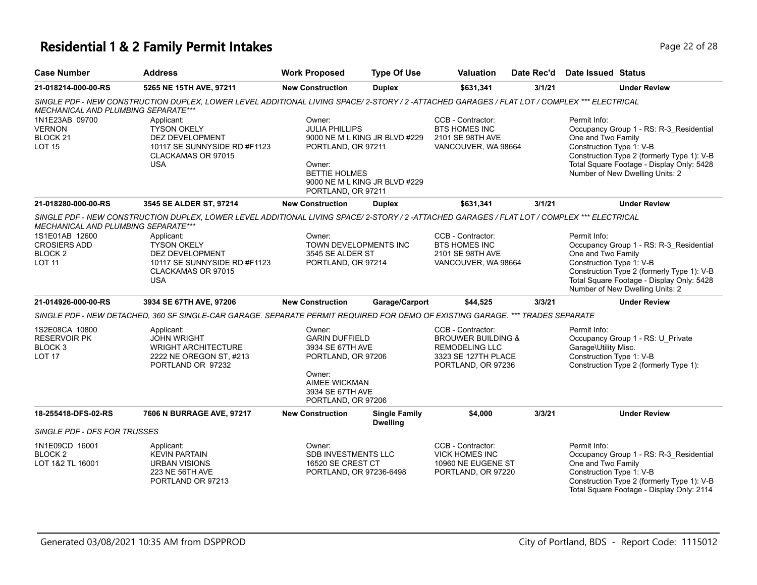# **Residential 1 & 2 Family Permit Intakes Page 22 of 28**

| <b>Case Number</b>                                                           | Address                                                                                                                                      | <b>Work Proposed</b>                                                                                                                           | <b>Type Of Use</b>                                             | <b>Valuation</b>                                                                                                         | Date Rec'd | Date Issued Status                                                                                                                                                                                                                      |
|------------------------------------------------------------------------------|----------------------------------------------------------------------------------------------------------------------------------------------|------------------------------------------------------------------------------------------------------------------------------------------------|----------------------------------------------------------------|--------------------------------------------------------------------------------------------------------------------------|------------|-----------------------------------------------------------------------------------------------------------------------------------------------------------------------------------------------------------------------------------------|
| 21-018214-000-00-RS                                                          | 5265 NE 15TH AVE, 97211                                                                                                                      | <b>New Construction</b>                                                                                                                        | <b>Duplex</b>                                                  | \$631,341                                                                                                                | 3/1/21     | <b>Under Review</b>                                                                                                                                                                                                                     |
| MECHANICAL AND PLUMBING SEPARATE***                                          | SINGLE PDF - NEW CONSTRUCTION DUPLEX, LOWER LEVEL ADDITIONAL LIVING SPACE/2-STORY / 2 -ATTACHED GARAGES / FLAT LOT / COMPLEX *** ELECTRICAL  |                                                                                                                                                |                                                                |                                                                                                                          |            |                                                                                                                                                                                                                                         |
| 1N1E23AB 09700<br><b>VERNON</b><br>BLOCK <sub>21</sub><br><b>LOT 15</b>      | Applicant:<br><b>TYSON OKELY</b><br><b>DEZ DEVELOPMENT</b><br>10117 SE SUNNYSIDE RD #F1123<br>CLACKAMAS OR 97015<br><b>USA</b>               | Owner:<br><b>JULIA PHILLIPS</b><br>PORTLAND, OR 97211<br>Owner:<br><b>BETTIE HOLMES</b><br>PORTLAND, OR 97211                                  | 9000 NE M L KING JR BLVD #229<br>9000 NE M L KING JR BLVD #229 | CCB - Contractor:<br><b>BTS HOMES INC</b><br>2101 SE 98TH AVE<br>VANCOUVER, WA 98664                                     |            | Permit Info:<br>Occupancy Group 1 - RS: R-3_Residential<br>One and Two Family<br>Construction Type 1: V-B<br>Construction Type 2 (formerly Type 1): V-B<br>Total Square Footage - Display Only: 5428<br>Number of New Dwelling Units: 2 |
| 21-018280-000-00-RS                                                          | 3545 SE ALDER ST, 97214                                                                                                                      | <b>New Construction</b>                                                                                                                        | <b>Duplex</b>                                                  | \$631,341                                                                                                                | 3/1/21     | <b>Under Review</b>                                                                                                                                                                                                                     |
| MECHANICAL AND PLUMBING SEPARATE***                                          | SINGLE PDF - NEW CONSTRUCTION DUPLEX, LOWER LEVEL ADDITIONAL LIVING SPACE/ 2-STORY / 2 -ATTACHED GARAGES / FLAT LOT / COMPLEX *** ELECTRICAL |                                                                                                                                                |                                                                |                                                                                                                          |            |                                                                                                                                                                                                                                         |
| 1S1E01AB 12600<br><b>CROSIERS ADD</b><br>BLOCK 2<br><b>LOT 11</b>            | Applicant:<br><b>TYSON OKELY</b><br>DEZ DEVELOPMENT<br>10117 SE SUNNYSIDE RD #F1123<br>CLACKAMAS OR 97015<br><b>USA</b>                      | Owner:<br>TOWN DEVELOPMENTS INC<br>3545 SE ALDER ST<br>PORTLAND, OR 97214                                                                      |                                                                | CCB - Contractor:<br><b>BTS HOMES INC</b><br>2101 SE 98TH AVE<br>VANCOUVER, WA 98664                                     |            | Permit Info:<br>Occupancy Group 1 - RS: R-3_Residential<br>One and Two Family<br>Construction Type 1: V-B<br>Construction Type 2 (formerly Type 1): V-B<br>Total Square Footage - Display Only: 5428<br>Number of New Dwelling Units: 2 |
| 21-014926-000-00-RS                                                          | 3934 SE 67TH AVE, 97206                                                                                                                      | <b>New Construction</b>                                                                                                                        | Garage/Carport                                                 | \$44,525                                                                                                                 | 3/3/21     | <b>Under Review</b>                                                                                                                                                                                                                     |
|                                                                              | SINGLE PDF - NEW DETACHED, 360 SF SINGLE-CAR GARAGE. SEPARATE PERMIT REQUIRED FOR DEMO OF EXISTING GARAGE. *** TRADES SEPARATE               |                                                                                                                                                |                                                                |                                                                                                                          |            |                                                                                                                                                                                                                                         |
| 1S2E08CA 10800<br><b>RESERVOIR PK</b><br>BLOCK <sub>3</sub><br><b>LOT 17</b> | Applicant:<br><b>JOHN WRIGHT</b><br><b>WRIGHT ARCHITECTURE</b><br>2222 NE OREGON ST, #213<br>PORTLAND OR 97232                               | Owner:<br><b>GARIN DUFFIELD</b><br>3934 SE 67TH AVE<br>PORTLAND, OR 97206<br>Owner:<br>AIMEE WICKMAN<br>3934 SE 67TH AVE<br>PORTLAND, OR 97206 |                                                                | CCB - Contractor:<br><b>BROUWER BUILDING &amp;</b><br><b>REMODELING LLC</b><br>3323 SE 127TH PLACE<br>PORTLAND, OR 97236 |            | Permit Info:<br>Occupancy Group 1 - RS: U_Private<br>Garage\Utility Misc.<br>Construction Type 1: V-B<br>Construction Type 2 (formerly Type 1):                                                                                         |
| 18-255418-DFS-02-RS                                                          | 7606 N BURRAGE AVE, 97217                                                                                                                    | <b>New Construction</b>                                                                                                                        | <b>Single Family</b><br><b>Dwelling</b>                        | \$4,000                                                                                                                  | 3/3/21     | <b>Under Review</b>                                                                                                                                                                                                                     |
| SINGLE PDF - DFS FOR TRUSSES                                                 |                                                                                                                                              |                                                                                                                                                |                                                                |                                                                                                                          |            |                                                                                                                                                                                                                                         |
| 1N1E09CD 16001<br><b>BLOCK2</b><br>LOT 1&2 TL 16001                          | Applicant:<br><b>KEVIN PARTAIN</b><br><b>URBAN VISIONS</b><br>223 NE 56TH AVE<br>PORTLAND OR 97213                                           | Owner:<br>SDB INVESTMENTS LLC<br>16520 SE CREST CT<br>PORTLAND, OR 97236-6498                                                                  |                                                                | CCB - Contractor:<br><b>VICK HOMES INC</b><br>10960 NE EUGENE ST<br>PORTLAND, OR 97220                                   |            | Permit Info:<br>Occupancy Group 1 - RS: R-3_Residential<br>One and Two Family<br>Construction Type 1: V-B<br>Construction Type 2 (formerly Type 1): V-B<br>Total Square Footage - Display Only: 2114                                    |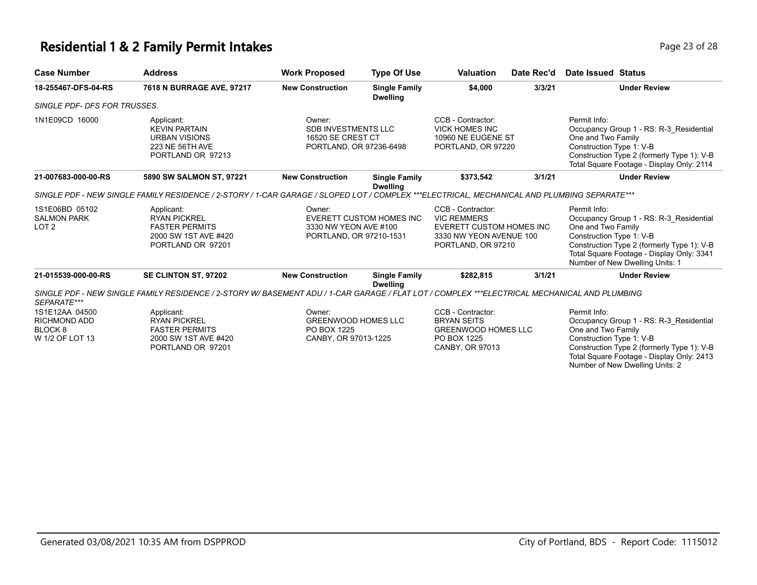#### **Residential 1 & 2 Family Permit Intakes Page 13 of 28 Page 23 of 28**

| <b>Case Number</b>                                                             | <b>Address</b>                                                                                                                               | <b>Work Proposed</b>                                                                 | <b>Type Of Use</b>                      | <b>Valuation</b>                                                                                                     | Date Rec'd | Date Issued Status                                                                                                                                                                                                                      |
|--------------------------------------------------------------------------------|----------------------------------------------------------------------------------------------------------------------------------------------|--------------------------------------------------------------------------------------|-----------------------------------------|----------------------------------------------------------------------------------------------------------------------|------------|-----------------------------------------------------------------------------------------------------------------------------------------------------------------------------------------------------------------------------------------|
| 18-255467-DFS-04-RS                                                            | 7618 N BURRAGE AVE, 97217                                                                                                                    | <b>New Construction</b>                                                              | <b>Single Family</b><br><b>Dwelling</b> | \$4,000                                                                                                              | 3/3/21     | <b>Under Review</b>                                                                                                                                                                                                                     |
| SINGLE PDF- DFS FOR TRUSSES.                                                   |                                                                                                                                              |                                                                                      |                                         |                                                                                                                      |            |                                                                                                                                                                                                                                         |
| 1N1E09CD 16000                                                                 | Applicant:<br><b>KEVIN PARTAIN</b><br><b>URBAN VISIONS</b><br>223 NE 56TH AVE<br>PORTLAND OR 97213                                           | Owner:<br><b>SDB INVESTMENTS LLC</b><br>16520 SE CREST CT<br>PORTLAND, OR 97236-6498 |                                         | CCB - Contractor:<br><b>VICK HOMES INC</b><br>10960 NE EUGENE ST<br>PORTLAND, OR 97220                               |            | Permit Info:<br>Occupancy Group 1 - RS: R-3 Residential<br>One and Two Family<br>Construction Type 1: V-B<br>Construction Type 2 (formerly Type 1): V-B<br>Total Square Footage - Display Only: 2114                                    |
| 21-007683-000-00-RS                                                            | 5890 SW SALMON ST, 97221                                                                                                                     | <b>New Construction</b>                                                              | <b>Single Family</b>                    | \$373,542                                                                                                            | 3/1/21     | <b>Under Review</b>                                                                                                                                                                                                                     |
|                                                                                | SINGLE PDF - NEW SINGLE FAMILY RESIDENCE / 2-STORY / 1-CAR GARAGE / SLOPED LOT / COMPLEX ***ELECTRICAL, MECHANICAL AND PLUMBING SEPARATE***  |                                                                                      | <b>Dwelling</b>                         |                                                                                                                      |            |                                                                                                                                                                                                                                         |
| 1S1E06BD 05102<br><b>SALMON PARK</b><br>LOT <sub>2</sub>                       | Applicant:<br><b>RYAN PICKREL</b><br><b>FASTER PERMITS</b><br>2000 SW 1ST AVE #420<br>PORTLAND OR 97201                                      | Owner:<br>3330 NW YEON AVE #100<br>PORTLAND, OR 97210-1531                           | EVERETT CUSTOM HOMES INC                | CCB - Contractor:<br><b>VIC REMMERS</b><br>EVERETT CUSTOM HOMES INC<br>3330 NW YEON AVENUE 100<br>PORTLAND, OR 97210 |            | Permit Info:<br>Occupancy Group 1 - RS: R-3 Residential<br>One and Two Family<br>Construction Type 1: V-B<br>Construction Type 2 (formerly Type 1): V-B<br>Total Square Footage - Display Only: 3341<br>Number of New Dwelling Units: 1 |
| 21-015539-000-00-RS                                                            | SE CLINTON ST, 97202                                                                                                                         | <b>New Construction</b>                                                              | <b>Single Family</b><br><b>Dwelling</b> | \$282,815                                                                                                            | 3/1/21     | <b>Under Review</b>                                                                                                                                                                                                                     |
| SEPARATE***                                                                    | SINGLE PDF - NEW SINGLE FAMILY RESIDENCE / 2-STORY W/ BASEMENT ADU / 1-CAR GARAGE / FLAT LOT / COMPLEX ***ELECTRICAL MECHANICAL AND PLUMBING |                                                                                      |                                         |                                                                                                                      |            |                                                                                                                                                                                                                                         |
| 1S1E12AA 04500<br><b>RICHMOND ADD</b><br>BLOCK <sub>8</sub><br>W 1/2 OF LOT 13 | Applicant:<br><b>RYAN PICKREL</b><br><b>FASTER PERMITS</b><br>2000 SW 1ST AVE #420<br>PORTLAND OR 97201                                      | Owner:<br><b>GREENWOOD HOMES LLC</b><br>PO BOX 1225<br>CANBY, OR 97013-1225          |                                         | CCB - Contractor:<br><b>BRYAN SEITS</b><br><b>GREENWOOD HOMES LLC</b><br>PO BOX 1225<br>CANBY, OR 97013              |            | Permit Info:<br>Occupancy Group 1 - RS: R-3 Residential<br>One and Two Family<br>Construction Type 1: V-B<br>Construction Type 2 (formerly Type 1): V-B<br>Total Square Footage - Display Only: 2413                                    |

Number of New Dwelling Units: 2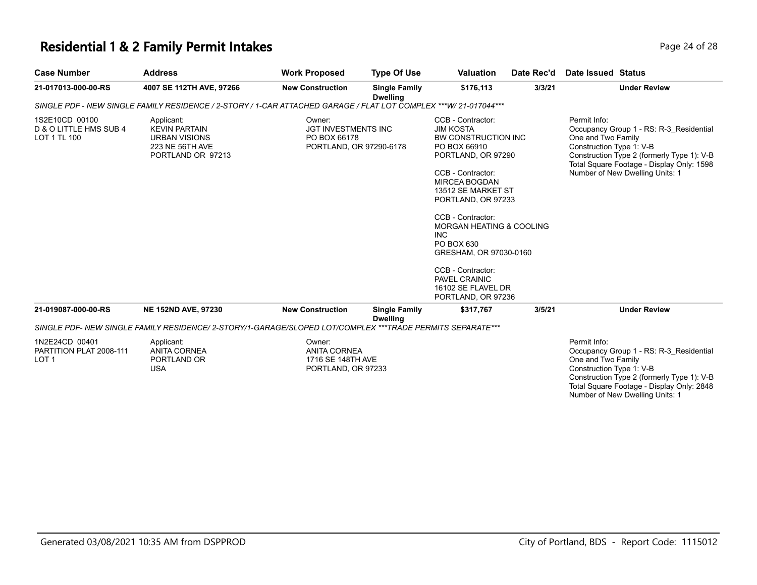## **Residential 1 & 2 Family Permit Intakes Page 24 of 28 Page 24 of 28**

| <b>Case Number</b>                                       | <b>Address</b>                                                                                                   | <b>Work Proposed</b>                                                            | <b>Type Of Use</b>                      | <b>Valuation</b>                                                                                                                                                                                                                                                                                                                                                                            | Date Rec'd | Date Issued Status                                                                                                                                                                                                                      |
|----------------------------------------------------------|------------------------------------------------------------------------------------------------------------------|---------------------------------------------------------------------------------|-----------------------------------------|---------------------------------------------------------------------------------------------------------------------------------------------------------------------------------------------------------------------------------------------------------------------------------------------------------------------------------------------------------------------------------------------|------------|-----------------------------------------------------------------------------------------------------------------------------------------------------------------------------------------------------------------------------------------|
| 21-017013-000-00-RS                                      | 4007 SE 112TH AVE, 97266                                                                                         | <b>New Construction</b>                                                         | <b>Single Family</b><br><b>Dwelling</b> | \$176.113                                                                                                                                                                                                                                                                                                                                                                                   | 3/3/21     | <b>Under Review</b>                                                                                                                                                                                                                     |
|                                                          | SINGLE PDF - NEW SINGLE FAMILY RESIDENCE / 2-STORY / 1-CAR ATTACHED GARAGE / FLAT LOT COMPLEX ***W/ 21-017044*** |                                                                                 |                                         |                                                                                                                                                                                                                                                                                                                                                                                             |            |                                                                                                                                                                                                                                         |
| 1S2E10CD 00100<br>D & O LITTLE HMS SUB 4<br>LOT 1 TL 100 | Applicant:<br><b>KEVIN PARTAIN</b><br><b>URBAN VISIONS</b><br>223 NE 56TH AVE<br>PORTLAND OR 97213               | Owner:<br><b>JGT INVESTMENTS INC</b><br>PO BOX 66178<br>PORTLAND, OR 97290-6178 |                                         | CCB - Contractor:<br><b>JIM KOSTA</b><br>BW CONSTRUCTION INC<br>PO BOX 66910<br>PORTLAND, OR 97290<br>CCB - Contractor:<br><b>MIRCEA BOGDAN</b><br>13512 SE MARKET ST<br>PORTLAND, OR 97233<br>CCB - Contractor:<br>MORGAN HEATING & COOLING<br><b>INC</b><br>PO BOX 630<br>GRESHAM, OR 97030-0160<br>CCB - Contractor:<br><b>PAVEL CRAINIC</b><br>16102 SE FLAVEL DR<br>PORTLAND, OR 97236 |            | Permit Info:<br>Occupancy Group 1 - RS: R-3_Residential<br>One and Two Family<br>Construction Type 1: V-B<br>Construction Type 2 (formerly Type 1): V-B<br>Total Square Footage - Display Only: 1598<br>Number of New Dwelling Units: 1 |
| 21-019087-000-00-RS                                      | <b>NE 152ND AVE, 97230</b>                                                                                       | <b>New Construction</b>                                                         | <b>Single Family</b><br><b>Dwelling</b> | \$317,767                                                                                                                                                                                                                                                                                                                                                                                   | 3/5/21     | <b>Under Review</b>                                                                                                                                                                                                                     |
|                                                          | SINGLE PDF- NEW SINGLE FAMILY RESIDENCE/ 2-STORY/1-GARAGE/SLOPED LOT/COMPLEX ***TRADE PERMITS SEPARATE***        |                                                                                 |                                         |                                                                                                                                                                                                                                                                                                                                                                                             |            |                                                                                                                                                                                                                                         |
| 1N2E24CD 00401<br>PARTITION PLAT 2008-111<br>LOT 1       | Applicant:<br><b>ANITA CORNEA</b><br>PORTLAND OR<br><b>USA</b>                                                   | Owner:<br><b>ANITA CORNEA</b><br>1716 SE 148TH AVE<br>PORTLAND, OR 97233        |                                         |                                                                                                                                                                                                                                                                                                                                                                                             |            | Permit Info:<br>Occupancy Group 1 - RS: R-3 Residential<br>One and Two Family<br>Construction Type 1: V-B<br>Construction Type 2 (formerly Type 1): V-B<br>Total Square Footage - Display Only: 2848<br>Number of New Dwelling Units: 1 |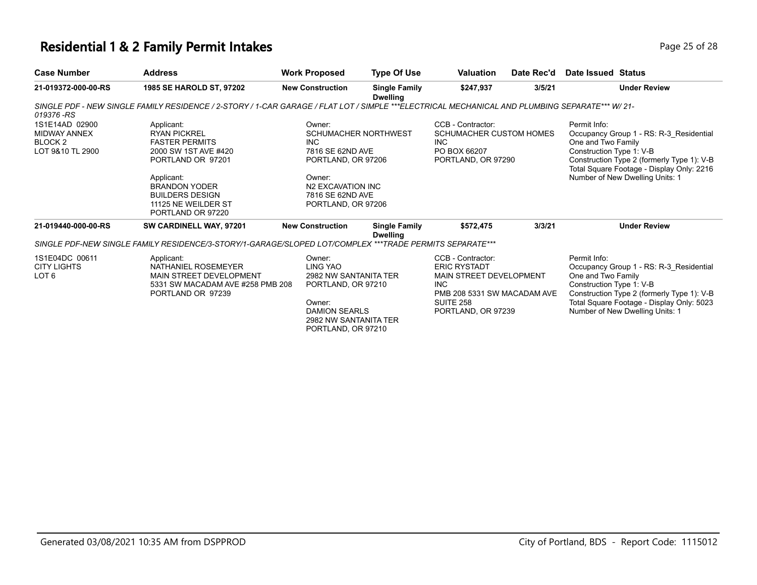## **Residential 1 & 2 Family Permit Intakes Page 25 of 28 Page 25 of 28**

| <b>Case Number</b>                                                              | <b>Address</b>                                                                                                                                                                                                      | <b>Work Proposed</b>                                                                                                                                             | <b>Type Of Use</b>                      | <b>Valuation</b>                                                                                                                                     | Date Rec'd | Date Issued Status                                                                                                                                                                                                                      |                                                                                                                                                                       |
|---------------------------------------------------------------------------------|---------------------------------------------------------------------------------------------------------------------------------------------------------------------------------------------------------------------|------------------------------------------------------------------------------------------------------------------------------------------------------------------|-----------------------------------------|------------------------------------------------------------------------------------------------------------------------------------------------------|------------|-----------------------------------------------------------------------------------------------------------------------------------------------------------------------------------------------------------------------------------------|-----------------------------------------------------------------------------------------------------------------------------------------------------------------------|
| 21-019372-000-00-RS                                                             | 1985 SE HAROLD ST, 97202                                                                                                                                                                                            | <b>New Construction</b>                                                                                                                                          | <b>Single Family</b><br><b>Dwelling</b> | \$247,937                                                                                                                                            | 3/5/21     |                                                                                                                                                                                                                                         | <b>Under Review</b>                                                                                                                                                   |
| 019376 -RS                                                                      | SINGLE PDF - NEW SINGLE FAMILY RESIDENCE / 2-STORY / 1-CAR GARAGE / FLAT LOT / SIMPLE ***ELECTRICAL MECHANICAL AND PLUMBING SEPARATE*** W/ 21-                                                                      |                                                                                                                                                                  |                                         |                                                                                                                                                      |            |                                                                                                                                                                                                                                         |                                                                                                                                                                       |
| 1S1E14AD 02900<br><b>MIDWAY ANNEX</b><br>BLOCK <sub>2</sub><br>LOT 9&10 TL 2900 | Applicant:<br><b>RYAN PICKREL</b><br><b>FASTER PERMITS</b><br>2000 SW 1ST AVE #420<br>PORTLAND OR 97201<br>Applicant:<br><b>BRANDON YODER</b><br><b>BUILDERS DESIGN</b><br>11125 NE WEILDER ST<br>PORTLAND OR 97220 | Owner:<br><b>SCHUMACHER NORTHWEST</b><br>INC.<br>7816 SE 62ND AVE<br>PORTLAND, OR 97206<br>Owner:<br>N2 EXCAVATION INC<br>7816 SE 62ND AVE<br>PORTLAND, OR 97206 |                                         | CCB - Contractor:<br><b>SCHUMACHER CUSTOM HOMES</b><br>INC.<br>PO BOX 66207<br>PORTLAND, OR 97290                                                    |            | Permit Info:<br>Occupancy Group 1 - RS: R-3_Residential<br>One and Two Family<br>Construction Type 1: V-B<br>Construction Type 2 (formerly Type 1): V-B<br>Total Square Footage - Display Only: 2216<br>Number of New Dwelling Units: 1 |                                                                                                                                                                       |
| 21-019440-000-00-RS                                                             | SW CARDINELL WAY, 97201                                                                                                                                                                                             | <b>New Construction</b>                                                                                                                                          | <b>Single Family</b><br><b>Dwelling</b> | \$572,475                                                                                                                                            | 3/3/21     |                                                                                                                                                                                                                                         | <b>Under Review</b>                                                                                                                                                   |
|                                                                                 | SINGLE PDF-NEW SINGLE FAMILY RESIDENCE/3-STORY/1-GARAGE/SLOPED LOT/COMPLEX ***TRADE PERMITS SEPARATE***                                                                                                             |                                                                                                                                                                  |                                         |                                                                                                                                                      |            |                                                                                                                                                                                                                                         |                                                                                                                                                                       |
| 1S1E04DC 00611<br><b>CITY LIGHTS</b><br>LOT <sub>6</sub>                        | Applicant:<br>NATHANIEL ROSEMEYER<br>MAIN STREET DEVELOPMENT<br>5331 SW MACADAM AVE #258 PMB 208<br>PORTLAND OR 97239                                                                                               | Owner:<br>LING YAO<br>2982 NW SANTANITA TER<br>PORTLAND, OR 97210<br>Owner:<br><b>DAMION SEARLS</b><br>2982 NW SANTANITA TER<br>PORTLAND, OR 97210               |                                         | CCB - Contractor:<br><b>ERIC RYSTADT</b><br><b>MAIN STREET DEVELOPMENT</b><br>INC.<br>PMB 208 5331 SW MACADAM AVE<br>SUITE 258<br>PORTLAND, OR 97239 |            | Permit Info:<br>One and Two Family<br>Construction Type 1: V-B                                                                                                                                                                          | Occupancy Group 1 - RS: R-3 Residential<br>Construction Type 2 (formerly Type 1): V-B<br>Total Square Footage - Display Only: 5023<br>Number of New Dwelling Units: 1 |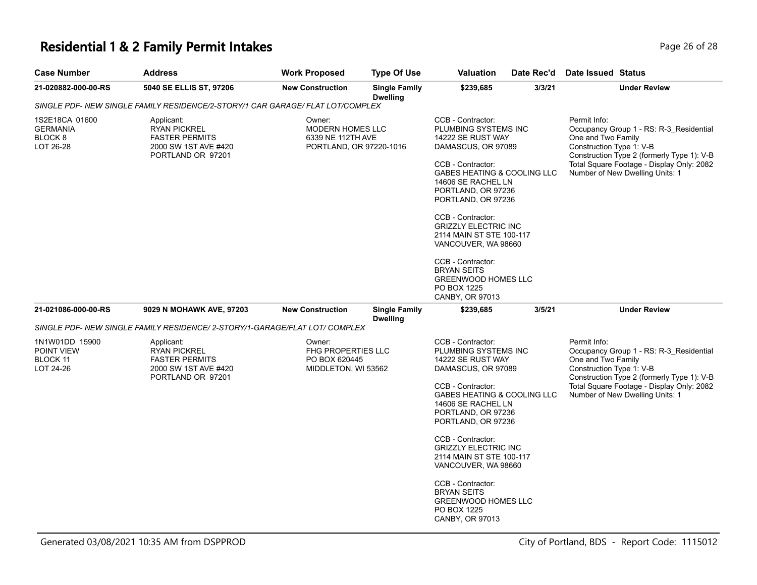## **Residential 1 & 2 Family Permit Intakes Page 26 of 28 Page 26 of 28**

| <b>Case Number</b>                                    | <b>Address</b>                                                                                          | <b>Work Proposed</b>                                                              | <b>Type Of Use</b>                      | <b>Valuation</b>                                                                                                                                                                                                                                                                                                                                                                                                                 | Date Rec'd | <b>Date Issued Status</b>                                                                                                                                                                                                               |
|-------------------------------------------------------|---------------------------------------------------------------------------------------------------------|-----------------------------------------------------------------------------------|-----------------------------------------|----------------------------------------------------------------------------------------------------------------------------------------------------------------------------------------------------------------------------------------------------------------------------------------------------------------------------------------------------------------------------------------------------------------------------------|------------|-----------------------------------------------------------------------------------------------------------------------------------------------------------------------------------------------------------------------------------------|
| 21-020882-000-00-RS                                   | 5040 SE ELLIS ST, 97206                                                                                 | <b>New Construction</b>                                                           | <b>Single Family</b><br><b>Dwelling</b> | \$239,685                                                                                                                                                                                                                                                                                                                                                                                                                        | 3/3/21     | <b>Under Review</b>                                                                                                                                                                                                                     |
|                                                       | SINGLE PDF- NEW SINGLE FAMILY RESIDENCE/2-STORY/1 CAR GARAGE/ FLAT LOT/COMPLEX                          |                                                                                   |                                         |                                                                                                                                                                                                                                                                                                                                                                                                                                  |            |                                                                                                                                                                                                                                         |
| 1S2E18CA 01600<br>GERMANIA<br>BLOCK 8<br>LOT 26-28    | Applicant:<br><b>RYAN PICKREL</b><br><b>FASTER PERMITS</b><br>2000 SW 1ST AVE #420<br>PORTLAND OR 97201 | Owner:<br><b>MODERN HOMES LLC</b><br>6339 NE 112TH AVE<br>PORTLAND, OR 97220-1016 |                                         | CCB - Contractor:<br>PLUMBING SYSTEMS INC<br>14222 SE RUST WAY<br>DAMASCUS, OR 97089<br>CCB - Contractor:<br><b>GABES HEATING &amp; COOLING LLC</b><br>14606 SE RACHEL LN<br>PORTLAND, OR 97236<br>PORTLAND, OR 97236<br>CCB - Contractor:<br><b>GRIZZLY ELECTRIC INC</b><br>2114 MAIN ST STE 100-117<br>VANCOUVER, WA 98660<br>CCB - Contractor:<br><b>BRYAN SEITS</b><br>GREENWOOD HOMES LLC<br>PO BOX 1225<br>CANBY, OR 97013 |            | Permit Info:<br>Occupancy Group 1 - RS: R-3 Residential<br>One and Two Family<br>Construction Type 1: V-B<br>Construction Type 2 (formerly Type 1): V-B<br>Total Square Footage - Display Only: 2082<br>Number of New Dwelling Units: 1 |
| 21-021086-000-00-RS                                   | 9029 N MOHAWK AVE, 97203                                                                                | <b>New Construction</b>                                                           | <b>Single Family</b><br><b>Dwelling</b> | \$239,685                                                                                                                                                                                                                                                                                                                                                                                                                        | 3/5/21     | <b>Under Review</b>                                                                                                                                                                                                                     |
|                                                       | SINGLE PDF- NEW SINGLE FAMILY RESIDENCE/ 2-STORY/1-GARAGE/FLAT LOT/ COMPLEX                             |                                                                                   |                                         |                                                                                                                                                                                                                                                                                                                                                                                                                                  |            |                                                                                                                                                                                                                                         |
| 1N1W01DD 15900<br>POINT VIEW<br>BLOCK 11<br>LOT 24-26 | Applicant:<br><b>RYAN PICKREL</b><br><b>FASTER PERMITS</b><br>2000 SW 1ST AVE #420<br>PORTLAND OR 97201 | Owner:<br><b>FHG PROPERTIES LLC</b><br>PO BOX 620445<br>MIDDLETON, WI 53562       |                                         | CCB - Contractor:<br>PLUMBING SYSTEMS INC<br>14222 SE RUST WAY<br>DAMASCUS, OR 97089<br>CCB - Contractor:<br>GABES HEATING & COOLING LLC<br>14606 SE RACHEL LN<br>PORTLAND, OR 97236<br>PORTLAND, OR 97236<br>CCB - Contractor:<br><b>GRIZZLY ELECTRIC INC</b><br>2114 MAIN ST STE 100-117<br>VANCOUVER, WA 98660<br>CCB - Contractor:<br><b>BRYAN SEITS</b><br><b>GREENWOOD HOMES LLC</b><br>PO BOX 1225<br>CANBY, OR 97013     |            | Permit Info:<br>Occupancy Group 1 - RS: R-3_Residential<br>One and Two Family<br>Construction Type 1: V-B<br>Construction Type 2 (formerly Type 1): V-B<br>Total Square Footage - Display Only: 2082<br>Number of New Dwelling Units: 1 |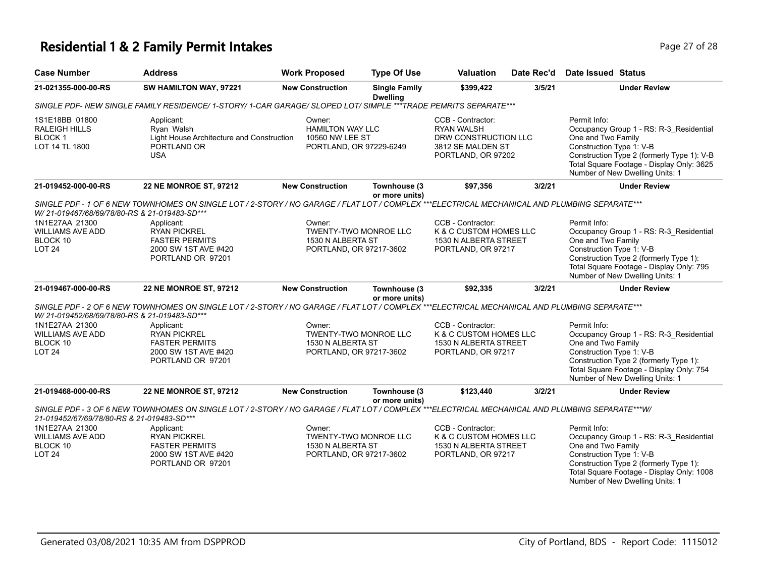## **Residential 1 & 2 Family Permit Intakes Page 27 of 28 Page 27 of 28**

| <b>Case Number</b>                                                                                                                                                                                             | <b>Address</b>                                                                                                                               | <b>Work Proposed</b>                                                                   | <b>Type Of Use</b>                      | <b>Valuation</b>                                                                                          | Date Rec'd | Date Issued Status                                                                                                                                                                                                                      |  |  |
|----------------------------------------------------------------------------------------------------------------------------------------------------------------------------------------------------------------|----------------------------------------------------------------------------------------------------------------------------------------------|----------------------------------------------------------------------------------------|-----------------------------------------|-----------------------------------------------------------------------------------------------------------|------------|-----------------------------------------------------------------------------------------------------------------------------------------------------------------------------------------------------------------------------------------|--|--|
| 21-021355-000-00-RS                                                                                                                                                                                            | SW HAMILTON WAY, 97221                                                                                                                       | <b>New Construction</b>                                                                | <b>Single Family</b><br><b>Dwelling</b> | \$399,422                                                                                                 | 3/5/21     | <b>Under Review</b>                                                                                                                                                                                                                     |  |  |
|                                                                                                                                                                                                                | SINGLE PDF- NEW SINGLE FAMILY RESIDENCE/ 1-STORY/ 1-CAR GARAGE/ SLOPED LOT/ SIMPLE ***TRADE PEMRITS SEPARATE***                              |                                                                                        |                                         |                                                                                                           |            |                                                                                                                                                                                                                                         |  |  |
| 1S1E18BB 01800<br><b>RALEIGH HILLS</b><br><b>BLOCK1</b><br>LOT 14 TL 1800                                                                                                                                      | Applicant:<br>Rvan Walsh<br>Light House Architecture and Construction<br>PORTLAND OR<br><b>USA</b>                                           | Owner:<br><b>HAMILTON WAY LLC</b><br>10560 NW LEE ST<br>PORTLAND, OR 97229-6249        |                                         | CCB - Contractor:<br><b>RYAN WALSH</b><br>DRW CONSTRUCTION LLC<br>3812 SE MALDEN ST<br>PORTLAND, OR 97202 |            | Permit Info:<br>Occupancy Group 1 - RS: R-3 Residential<br>One and Two Family<br>Construction Type 1: V-B<br>Construction Type 2 (formerly Type 1): V-B<br>Total Square Footage - Display Only: 3625<br>Number of New Dwelling Units: 1 |  |  |
| 21-019452-000-00-RS                                                                                                                                                                                            | 22 NE MONROE ST, 97212                                                                                                                       | <b>New Construction</b>                                                                | Townhouse (3<br>or more units)          | \$97,356                                                                                                  | 3/2/21     | <b>Under Review</b>                                                                                                                                                                                                                     |  |  |
| W/ 21-019467/68/69/78/80-RS & 21-019483-SD***                                                                                                                                                                  | SINGLE PDF - 1 OF 6 NEW TOWNHOMES ON SINGLE LOT / 2-STORY / NO GARAGE / FLAT LOT / COMPLEX ***ELECTRICAL MECHANICAL AND PLUMBING SEPARATE*** |                                                                                        |                                         |                                                                                                           |            |                                                                                                                                                                                                                                         |  |  |
| 1N1E27AA 21300<br><b>WILLIAMS AVE ADD</b><br>BLOCK 10<br>LOT <sub>24</sub>                                                                                                                                     | Applicant:<br><b>RYAN PICKREL</b><br><b>FASTER PERMITS</b><br>2000 SW 1ST AVE #420<br>PORTLAND OR 97201                                      | Owner:<br>TWENTY-TWO MONROE LLC<br>1530 N ALBERTA ST<br>PORTLAND, OR 97217-3602        |                                         | CCB - Contractor:<br>K & C CUSTOM HOMES LLC<br>1530 N ALBERTA STREET<br>PORTLAND, OR 97217                |            | Permit Info:<br>Occupancy Group 1 - RS: R-3_Residential<br>One and Two Family<br>Construction Type 1: V-B<br>Construction Type 2 (formerly Type 1):<br>Total Square Footage - Display Only: 795<br>Number of New Dwelling Units: 1      |  |  |
| 21-019467-000-00-RS                                                                                                                                                                                            | <b>22 NE MONROE ST, 97212</b>                                                                                                                | <b>New Construction</b>                                                                | Townhouse (3<br>or more units)          | \$92,335                                                                                                  | 3/2/21     | <b>Under Review</b>                                                                                                                                                                                                                     |  |  |
| W/ 21-019452/68/69/78/80-RS & 21-019483-SD***                                                                                                                                                                  | SINGLE PDF - 2 OF 6 NEW TOWNHOMES ON SINGLE LOT / 2-STORY / NO GARAGE / FLAT LOT / COMPLEX ***ELECTRICAL MECHANICAL AND PLUMBING SEPARATE*** |                                                                                        |                                         |                                                                                                           |            |                                                                                                                                                                                                                                         |  |  |
| 1N1E27AA 21300<br><b>WILLIAMS AVE ADD</b><br>BLOCK 10<br>LOT <sub>24</sub>                                                                                                                                     | Applicant:<br><b>RYAN PICKREL</b><br><b>FASTER PERMITS</b><br>2000 SW 1ST AVE #420<br>PORTLAND OR 97201                                      | Owner:<br><b>TWENTY-TWO MONROE LLC</b><br>1530 N ALBERTA ST<br>PORTLAND, OR 97217-3602 |                                         | CCB - Contractor:<br>K & C CUSTOM HOMES LLC<br>1530 N ALBERTA STREET<br>PORTLAND, OR 97217                |            | Permit Info:<br>Occupancy Group 1 - RS: R-3_Residential<br>One and Two Family<br>Construction Type 1: V-B<br>Construction Type 2 (formerly Type 1):<br>Total Square Footage - Display Only: 754<br>Number of New Dwelling Units: 1      |  |  |
| 21-019468-000-00-RS                                                                                                                                                                                            | <b>22 NE MONROE ST, 97212</b>                                                                                                                | <b>New Construction</b>                                                                | Townhouse (3                            | \$123,440                                                                                                 | 3/2/21     | <b>Under Review</b>                                                                                                                                                                                                                     |  |  |
| or more units)<br>SINGLE PDF - 3 OF 6 NEW TOWNHOMES ON SINGLE LOT / 2-STORY / NO GARAGE / FLAT LOT / COMPLEX ***ELECTRICAL MECHANICAL AND PLUMBING SEPARATE***W/<br>21-019452/67/69/78/80-RS & 21-019483-SD*** |                                                                                                                                              |                                                                                        |                                         |                                                                                                           |            |                                                                                                                                                                                                                                         |  |  |
| 1N1E27AA 21300                                                                                                                                                                                                 | Applicant:                                                                                                                                   | Owner:                                                                                 |                                         | CCB - Contractor:                                                                                         |            | Permit Info:                                                                                                                                                                                                                            |  |  |
| <b>WILLIAMS AVE ADD</b>                                                                                                                                                                                        | <b>RYAN PICKREL</b>                                                                                                                          | TWENTY-TWO MONROE LLC                                                                  |                                         | K & C CUSTOM HOMES LLC                                                                                    |            | Occupancy Group 1 - RS: R-3_Residential                                                                                                                                                                                                 |  |  |
| BLOCK 10<br><b>LOT 24</b>                                                                                                                                                                                      | <b>FASTER PERMITS</b><br>2000 SW 1ST AVE #420                                                                                                | 1530 N ALBERTA ST<br>PORTLAND, OR 97217-3602                                           |                                         | 1530 N ALBERTA STREET<br>PORTLAND, OR 97217                                                               |            | One and Two Family<br>Construction Type 1: V-B                                                                                                                                                                                          |  |  |
|                                                                                                                                                                                                                | PORTLAND OR 97201                                                                                                                            |                                                                                        |                                         |                                                                                                           |            | Construction Type 2 (formerly Type 1):<br>Total Square Footage - Display Only: 1008<br>Number of New Dwelling Units: 1                                                                                                                  |  |  |